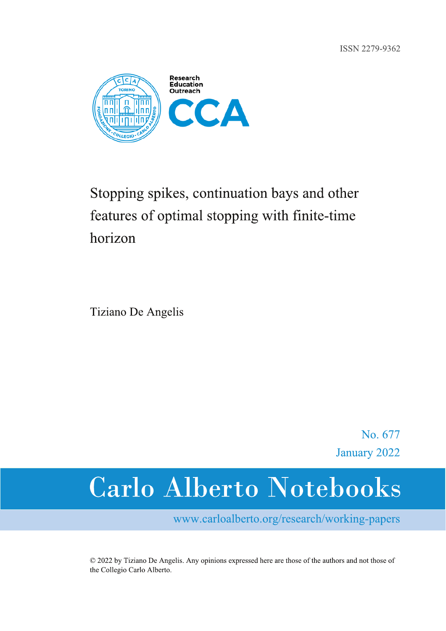ISSN 2279-9362



# Stopping spikes, continuation bays and other features of optimal stopping with finite-time horizon

Tiziano De Angelis

No. 677 January 2022

# **Carlo Alberto Notebooks**

www.carloalberto.org/research/working-papers

© 2022 by Tiziano De Angelis. Any opinions expressed here are those of the authors and not those of the Collegio Carlo Alberto.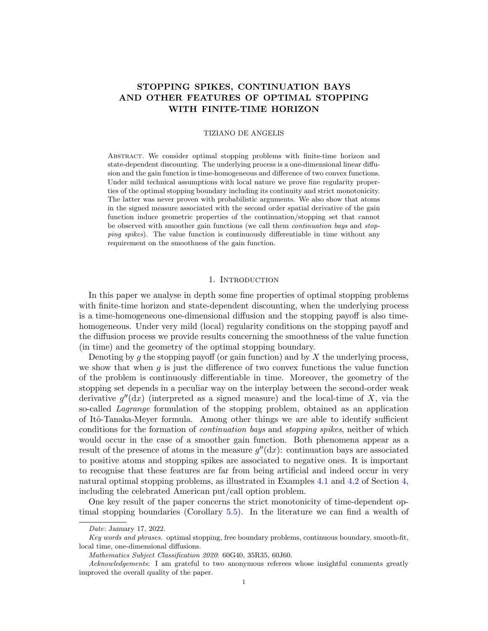# STOPPING SPIKES, CONTINUATION BAYS AND OTHER FEATURES OF OPTIMAL STOPPING WITH FINITE-TIME HORIZON

#### TIZIANO DE ANGELIS

Abstract. We consider optimal stopping problems with finite-time horizon and state-dependent discounting. The underlying process is a one-dimensional linear diffusion and the gain function is time-homogeneous and difference of two convex functions. Under mild technical assumptions with local nature we prove fine regularity properties of the optimal stopping boundary including its continuity and strict monotonicity. The latter was never proven with probabilistic arguments. We also show that atoms in the signed measure associated with the second order spatial derivative of the gain function induce geometric properties of the continuation/stopping set that cannot be observed with smoother gain functions (we call them continuation bays and stopping spikes). The value function is continuously differentiable in time without any requirement on the smoothness of the gain function.

# 1. INTRODUCTION

In this paper we analyse in depth some fine properties of optimal stopping problems with finite-time horizon and state-dependent discounting, when the underlying process is a time-homogeneous one-dimensional diffusion and the stopping payoff is also timehomogeneous. Under very mild (local) regularity conditions on the stopping payoff and the diffusion process we provide results concerning the smoothness of the value function (in time) and the geometry of the optimal stopping boundary.

Denoting by q the stopping payoff (or gain function) and by  $X$  the underlying process, we show that when  $q$  is just the difference of two convex functions the value function of the problem is continuously differentiable in time. Moreover, the geometry of the stopping set depends in a peculiar way on the interplay between the second-order weak derivative  $g''(\text{d}x)$  (interpreted as a signed measure) and the local-time of X, via the so-called Lagrange formulation of the stopping problem, obtained as an application of Itˆo-Tanaka-Meyer formula. Among other things we are able to identify sufficient conditions for the formation of continuation bays and stopping spikes, neither of which would occur in the case of a smoother gain function. Both phenomena appear as a result of the presence of atoms in the measure  $g''(\mathrm{d}x)$ : continuation bays are associated to positive atoms and stopping spikes are associated to negative ones. It is important to recognise that these features are far from being artificial and indeed occur in very natural optimal stopping problems, as illustrated in Examples [4.1](#page-21-0) and [4.2](#page-23-0) of Section [4,](#page-15-0) including the celebrated American put/call option problem.

One key result of the paper concerns the strict monotonicity of time-dependent optimal stopping boundaries (Corollary [5.5\)](#page-28-0). In the literature we can find a wealth of

Date: January 17, 2022.

Key words and phrases. optimal stopping, free boundary problems, continuous boundary, smooth-fit, local time, one-dimensional diffusions.

Mathematics Subject Classification 2020: 60G40, 35R35, 60J60.

Acknowledgements: I am grateful to two anonymous referees whose insightful comments greatly improved the overall quality of the paper.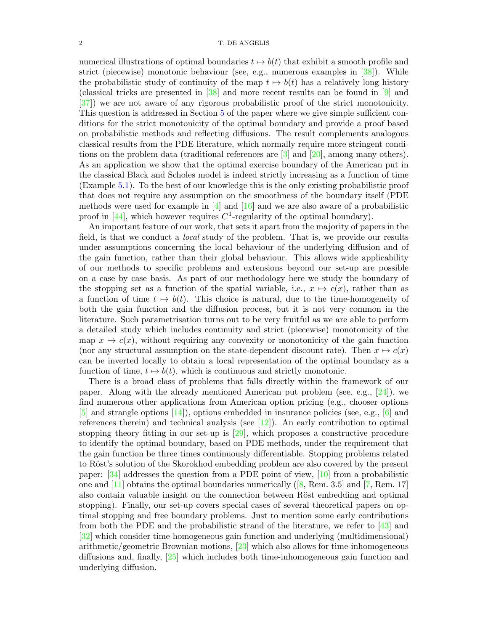numerical illustrations of optimal boundaries  $t \mapsto b(t)$  that exhibit a smooth profile and strict (piecewise) monotonic behaviour (see, e.g., numerous examples in [\[38\]](#page-41-0)). While the probabilistic study of continuity of the map  $t \mapsto b(t)$  has a relatively long history (classical tricks are presented in [\[38\]](#page-41-0) and more recent results can be found in [\[9\]](#page-40-0) and [\[37\]](#page-41-1)) we are not aware of any rigorous probabilistic proof of the strict monotonicity. This question is addressed in Section [5](#page-24-0) of the paper where we give simple sufficient conditions for the strict monotonicity of the optimal boundary and provide a proof based on probabilistic methods and reflecting diffusions. The result complements analogous classical results from the PDE literature, which normally require more stringent conditions on the problem data (traditional references are [\[3\]](#page-40-1) and [\[20\]](#page-40-2), among many others). As an application we show that the optimal exercise boundary of the American put in the classical Black and Scholes model is indeed strictly increasing as a function of time (Example [5.1\)](#page-28-1). To the best of our knowledge this is the only existing probabilistic proof that does not require any assumption on the smoothness of the boundary itself (PDE methods were used for example in  $[4]$  and  $[16]$  and we are also aware of a probabilistic proof in [\[44\]](#page-41-2), which however requires  $C^1$ -regularity of the optimal boundary).

An important feature of our work, that sets it apart from the majority of papers in the field, is that we conduct a local study of the problem. That is, we provide our results under assumptions concerning the local behaviour of the underlying diffusion and of the gain function, rather than their global behaviour. This allows wide applicability of our methods to specific problems and extensions beyond our set-up are possible on a case by case basis. As part of our methodology here we study the boundary of the stopping set as a function of the spatial variable, i.e.,  $x \mapsto c(x)$ , rather than as a function of time  $t \mapsto b(t)$ . This choice is natural, due to the time-homogeneity of both the gain function and the diffusion process, but it is not very common in the literature. Such parametrisation turns out to be very fruitful as we are able to perform a detailed study which includes continuity and strict (piecewise) monotonicity of the map  $x \mapsto c(x)$ , without requiring any convexity or monotonicity of the gain function (nor any structural assumption on the state-dependent discount rate). Then  $x \mapsto c(x)$ can be inverted locally to obtain a local representation of the optimal boundary as a function of time,  $t \mapsto b(t)$ , which is continuous and strictly monotonic.

There is a broad class of problems that falls directly within the framework of our paper. Along with the already mentioned American put problem (see, e.g.,  $[24]$ ), we find numerous other applications from American option pricing (e.g., chooser options [\[5\]](#page-40-6) and strangle options [\[14\]](#page-40-7)), options embedded in insurance policies (see, e.g., [\[6\]](#page-40-8) and references therein) and technical analysis (see  $[12]$ ). An early contribution to optimal stopping theory fitting in our set-up is [\[29\]](#page-40-10), which proposes a constructive procedure to identify the optimal boundary, based on PDE methods, under the requirement that the gain function be three times continuously differentiable. Stopping problems related to Röst's solution of the Skorokhod embedding problem are also covered by the present paper: [\[34\]](#page-41-3) addresses the question from a PDE point of view, [\[10\]](#page-40-11) from a probabilistic one and  $[11]$  obtains the optimal boundaries numerically ([\[8,](#page-40-13) Rem. 3.5] and [\[7,](#page-40-14) Rem. 17] also contain valuable insight on the connection between Röst embedding and optimal stopping). Finally, our set-up covers special cases of several theoretical papers on optimal stopping and free boundary problems. Just to mention some early contributions from both the PDE and the probabilistic strand of the literature, we refer to [\[43\]](#page-41-4) and [\[32\]](#page-41-5) which consider time-homogeneous gain function and underlying (multidimensional) arithmetic/geometric Brownian motions, [\[23\]](#page-40-15) which also allows for time-inhomogeneous diffusions and, finally, [\[25\]](#page-40-16) which includes both time-inhomogeneous gain function and underlying diffusion.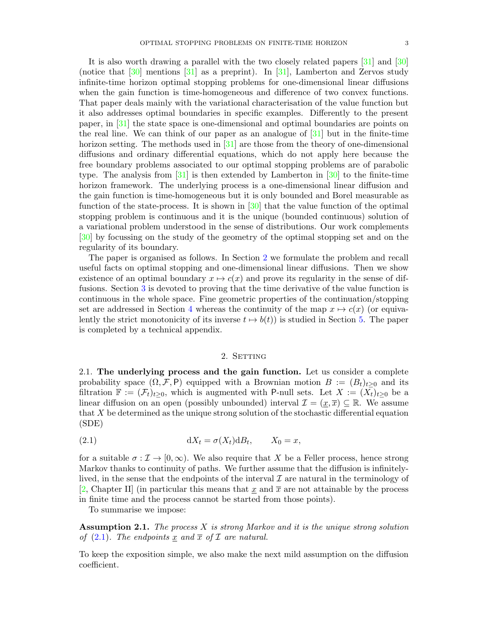It is also worth drawing a parallel with the two closely related papers [\[31\]](#page-40-17) and [\[30\]](#page-40-18) (notice that  $\lceil 30 \rceil$ ) mentions  $\lceil 31 \rceil$  as a preprint). In  $\lceil 31 \rceil$ , Lamberton and Zervos study infinite-time horizon optimal stopping problems for one-dimensional linear diffusions when the gain function is time-homogeneous and difference of two convex functions. That paper deals mainly with the variational characterisation of the value function but it also addresses optimal boundaries in specific examples. Differently to the present paper, in [\[31\]](#page-40-17) the state space is one-dimensional and optimal boundaries are points on the real line. We can think of our paper as an analogue of  $[31]$  but in the finite-time horizon setting. The methods used in [\[31\]](#page-40-17) are those from the theory of one-dimensional diffusions and ordinary differential equations, which do not apply here because the free boundary problems associated to our optimal stopping problems are of parabolic type. The analysis from  $[31]$  is then extended by Lamberton in  $[30]$  to the finite-time horizon framework. The underlying process is a one-dimensional linear diffusion and the gain function is time-homogeneous but it is only bounded and Borel measurable as function of the state-process. It is shown in [\[30\]](#page-40-18) that the value function of the optimal stopping problem is continuous and it is the unique (bounded continuous) solution of a variational problem understood in the sense of distributions. Our work complements [\[30\]](#page-40-18) by focussing on the study of the geometry of the optimal stopping set and on the regularity of its boundary.

The paper is organised as follows. In Section [2](#page-3-0) we formulate the problem and recall useful facts on optimal stopping and one-dimensional linear diffusions. Then we show existence of an optimal boundary  $x \mapsto c(x)$  and prove its regularity in the sense of diffusions. Section [3](#page-12-0) is devoted to proving that the time derivative of the value function is continuous in the whole space. Fine geometric properties of the continuation/stopping set are addressed in Section [4](#page-15-0) whereas the continuity of the map  $x \mapsto c(x)$  (or equivalently the strict monotonicity of its inverse  $t \mapsto b(t)$  is studied in Section [5.](#page-24-0) The paper is completed by a technical appendix.

# 2. SETTING

<span id="page-3-3"></span><span id="page-3-0"></span>2.1. The underlying process and the gain function. Let us consider a complete probability space  $(\Omega, \mathcal{F}, P)$  equipped with a Brownian motion  $B := (B_t)_{t>0}$  and its filtration  $\mathbb{F} := (\mathcal{F}_t)_{t\geq 0}$ , which is augmented with P-null sets. Let  $X := (X_t)_{t\geq 0}$  be a linear diffusion on an open (possibly unbounded) interval  $\mathcal{I} = (\underline{x}, \overline{x}) \subseteq \mathbb{R}$ . We assume that X be determined as the unique strong solution of the stochastic differential equation (SDE)

<span id="page-3-1"></span>(2.1) 
$$
dX_t = \sigma(X_t) dB_t, \qquad X_0 = x,
$$

for a suitable  $\sigma : \mathcal{I} \to [0,\infty)$ . We also require that X be a Feller process, hence strong Markov thanks to continuity of paths. We further assume that the diffusion is infinitelylived, in the sense that the endpoints of the interval  $\mathcal I$  are natural in the terminology of [\[2,](#page-40-19) Chapter II] (in particular this means that x and  $\bar{x}$  are not attainable by the process in finite time and the process cannot be started from those points).

To summarise we impose:

<span id="page-3-2"></span>**Assumption 2.1.** The process X is strong Markov and it is the unique strong solution of  $(2.1)$ . The endpoints <u>x</u> and  $\overline{x}$  of  $\mathcal I$  are natural.

To keep the exposition simple, we also make the next mild assumption on the diffusion coefficient.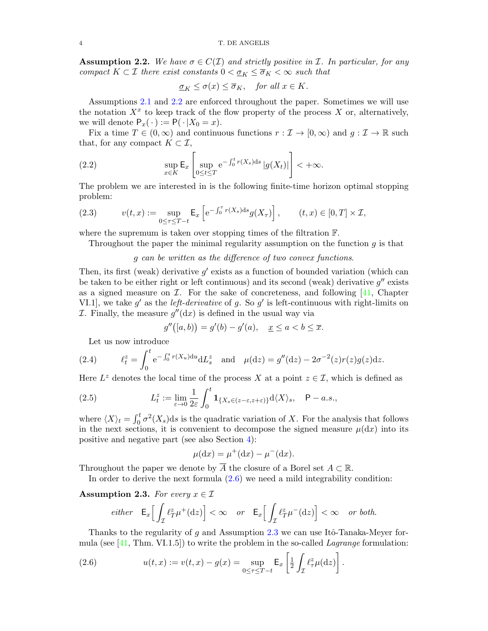<span id="page-4-0"></span>**Assumption 2.2.** We have  $\sigma \in C(\mathcal{I})$  and strictly positive in  $\mathcal{I}$ . In particular, for any compact  $K \subset \mathcal{I}$  there exist constants  $0 < \underline{\sigma}_K \leq \overline{\sigma}_K < \infty$  such that

$$
\underline{\sigma}_K \le \sigma(x) \le \overline{\sigma}_K, \quad \text{for all } x \in K.
$$

Assumptions [2.1](#page-3-2) and [2.2](#page-4-0) are enforced throughout the paper. Sometimes we will use the notation  $X^x$  to keep track of the flow property of the process X or, alternatively, we will denote  $P_x(\cdot) := P(\cdot | X_0 = x)$ .

Fix a time  $T \in (0, \infty)$  and continuous functions  $r : \mathcal{I} \to [0, \infty)$  and  $g : \mathcal{I} \to \mathbb{R}$  such that, for any compact  $K \subset \mathcal{I}$ ,

<span id="page-4-4"></span>(2.2) 
$$
\sup_{x \in K} \mathsf{E}_x \left[ \sup_{0 \le t \le T} e^{-\int_0^t r(X_s) ds} |g(X_t)| \right] < +\infty.
$$

The problem we are interested in is the following finite-time horizon optimal stopping problem:

<span id="page-4-3"></span>(2.3) 
$$
v(t,x) := \sup_{0 \le \tau \le T-t} \mathsf{E}_x \left[ e^{-\int_0^{\tau} r(X_s) ds} g(X_{\tau}) \right], \qquad (t,x) \in [0,T] \times \mathcal{I},
$$

where the supremum is taken over stopping times of the filtration F.

Throughout the paper the minimal regularity assumption on the function  $g$  is that

# g can be written as the difference of two convex functions.

Then, its first (weak) derivative  $g'$  exists as a function of bounded variation (which can be taken to be either right or left continuous) and its second (weak) derivative  $g''$  exists as a signed measure on  $\mathcal I$ . For the sake of concreteness, and following  $[41]$ , Chapter VI.1, we take  $g'$  as the *left-derivative* of g. So  $g'$  is left-continuous with right-limits on *I*. Finally, the measure  $g''(\mathrm{d}x)$  is defined in the usual way via

$$
g''([a,b)) = g'(b) - g'(a), \quad \underline{x} \le a < b \le \overline{x}.
$$

Let us now introduce

<span id="page-4-6"></span>(2.4) 
$$
\ell_t^z = \int_0^t e^{-\int_0^s r(X_u) du} dL_s^z \text{ and } \mu(dz) = g''(dz) - 2\sigma^{-2}(z)r(z)g(z)dz.
$$

Here  $L^z$  denotes the local time of the process X at a point  $z \in \mathcal{I}$ , which is defined as

<span id="page-4-5"></span>(2.5) 
$$
L_t^z := \lim_{\varepsilon \to 0} \frac{1}{2\varepsilon} \int_0^t \mathbf{1}_{\{X_s \in (z-\varepsilon,z+\varepsilon)\}} d\langle X \rangle_s, \quad \mathsf{P}-a.s.,
$$

where  $\langle X \rangle_t = \int_0^t \sigma^2(X_s) ds$  is the quadratic variation of X. For the analysis that follows in the next sections, it is convenient to decompose the signed measure  $\mu(dx)$  into its positive and negative part (see also Section [4\)](#page-15-0):

$$
\mu(\mathrm{d}x) = \mu^+(\mathrm{d}x) - \mu^-(\mathrm{d}x).
$$

Throughout the paper we denote by  $\overline{A}$  the closure of a Borel set  $A \subset \mathbb{R}$ .

In order to derive the next formula [\(2.6\)](#page-4-1) we need a mild integrability condition:

<span id="page-4-2"></span>Assumption 2.3. For every  $x \in \mathcal{I}$ 

$$
either \quad \mathsf{E}_x \Big[ \int_{\mathcal{I}} \ell_T^z \mu^+(\mathrm{d}z) \Big] < \infty \quad or \quad \mathsf{E}_x \Big[ \int_{\mathcal{I}} \ell_T^z \mu^-(\mathrm{d}z) \Big] < \infty \quad or \; both.
$$

Thanks to the regularity of g and Assumption [2.3](#page-4-2) we can use Itô-Tanaka-Meyer formula (see  $[41, Thm. VI.1.5]$  $[41, Thm. VI.1.5]$ ) to write the problem in the so-called *Lagrange* formulation:

<span id="page-4-1"></span>(2.6) 
$$
u(t,x) := v(t,x) - g(x) = \sup_{0 \le \tau \le T - t} \mathsf{E}_x \left[ \frac{1}{2} \int_{\mathcal{I}} \ell^z_{\tau} \mu(\mathrm{d}z) \right].
$$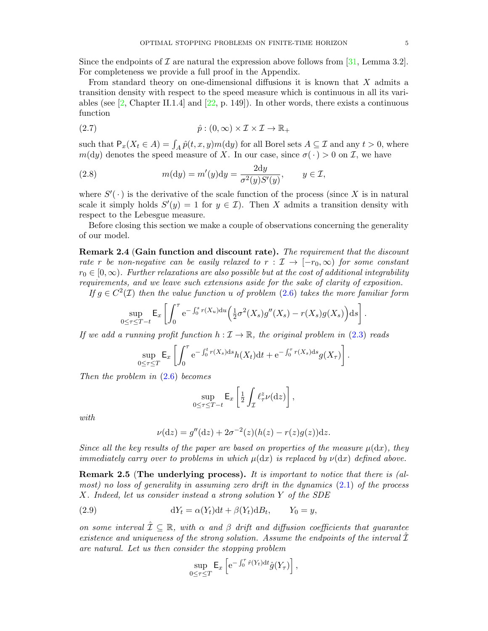Since the endpoints of  $\mathcal I$  are natural the expression above follows from [\[31,](#page-40-17) Lemma 3.2]. For completeness we provide a full proof in the Appendix.

From standard theory on one-dimensional diffusions it is known that X admits a transition density with respect to the speed measure which is continuous in all its variables (see  $\left[2, \text{Chapter II}.1.4\right]$  $\left[2, \text{Chapter II}.1.4\right]$  $\left[2, \text{Chapter II}.1.4\right]$  and  $\left[22, \text{p. 149}\right]$  $\left[22, \text{p. 149}\right]$  $\left[22, \text{p. 149}\right]$ ). In other words, there exists a continuous function

<span id="page-5-0"></span>(2.7) 
$$
\hat{p}: (0, \infty) \times \mathcal{I} \times \mathcal{I} \to \mathbb{R}_+
$$

such that  $P_x(X_t \in A) = \int_A \hat{p}(t, x, y) m(dy)$  for all Borel sets  $A \subseteq \mathcal{I}$  and any  $t > 0$ , where  $m(dy)$  denotes the speed measure of X. In our case, since  $\sigma(\cdot) > 0$  on I, we have

<span id="page-5-1"></span>(2.8) 
$$
m(\mathrm{d}y) = m'(y)\mathrm{d}y = \frac{2\mathrm{d}y}{\sigma^2(y)S'(y)}, \qquad y \in \mathcal{I},
$$

where  $S'(\cdot)$  is the derivative of the scale function of the process (since X is in natural scale it simply holds  $S'(y) = 1$  for  $y \in \mathcal{I}$ ). Then X admits a transition density with respect to the Lebesgue measure.

Before closing this section we make a couple of observations concerning the generality of our model.

<span id="page-5-3"></span>Remark 2.4 (Gain function and discount rate). The requirement that the discount rate r be non-negative can be easily relaxed to  $r : \mathcal{I} \to [-r_0, \infty)$  for some constant  $r_0 \in [0,\infty)$ . Further relaxations are also possible but at the cost of additional integrability requirements, and we leave such extensions aside for the sake of clarity of exposition.

If  $g \in C^2(\mathcal{I})$  then the value function u of problem [\(2.6\)](#page-4-1) takes the more familiar form

$$
\sup_{0\leq\tau\leq T-t}\mathsf{E}_x\left[\int_0^\tau \mathrm{e}^{-\int_0^s r(X_u)\mathrm{d}u}\Big(\tfrac{1}{2}\sigma^2(X_s)g''(X_s)-r(X_s)g(X_s)\Big)\mathrm{d}s\right].
$$

If we add a running profit function  $h : \mathcal{I} \to \mathbb{R}$ , the original problem in [\(2.3\)](#page-4-3) reads

$$
\sup_{0\leq\tau\leq T}\mathsf{E}_x\left[\int_0^\tau e^{-\int_0^t r(X_s)\mathrm{d} s}h(X_t)\mathrm{d} t + e^{-\int_0^\tau r(X_s)\mathrm{d} s}g(X_\tau)\right].
$$

Then the problem in  $(2.6)$  becomes

$$
\sup_{0\leq\tau\leq T-t}\mathsf{E}_x\left[\tfrac{1}{2}\int_{\mathcal{I}}\ell_\tau^z\nu(\mathrm{d}z)\right],
$$

with

$$
\nu(\mathrm{d}z) = g''(\mathrm{d}z) + 2\sigma^{-2}(z)(h(z) - r(z)g(z))\mathrm{d}z.
$$

Since all the key results of the paper are based on properties of the measure  $\mu(dx)$ , they immediately carry over to problems in which  $\mu(dx)$  is replaced by  $\nu(dx)$  defined above.

<span id="page-5-2"></span>Remark 2.5 (The underlying process). It is important to notice that there is (almost) no loss of generality in assuming zero drift in the dynamics [\(2.1\)](#page-3-1) of the process X. Indeed, let us consider instead a strong solution Y of the SDE

(2.9) 
$$
dY_t = \alpha(Y_t)dt + \beta(Y_t)dB_t, \qquad Y_0 = y,
$$

on some interval  $\hat{\mathcal{I}} \subseteq \mathbb{R}$ , with  $\alpha$  and  $\beta$  drift and diffusion coefficients that guarantee existence and uniqueness of the strong solution. Assume the endpoints of the interval  $\tilde{\mathcal{I}}$ are natural. Let us then consider the stopping problem

$$
\sup_{0\leq\tau\leq T}\mathsf{E}_x\left[\mathrm{e}^{-\int_0^\tau \hat{r}(Y_t)\mathrm{d}t}\hat{g}(Y_\tau)\right],
$$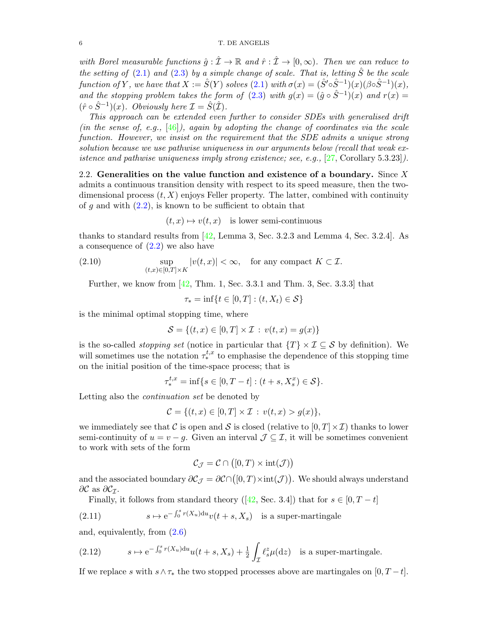with Borel measurable functions  $\hat{g} : \hat{\mathcal{I}} \to \mathbb{R}$  and  $\hat{r} : \hat{\mathcal{I}} \to [0, \infty)$ . Then we can reduce to the setting of  $(2.1)$  and  $(2.3)$  by a simple change of scale. That is, letting  $\hat{S}$  be the scale function of Y, we have that  $X := \hat{S}(Y)$  solves  $(2.1)$  with  $\sigma(x) = (\hat{S}' \circ \hat{S}^{-1})(x)(\beta \circ \hat{S}^{-1})(x)$ , and the stopping problem takes the form of [\(2.3\)](#page-4-3) with  $g(x) = (\hat{g} \circ \hat{S}^{-1})(x)$  and  $r(x) =$  $(\hat{r} \circ \hat{S}^{-1})(x)$ . Obviously here  $\mathcal{I} = \hat{S}(\hat{\mathcal{I}})$ .

This approach can be extended even further to consider SDEs with generalised drift (in the sense of, e.g.,  $[46]$ ), again by adopting the change of coordinates via the scale function. However, we insist on the requirement that the SDE admits a unique strong solution because we use pathwise uniqueness in our arguments below (recall that weak existence and pathwise uniqueness imply strong existence; see, e.g.,  $[27,$  Corollary 5.3.23]).

2.2. Generalities on the value function and existence of a boundary. Since  $X$ admits a continuous transition density with respect to its speed measure, then the twodimensional process  $(t, X)$  enjoys Feller property. The latter, combined with continuity of g and with  $(2.2)$ , is known to be sufficient to obtain that

 $(t, x) \mapsto v(t, x)$  is lower semi-continuous

thanks to standard results from [\[42,](#page-41-8) Lemma 3, Sec. 3.2.3 and Lemma 4, Sec. 3.2.4]. As a consequence of [\(2.2\)](#page-4-4) we also have

<span id="page-6-1"></span>(2.10) 
$$
\sup_{(t,x)\in[0,T]\times K}|v(t,x)|<\infty, \text{ for any compact } K\subset\mathcal{I}.
$$

Further, we know from  $[42, Thm. 1, Sec. 3.3.1 and Thm. 3, Sec. 3.3.3]$  $[42, Thm. 1, Sec. 3.3.1 and Thm. 3, Sec. 3.3.3]$  that

 $\tau_* = \inf\{t \in [0, T] : (t, X_t) \in \mathcal{S}\}\$ 

is the minimal optimal stopping time, where

$$
S = \{(t, x) \in [0, T] \times \mathcal{I} : v(t, x) = g(x)\}\
$$

is the so-called *stopping set* (notice in particular that  $\{T\} \times \mathcal{I} \subseteq \mathcal{S}$  by definition). We will sometimes use the notation  $\tau^{t,x}_*$  to emphasise the dependence of this stopping time on the initial position of the time-space process; that is

$$
\tau^{t,x}_* = \inf \{ s \in [0, T - t] : (t + s, X_s^x) \in \mathcal{S} \}.
$$

Letting also the continuation set be denoted by

$$
C = \{(t, x) \in [0, T] \times \mathcal{I} : v(t, x) > g(x)\},\
$$

we immediately see that C is open and S is closed (relative to  $[0, T] \times \mathcal{I}$ ) thanks to lower semi-continuity of  $u = v - g$ . Given an interval  $\mathcal{J} \subseteq \mathcal{I}$ , it will be sometimes convenient to work with sets of the form

$$
\mathcal{C}_{\mathcal{J}} = \mathcal{C} \cap ([0, T) \times \text{int}(\mathcal{J}))
$$

and the associated boundary  $\partial \mathcal{C}_{\mathcal{J}} = \partial \mathcal{C} \cap ([0, T) \times \text{int}(\mathcal{J}))$ . We should always understand  $\partial \mathcal{C}$  as  $\partial \mathcal{C}_{\mathcal{I}}$ .

Finally, it follows from standard theory ([\[42,](#page-41-8) Sec. 3.4]) that for  $s \in [0, T - t]$ 

<span id="page-6-2"></span>(2.11) 
$$
s \mapsto e^{-\int_0^s r(X_u)du} v(t+s,X_s) \text{ is a super-martingale}
$$

and, equivalently, from [\(2.6\)](#page-4-1)

<span id="page-6-0"></span>(2.12) 
$$
s \mapsto e^{-\int_0^s r(X_u)du} u(t+s,X_s) + \frac{1}{2} \int_{\mathcal{I}} \ell_s^z \mu(\mathrm{d}z) \text{ is a super-martingale.}
$$

If we replace s with s∧ $\tau_*$  the two stopped processes above are martingales on  $[0, T - t]$ .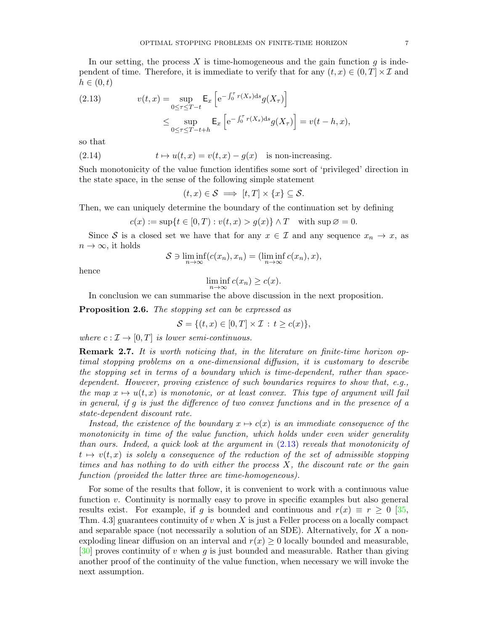In our setting, the process  $X$  is time-homogeneous and the gain function  $g$  is independent of time. Therefore, it is immediate to verify that for any  $(t, x) \in (0, T] \times \mathcal{I}$  and  $h \in (0,t)$ 

<span id="page-7-0"></span>(2.13) 
$$
v(t,x) = \sup_{0 \le \tau \le T-t} \mathsf{E}_x \left[ e^{-\int_0^{\tau} r(X_s) ds} g(X_{\tau}) \right]
$$

$$
\le \sup_{0 \le \tau \le T-t+h} \mathsf{E}_x \left[ e^{-\int_0^{\tau} r(X_s) ds} g(X_{\tau}) \right] = v(t-h,x),
$$

so that

(2.14) 
$$
t \mapsto u(t,x) = v(t,x) - g(x) \text{ is non-increasing.}
$$

Such monotonicity of the value function identifies some sort of 'privileged' direction in the state space, in the sense of the following simple statement

$$
(t,x)\in\mathcal{S} \implies [t,T]\times\{x\}\subseteq\mathcal{S}.
$$

Then, we can uniquely determine the boundary of the continuation set by defining

$$
c(x) := \sup\{t \in [0, T) : v(t, x) > g(x)\} \wedge T \quad \text{with } \sup \varnothing = 0.
$$

Since S is a closed set we have that for any  $x \in \mathcal{I}$  and any sequence  $x_n \to x$ , as  $n \to \infty$ , it holds

$$
S \ni \liminf_{n \to \infty} (c(x_n), x_n) = (\liminf_{n \to \infty} c(x_n), x),
$$

hence

 $\liminf_{n\to\infty} c(x_n) \geq c(x).$ 

In conclusion we can summarise the above discussion in the next proposition.

<span id="page-7-1"></span>Proposition 2.6. The stopping set can be expressed as

$$
\mathcal{S} = \{(t, x) \in [0, T] \times \mathcal{I} : t \ge c(x)\},\
$$

where  $c : \mathcal{I} \to [0,T]$  is lower semi-continuous.

Remark 2.7. It is worth noticing that, in the literature on finite-time horizon optimal stopping problems on a one-dimensional diffusion, it is customary to describe the stopping set in terms of a boundary which is time-dependent, rather than spacedependent. However, proving existence of such boundaries requires to show that, e.g., the map  $x \mapsto u(t, x)$  is monotonic, or at least convex. This type of argument will fail in general, if g is just the difference of two convex functions and in the presence of a state-dependent discount rate.

Instead, the existence of the boundary  $x \mapsto c(x)$  is an immediate consequence of the monotonicity in time of the value function, which holds under even wider generality than ours. Indeed, a quick look at the argument in [\(2.13\)](#page-7-0) reveals that monotonicity of  $t \mapsto v(t, x)$  is solely a consequence of the reduction of the set of admissible stopping times and has nothing to do with either the process  $X$ , the discount rate or the gain function (provided the latter three are time-homogeneous).

For some of the results that follow, it is convenient to work with a continuous value function v. Continuity is normally easy to prove in specific examples but also general results exist. For example, if g is bounded and continuous and  $r(x) \equiv r \ge 0$  [\[35,](#page-41-9) Thm. 4.3] guarantees continuity of v when X is just a Feller process on a locally compact and separable space (not necessarily a solution of an SDE). Alternatively, for  $X$  a nonexploding linear diffusion on an interval and  $r(x) \geq 0$  locally bounded and measurable,  $[30]$  proves continuity of v when g is just bounded and measurable. Rather than giving another proof of the continuity of the value function, when necessary we will invoke the next assumption.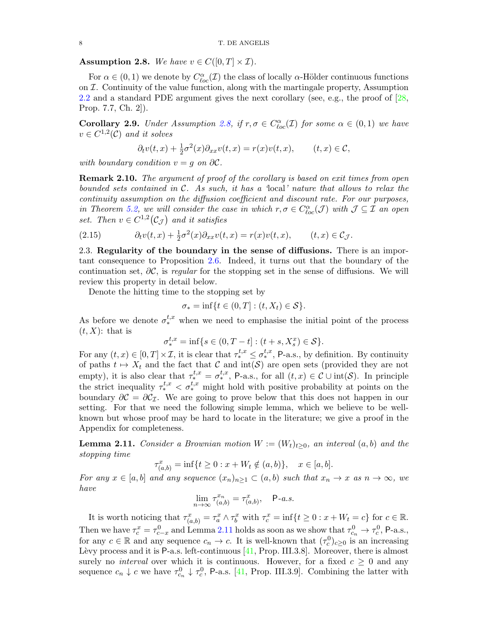<span id="page-8-0"></span>**Assumption 2.8.** We have  $v \in C([0, T] \times \mathcal{I})$ .

For  $\alpha \in (0,1)$  we denote by  $C^{\alpha}_{loc}(\mathcal{I})$  the class of locally  $\alpha$ -Hölder continuous functions on  $I$ . Continuity of the value function, along with the martingale property, Assumption [2.2](#page-4-0) and a standard PDE argument gives the next corollary (see, e.g., the proof of [\[28,](#page-40-22) Prop. 7.7, Ch. 2]).

<span id="page-8-2"></span>**Corollary 2.9.** Under Assumption [2.8,](#page-8-0) if  $r, \sigma \in C_{loc}^{\alpha}(\mathcal{I})$  for some  $\alpha \in (0,1)$  we have  $v \in C^{1,2}(\mathcal{C})$  and it solves

$$
\partial_t v(t,x) + \frac{1}{2}\sigma^2(x)\partial_{xx}v(t,x) = r(x)v(t,x), \qquad (t,x) \in \mathcal{C},
$$

with boundary condition  $v = q$  on  $\partial \mathcal{C}$ .

<span id="page-8-3"></span>**Remark 2.10.** The argument of proof of the corollary is based on exit times from open bounded sets contained in  $C$ . As such, it has a 'local' nature that allows to relax the continuity assumption on the diffusion coefficient and discount rate. For our purposes, in Theorem [5.2,](#page-24-1) we will consider the case in which  $r, \sigma \in C^{\alpha}_{loc}(\mathcal{J})$  with  $\mathcal{J} \subseteq \mathcal{I}$  an open set. Then  $v \in C^{1,2}(\mathcal{C}_{\mathcal{J}})$  and it satisfies

<span id="page-8-4"></span>(2.15) 
$$
\partial_t v(t,x) + \frac{1}{2}\sigma^2(x)\partial_{xx}v(t,x) = r(x)v(t,x), \qquad (t,x) \in \mathcal{C}_{\mathcal{J}}.
$$

2.3. Regularity of the boundary in the sense of diffusions. There is an important consequence to Proposition [2.6.](#page-7-1) Indeed, it turns out that the boundary of the continuation set,  $\partial \mathcal{C}$ , is regular for the stopping set in the sense of diffusions. We will review this property in detail below.

Denote the hitting time to the stopping set by

$$
\sigma_* = \inf\{t \in (0, T] : (t, X_t) \in \mathcal{S}\}.
$$

As before we denote  $\sigma_*^{t,x}$  when we need to emphasise the initial point of the process  $(t, X)$ : that is

$$
\sigma^{t,x}_* = \inf \{ s \in (0, T - t] : (t + s, X_s^x) \in \mathcal{S} \}.
$$

For any  $(t, x) \in [0, T] \times \mathcal{I}$ , it is clear that  $\tau^{t, x}_{*} \leq \sigma^{t, x}_{*}$ , P-a.s., by definition. By continuity of paths  $t \mapsto X_t$  and the fact that C and  $\text{int}(\mathcal{S})$  are open sets (provided they are not empty), it is also clear that  $\tau^{t,x}_* = \sigma^{t,x}_*$ , P-a.s., for all  $(t,x) \in \mathcal{C} \cup \text{int}(\mathcal{S})$ . In principle the strict inequality  $\tau^{t,x}_* < \sigma^{t,x}_*$  might hold with positive probability at points on the boundary  $\partial \mathcal{C} = \partial \mathcal{C}_{\mathcal{I}}$ . We are going to prove below that this does not happen in our setting. For that we need the following simple lemma, which we believe to be wellknown but whose proof may be hard to locate in the literature; we give a proof in the Appendix for completeness.

<span id="page-8-1"></span>**Lemma 2.11.** Consider a Brownian motion  $W := (W_t)_{t>0}$ , an interval  $(a, b)$  and the stopping time

$$
\tau_{(a,b)}^x = \inf\{t \ge 0 : x + W_t \notin (a,b)\}, \quad x \in [a,b].
$$

For any  $x \in [a, b]$  and any sequence  $(x_n)_{n>1} \subset (a, b)$  such that  $x_n \to x$  as  $n \to \infty$ , we have

$$
\lim_{n \to \infty} \tau_{(a,b)}^{x_n} = \tau_{(a,b)}^x, \quad \mathsf{P}\text{-}a.s.
$$

It is worth noticing that  $\tau_{(a,b)}^x = \tau_a^x \wedge \tau_b^x$  with  $\tau_c^x = \inf\{t \geq 0 : x + W_t = c\}$  for  $c \in \mathbb{R}$ . Then we have  $\tau_c^x = \tau_{c-x}^0$  and Lemma [2.11](#page-8-1) holds as soon as we show that  $\tau_{c_n}^0 \to \tau_c^0$ , P-a.s., for any  $c \in \mathbb{R}$  and any sequence  $c_n \to c$ . It is well-known that  $(\tau_c^0)_{c \geq 0}$  is an increasing Lèvy process and it is P-a.s. left-continuous  $[41,$  Prop. III.3.8]. Moreover, there is almost surely no *interval* over which it is continuous. However, for a fixed  $c \geq 0$  and any sequence  $c_n \downarrow c$  we have  $\tau_{c_n}^0 \downarrow \tau_c^0$ , P-a.s. [\[41,](#page-41-6) Prop. III.3.9]. Combining the latter with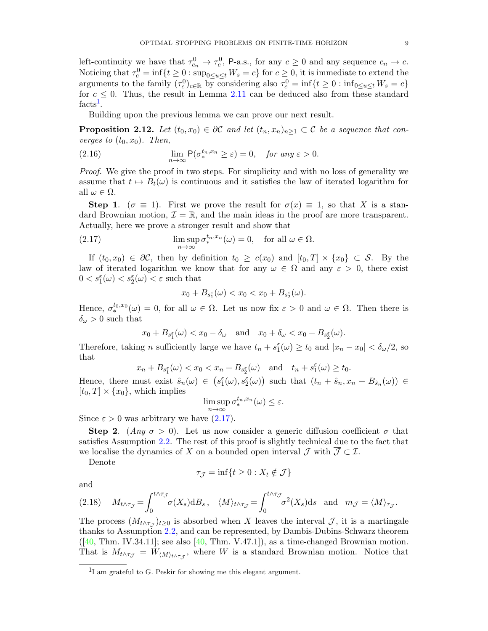left-continuity we have that  $\tau_{c_n}^0 \to \tau_c^0$ , P-a.s., for any  $c \geq 0$  and any sequence  $c_n \to c$ . Noticing that  $\tau_c^0 = \inf\{t \geq 0 : \sup_{0 \leq u \leq t} W_s = c\}$  for  $c \geq 0$ , it is immediate to extend the arguments to the family  $(\tau_c^0)_{c \in \mathbb{R}}$  by considering also  $\tau_c^0 = \inf\{t \geq 0 : \inf_{0 \leq u \leq t} W_s = c\}$ for  $c \leq 0$ . Thus, the result in Lemma [2.11](#page-8-1) can be deduced also from these standard  $facts<sup>1</sup>.$  $facts<sup>1</sup>.$  $facts<sup>1</sup>.$ 

Building upon the previous lemma we can prove our next result.

<span id="page-9-3"></span>**Proposition 2.12.** Let  $(t_0, x_0) \in \partial \mathcal{C}$  and let  $(t_n, x_n)_{n \geq 1} \subset \mathcal{C}$  be a sequence that converges to  $(t_0, x_0)$ . Then,

<span id="page-9-2"></span>(2.16) 
$$
\lim_{n \to \infty} \mathsf{P}(\sigma_*^{t_n, x_n} \geq \varepsilon) = 0, \quad \text{for any } \varepsilon > 0.
$$

Proof. We give the proof in two steps. For simplicity and with no loss of generality we assume that  $t \mapsto B_t(\omega)$  is continuous and it satisfies the law of iterated logarithm for all  $\omega \in \Omega$ .

**Step 1.** ( $\sigma \equiv 1$ ). First we prove the result for  $\sigma(x) \equiv 1$ , so that X is a standard Brownian motion,  $\mathcal{I} = \mathbb{R}$ , and the main ideas in the proof are more transparent. Actually, here we prove a stronger result and show that

<span id="page-9-1"></span>(2.17) 
$$
\limsup_{n \to \infty} \sigma_*^{t_n, x_n}(\omega) = 0, \text{ for all } \omega \in \Omega.
$$

If  $(t_0, x_0) \in \partial \mathcal{C}$ , then by definition  $t_0 \geq c(x_0)$  and  $[t_0, T] \times \{x_0\} \subset \mathcal{S}$ . By the law of iterated logarithm we know that for any  $\omega \in \Omega$  and any  $\varepsilon > 0$ , there exist  $0 < s_1^{\varepsilon}(\omega) < s_2^{\varepsilon}(\omega) < \varepsilon$  such that

$$
x_0+B_{s_1^{\varepsilon}}(\omega)
$$

Hence,  $\sigma^{t_0,x_0}_*(\omega) = 0$ , for all  $\omega \in \Omega$ . Let us now fix  $\varepsilon > 0$  and  $\omega \in \Omega$ . Then there is  $\delta_\omega>0$  such that

$$
x_0 + B_{s_1^{\varepsilon}}(\omega) < x_0 - \delta_{\omega}
$$
 and  $x_0 + \delta_{\omega} < x_0 + B_{s_2^{\varepsilon}}(\omega)$ .

Therefore, taking *n* sufficiently large we have  $t_n + s_1^{\varepsilon}(\omega) \ge t_0$  and  $|x_n - x_0| < \delta_{\omega}/2$ , so that

$$
x_n + B_{s_1^{\varepsilon}}(\omega) < x_0 < x_n + B_{s_2^{\varepsilon}}(\omega)
$$
 and  $t_n + s_1^{\varepsilon}(\omega) \ge t_0$ .

Hence, there must exist  $\hat{s}_n(\omega) \in (s_1^{\varepsilon}(\omega), s_2^{\varepsilon}(\omega))$  such that  $(t_n + \hat{s}_n, x_n + B_{\hat{s}_n}(\omega)) \in$  $[t_0, T] \times \{x_0\}$ , which implies

$$
\limsup_{n \to \infty} \sigma_*^{t_n, x_n}(\omega) \le \varepsilon.
$$

Since  $\varepsilon > 0$  was arbitrary we have  $(2.17)$ .

**Step 2.** (Any  $\sigma > 0$ ). Let us now consider a generic diffusion coefficient  $\sigma$  that satisfies Assumption [2.2.](#page-4-0) The rest of this proof is slightly technical due to the fact that we localise the dynamics of X on a bounded open interval  $\mathcal J$  with  $\overline{\mathcal J} \subset \mathcal I$ .

Denote

$$
\tau_{\mathcal{J}} = \inf\{t \ge 0 : X_t \notin \mathcal{J}\}
$$

and

<span id="page-9-4"></span>
$$
(2.18) \tM_{t \wedge \tau_{\mathcal{J}}} = \int_0^{t \wedge \tau_{\mathcal{J}}} \sigma(X_s) \mathrm{d}B_s \,, \quad \langle M \rangle_{t \wedge \tau_{\mathcal{J}}} = \int_0^{t \wedge \tau_{\mathcal{J}}} \sigma^2(X_s) \mathrm{d}s \text{ and } m_{\mathcal{J}} = \langle M \rangle_{\tau_{\mathcal{J}}}.
$$

The process  $(M_{t\wedge \tau_{\mathcal{J}}})_{t\geq 0}$  is absorbed when X leaves the interval  $\mathcal{J}$ , it is a martingale thanks to Assumption [2.2,](#page-4-0) and can be represented, by Dambis-Dubins-Schwarz theorem  $([40, Thm. IV.34.11];$  $([40, Thm. IV.34.11];$  $([40, Thm. IV.34.11];$  see also  $[40, Thm. V.47.1]),$  as a time-changed Brownian motion. That is  $M_{t \wedge \tau_{\mathcal{J}}} = W_{\langle M \rangle_{t \wedge \tau_{\mathcal{J}}}},$  where W is a standard Brownian motion. Notice that

<span id="page-9-0"></span><sup>&</sup>lt;sup>1</sup>I am grateful to G. Peskir for showing me this elegant argument.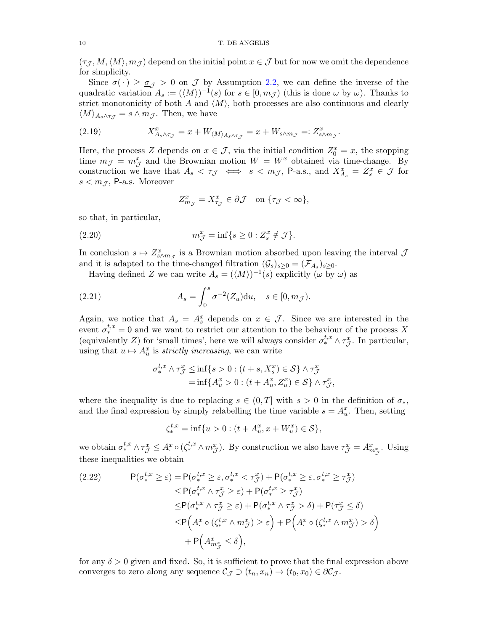$(\tau_{\mathcal{J}},M,\langle M\rangle,m_{\mathcal{J}})$  depend on the initial point  $x\in\mathcal{J}$  but for now we omit the dependence for simplicity.

Since  $\sigma(\cdot) \geq \sigma$  > 0 on  $\overline{\mathcal{J}}$  by Assumption [2.2,](#page-4-0) we can define the inverse of the quadratic variation  $A_s := (\langle M \rangle)^{-1}(s)$  for  $s \in [0, m_{\mathcal{J}})$  (this is done  $\omega$  by  $\omega$ ). Thanks to strict monotonicity of both A and  $\langle M \rangle$ , both processes are also continuous and clearly  $\langle M \rangle_{A_s \wedge \tau_\mathcal{T}} = s \wedge m_\mathcal{J}$ . Then, we have

<span id="page-10-1"></span>(2.19) 
$$
X_{A_s \wedge \tau_{\mathcal{J}}}^x = x + W_{\langle M \rangle_{A_s \wedge \tau_{\mathcal{J}}}} = x + W_{s \wedge m_{\mathcal{J}}} =: Z_{s \wedge m_{\mathcal{J}}}^x.
$$

Here, the process Z depends on  $x \in \mathcal{J}$ , via the initial condition  $Z_0^x = x$ , the stopping time  $m_{\mathcal{J}} = m_{\mathcal{J}}^x$  and the Brownian motion  $W = W^x$  obtained via time-change. By construction we have that  $A_s < \tau_{\mathcal{J}} \iff s < m_{\mathcal{J}}$ , P-a.s., and  $X_{A_s}^x = Z_s^x \in \mathcal{J}$  for  $s < m_{\mathcal{J}}$ , P-a.s. Moreover

$$
Z_{m_{\mathcal{J}}}^x = X_{\tau_{\mathcal{J}}}^x \in \partial \mathcal{J} \quad \text{on } \{\tau_{\mathcal{J}} < \infty\},
$$

so that, in particular,

(2.20) 
$$
m_{\mathcal{J}}^x = \inf\{s \ge 0 : Z_s^x \notin \mathcal{J}\}.
$$

In conclusion  $s \mapsto Z_{s \wedge m_{\mathcal{J}}}^x$  is a Brownian motion absorbed upon leaving the interval  $\mathcal{J}$ and it is adapted to the time-changed filtration  $(\mathcal{G}_s)_{s\geq 0} = (\mathcal{F}_{A_s})_{s\geq 0}$ .

Having defined Z we can write  $A_s = (\langle M \rangle)^{-1}(s)$  explicitly  $(\omega \bar{b}y \omega)$  as

(2.21) 
$$
A_s = \int_0^s \sigma^{-2}(Z_u) du, \quad s \in [0, m_{\mathcal{J}}).
$$

Again, we notice that  $A_s = A_s^x$  depends on  $x \in \mathcal{J}$ . Since we are interested in the event  $\sigma_{*}^{t,x} = 0$  and we want to restrict our attention to the behaviour of the process X (equivalently Z) for 'small times', here we will always consider  $\sigma^{t,x}_* \wedge \tau_{\mathcal{J}}^x$ . In particular, using that  $u \mapsto A_u^x$  is *strictly increasing*, we can write

$$
\sigma^{t,x}_* \wedge \tau^x_{\mathcal{J}} \le \inf\{s > 0 : (t+s, X^x_s) \in \mathcal{S}\} \wedge \tau^x_{\mathcal{J}}
$$
  
=  $\inf\{A^x_u > 0 : (t + A^x_u, Z^x_u) \in \mathcal{S}\} \wedge \tau^x_{\mathcal{J}},$ 

where the inequality is due to replacing  $s \in (0,T]$  with  $s > 0$  in the definition of  $\sigma_*$ , and the final expression by simply relabelling the time variable  $s = A_u^x$ . Then, setting

$$
\zeta^{t,x}_*=\inf\{u>0:(t+A^x_u,x+W^x_u)\in\mathcal{S}\},
$$

we obtain  $\sigma^{t,x}_* \wedge \tau^x_{\mathcal{J}} \leq A^x \circ (\zeta^{t,x}_* \wedge m^x_{\mathcal{J}})$ . By construction we also have  $\tau^x_{\mathcal{J}} = A^x_{m^x_{\mathcal{J}}}$ . Using these inequalities we obtain

<span id="page-10-0"></span>
$$
(2.22) \qquad \mathsf{P}(\sigma_{*}^{t,x} \geq \varepsilon) = \mathsf{P}(\sigma_{*}^{t,x} \geq \varepsilon, \sigma_{*}^{t,x} < \tau_{\mathcal{J}}^{x}) + \mathsf{P}(\sigma_{*}^{t,x} \geq \varepsilon, \sigma_{*}^{t,x} \geq \tau_{\mathcal{J}}^{x})
$$
\n
$$
\leq \mathsf{P}(\sigma_{*}^{t,x} \land \tau_{\mathcal{J}}^{x} \geq \varepsilon) + \mathsf{P}(\sigma_{*}^{t,x} \geq \tau_{\mathcal{J}}^{x})
$$
\n
$$
\leq \mathsf{P}(\sigma_{*}^{t,x} \land \tau_{\mathcal{J}}^{x} \geq \varepsilon) + \mathsf{P}(\sigma_{*}^{t,x} \land \tau_{\mathcal{J}}^{x} > \delta) + \mathsf{P}(\tau_{\mathcal{J}}^{x} \leq \delta)
$$
\n
$$
\leq \mathsf{P}\left(A^{x} \circ (\zeta_{*}^{t,x} \land m_{\mathcal{J}}^{x}) \geq \varepsilon\right) + \mathsf{P}\left(A^{x} \circ (\zeta_{*}^{t,x} \land m_{\mathcal{J}}^{x}) > \delta\right)
$$
\n
$$
+ \mathsf{P}\left(A^{x}_{m_{\mathcal{J}}} \leq \delta\right),
$$

for any  $\delta > 0$  given and fixed. So, it is sufficient to prove that the final expression above converges to zero along any sequence  $\mathcal{C}_{\mathcal{J}} \supset (t_n, x_n) \to (t_0, x_0) \in \partial \mathcal{C}_{\mathcal{J}}$ .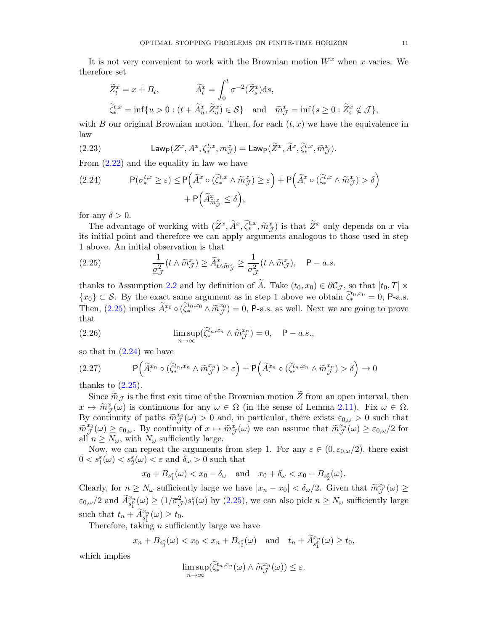It is not very convenient to work with the Brownian motion  $W^x$  when x varies. We therefore set

$$
\widetilde{Z}_t^x = x + B_t, \qquad \widetilde{A}_t^x = \int_0^t \sigma^{-2}(\widetilde{Z}_s^x) \mathrm{d}s,
$$
  

$$
\widetilde{\zeta}_*^{t,x} = \inf\{u > 0 : (t + \widetilde{A}_u^x, \widetilde{Z}_u^x) \in \mathcal{S}\} \quad \text{and} \quad \widetilde{m}_{\mathcal{J}}^x = \inf\{s \ge 0 : \widetilde{Z}_s^x \notin \mathcal{J}\},
$$

with B our original Brownian motion. Then, for each  $(t, x)$  we have the equivalence in law

<span id="page-11-4"></span>(2.23) 
$$
\mathsf{Law}_{\mathsf{P}}(Z^x, A^x, \zeta^{t,x}_*, m^x_{\mathcal{J}}) = \mathsf{Law}_{\mathsf{P}}(\widetilde{Z}^x, \widetilde{A}^x, \widetilde{\zeta}^{t,x}_*, \widetilde{m}^x_{\mathcal{J}}).
$$

From [\(2.22\)](#page-10-0) and the equality in law we have

<span id="page-11-1"></span>(2.24) 
$$
P(\sigma_{*}^{t,x} \geq \varepsilon) \leq P\left(\widetilde{A}_{*}^{x} \circ (\widetilde{\zeta}_{*}^{t,x} \wedge \widetilde{m}_{\mathcal{J}}^{x}) \geq \varepsilon\right) + P\left(\widetilde{A}_{*}^{x} \circ (\widetilde{\zeta}_{*}^{t,x} \wedge \widetilde{m}_{\mathcal{J}}^{x}) > \delta\right) + P\left(\widetilde{A}_{\widetilde{m}_{\mathcal{J}}^{x}}^{x} \leq \delta\right),
$$

for any  $\delta > 0$ .

The advantage of working with  $(\tilde{Z}^x, \tilde{A}^x, \tilde{\zeta}_*^{t,x}, \tilde{m}^x_{\tilde{J}})$  is that  $\tilde{Z}^x$  only depends on x via<br>initial point and therefore we can apply arguments analogous to these used in step its initial point and therefore we can apply arguments analogous to those used in step 1 above. An initial observation is that

<span id="page-11-0"></span>(2.25) 
$$
\frac{1}{\underline{\sigma}_{\mathcal{J}}^2}(t \wedge \widetilde{m}_{\mathcal{J}}^x) \geq \widetilde{A}_{t \wedge \widetilde{m}_{\mathcal{J}}^x}^x \geq \frac{1}{\overline{\sigma}_{\mathcal{J}}^2}(t \wedge \widetilde{m}_{\mathcal{J}}^x), \quad \mathsf{P}-a.s.
$$

thanks to Assumption [2.2](#page-4-0) and by definition of A. Take  $(t_0, x_0) \in \partial \mathcal{C}_{\mathcal{J}}$ , so that  $[t_0, T] \times$  ${x_0} \subset S$ . By the exact same argument as in step 1 above we obtain  $\tilde{\zeta}_*^{t_0,x_0} = 0$ , P-a.s. Then,  $(2.25)$  implies  $\widetilde{A}^{x_0}_\cdot \circ (\widetilde{\zeta}_*^{t_0,x_0} \wedge \widetilde{m}^{x_0}_{\mathcal{J}}) = 0$ , P-a.s. as well. Next we are going to prove that

<span id="page-11-2"></span>(2.26) 
$$
\limsup_{n \to \infty} (\widetilde{\zeta}_*^{t_n, x_n} \wedge \widetilde{m}_{\mathcal{J}}^{x_n}) = 0, \quad \mathsf{P}-a.s.,
$$

so that in  $(2.24)$  we have

<span id="page-11-3"></span>
$$
(2.27) \qquad \mathsf{P}\left(\widetilde{A}^{x_n}_\cdot \circ (\widetilde{\zeta}_*^{t_n, x_n} \wedge \widetilde{m}^{x_n}_\mathcal{J}) \ge \varepsilon\right) + \mathsf{P}\left(\widetilde{A}^{x_n}_\cdot \circ (\widetilde{\zeta}_*^{t_n, x_n} \wedge \widetilde{m}^{x_n}_\mathcal{J}) > \delta\right) \to 0
$$

thanks to  $(2.25)$ .

Since  $\widetilde{m}_{\mathcal{J}}$  is the first exit time of the Brownian motion  $\widetilde{Z}$  from an open interval, then  $x \mapsto \widetilde{m}^x_{\mathcal{J}}(\omega)$  is continuous for any  $\omega \in \Omega$  (in the sense of Lemma [2.11\)](#page-8-1). Fix  $\omega \in \Omega$ .<br>By continuity of paths  $\widetilde{m}^{x_0}(\omega) > 0$  and in particular, there exists  $\epsilon_0 > 0$  such that By continuity of paths  $\widetilde{m}_{\mathcal{J}}^{x_0}(\omega) > 0$  and, in particular, there exists  $\varepsilon_{0,\omega} > 0$  such that  $\widetilde{m}_{\mathcal{J}}^{x_0}(\omega) \geq \varepsilon_{0,\omega}$ . By continuity of  $x \mapsto \widetilde{m}_{\mathcal{J}}^x(\omega)$  we can assume that  $\widetilde{m}_{\mathcal{J}}^{x_n}(\omega) \geq \varepsilon_{0,\omega}/2$  for all  $n \geq N_{\omega}$ , with  $N_{\omega}$  sufficiently large.

Now, we can repeat the arguments from step 1. For any  $\varepsilon \in (0, \varepsilon_{0,\omega}/2)$ , there exist  $0 < s_1^{\varepsilon}(\omega) < s_2^{\varepsilon}(\omega) < \varepsilon$  and  $\delta_{\omega} > 0$  such that

$$
x_0 + B_{s_1^{\varepsilon}}(\omega) < x_0 - \delta_{\omega}
$$
 and  $x_0 + \delta_{\omega} < x_0 + B_{s_2^{\varepsilon}}(\omega)$ .

Clearly, for  $n \ge N_\omega$  sufficiently large we have  $|x_n - x_0| < \delta_\omega/2$ . Given that  $\widetilde{m}_{\mathcal{J}}^{x_n}(\omega) \ge$  $\varepsilon_{0,\omega}/2$  and  $\widetilde{A}_{s_1^{\varepsilon}}^{x_n}(\omega) \geq (1/\overline{\sigma}_{\mathcal{J}}^2)s_1^{\varepsilon}(\omega)$  by  $(2.25)$ , we can also pick  $n \geq N_{\omega}$  sufficiently large such that  $t_n + \widetilde{A}_{s_1^{\varepsilon}}^{x_n}(\omega) \ge t_0$ .

Therefore, taking *n* sufficiently large we have

$$
x_n + B_{s_1^{\varepsilon}}(\omega) < x_0 < x_n + B_{s_2^{\varepsilon}}(\omega)
$$
 and  $t_n + \widetilde{A}_{s_1^{\varepsilon}}^{x_n}(\omega) \ge t_0$ ,

which implies

$$
\limsup_{n\to\infty}(\widetilde{\zeta}_*^{t_n,x_n}(\omega)\wedge\widetilde{m}^{x_n}_{\mathcal{J}}(\omega))\leq\varepsilon.
$$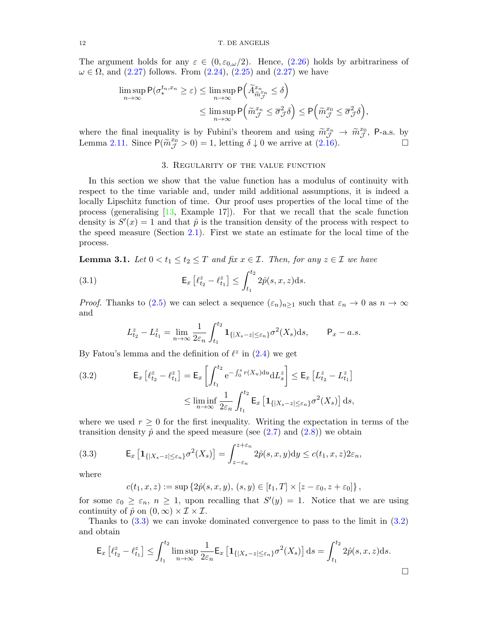The argument holds for any  $\varepsilon \in (0, \varepsilon_{0,\omega}/2)$ . Hence, [\(2.26\)](#page-11-2) holds by arbitrariness of  $\omega \in \Omega$ , and  $(2.27)$  follows. From  $(2.24)$ ,  $(2.25)$  and  $(2.27)$  we have

$$
\limsup_{n \to \infty} \mathsf{P}(\sigma_*^{t_n, x_n} \ge \varepsilon) \le \limsup_{n \to \infty} \mathsf{P}\left(\widetilde{A}_{\widetilde{m}_{\mathcal{J}}^{x_n}}^{x_n} \le \delta\right)
$$
\n
$$
\le \limsup_{n \to \infty} \mathsf{P}\left(\widetilde{m}_{\mathcal{J}}^{x_n} \le \overline{\sigma}_{\mathcal{J}}^2 \delta\right) \le \mathsf{P}\left(\widetilde{m}_{\mathcal{J}}^{x_0} \le \overline{\sigma}_{\mathcal{J}}^2 \delta\right),
$$

where the final inequality is by Fubini's theorem and using  $\tilde{m}_{\tilde{J}}^{x_n} \to \tilde{m}_{\tilde{J}}^{x_0}$ , P-a.s. by<br>Lomma 2.11, Since  $P(\tilde{m}_{\tilde{J}}^{x_0} > 0) = 1$ , letting  $\delta \downarrow 0$  we exprise at (2.16) Lemma [2.11.](#page-8-1) Since  $P(\tilde{m}_{\tilde{J}}^{x_0} > 0) = 1$ , letting  $\delta \downarrow 0$  we arrive at [\(2.16\)](#page-9-2).

#### 3. Regularity of the value function

<span id="page-12-0"></span>In this section we show that the value function has a modulus of continuity with respect to the time variable and, under mild additional assumptions, it is indeed a locally Lipschitz function of time. Our proof uses properties of the local time of the process (generalising [\[13,](#page-40-23) Example 17]). For that we recall that the scale function density is  $S'(x) = 1$  and that  $\hat{p}$  is the transition density of the process with respect to the speed measure (Section [2.1\)](#page-3-3). First we state an estimate for the local time of the process.

<span id="page-12-3"></span>**Lemma 3.1.** Let  $0 < t_1 \le t_2 \le T$  and fix  $x \in \mathcal{I}$ . Then, for any  $z \in \mathcal{I}$  we have

(3.1) 
$$
\mathsf{E}_x \left[ \ell_{t_2}^z - \ell_{t_1}^z \right] \leq \int_{t_1}^{t_2} 2\hat{p}(s, x, z) \, \mathrm{d}s.
$$

*Proof.* Thanks to [\(2.5\)](#page-4-5) we can select a sequence  $(\varepsilon_n)_{n>1}$  such that  $\varepsilon_n \to 0$  as  $n \to \infty$ and

$$
L_{t_2}^z - L_{t_1}^z = \lim_{n \to \infty} \frac{1}{2\varepsilon_n} \int_{t_1}^{t_2} \mathbf{1}_{\{|X_s - z| \le \varepsilon_n\}} \sigma^2(X_s) \, ds, \qquad \mathsf{P}_x - a.s.
$$

By Fatou's lemma and the definition of  $\ell^z$  in [\(2.4\)](#page-4-6) we get

<span id="page-12-2"></span>(3.2) 
$$
\mathsf{E}_{x} \left[ \ell_{t_{2}}^{z} - \ell_{t_{1}}^{z} \right] = \mathsf{E}_{x} \left[ \int_{t_{1}}^{t_{2}} e^{-\int_{0}^{s} r(X_{u}) du} dL_{s}^{z} \right] \leq \mathsf{E}_{x} \left[ L_{t_{2}}^{z} - L_{t_{1}}^{z} \right] \leq \liminf_{n \to \infty} \frac{1}{2\varepsilon_{n}} \int_{t_{1}}^{t_{2}} \mathsf{E}_{x} \left[ \mathbf{1}_{\{|X_{s} - z| \leq \varepsilon_{n}\}} \sigma^{2}(X_{s}) \right] ds,
$$

where we used  $r \geq 0$  for the first inequality. Writing the expectation in terms of the transition density  $\hat{p}$  and the speed measure (see [\(2.7\)](#page-5-0) and [\(2.8\)](#page-5-1)) we obtain

<span id="page-12-1"></span>(3.3) 
$$
\mathsf{E}_x \left[ \mathbf{1}_{\{|X_s - z| \le \varepsilon_n\}} \sigma^2(X_s) \right] = \int_{z-\varepsilon_n}^{z+\varepsilon_n} 2\hat{p}(s, x, y) dy \le c(t_1, x, z) 2\varepsilon_n,
$$

where

$$
c(t_1, x, z) := \sup \{ 2\hat{p}(s, x, y), (s, y) \in [t_1, T] \times [z - \varepsilon_0, z + \varepsilon_0] \},
$$

for some  $\varepsilon_0 \geq \varepsilon_n$ ,  $n \geq 1$ , upon recalling that  $S'(y) = 1$ . Notice that we are using continuity of  $\hat{p}$  on  $(0,\infty) \times \mathcal{I} \times \mathcal{I}$ .

Thanks to [\(3.3\)](#page-12-1) we can invoke dominated convergence to pass to the limit in [\(3.2\)](#page-12-2) and obtain

$$
\mathsf{E}_x\left[\ell_{t_2}^z - \ell_{t_1}^z\right] \le \int_{t_1}^{t_2} \limsup_{n \to \infty} \frac{1}{2\varepsilon_n} \mathsf{E}_x\left[\mathbf{1}_{\{|X_s - z| \le \varepsilon_n\}} \sigma^2(X_s)\right] ds = \int_{t_1}^{t_2} 2\hat{p}(s, x, z) ds.
$$

$$
\Box
$$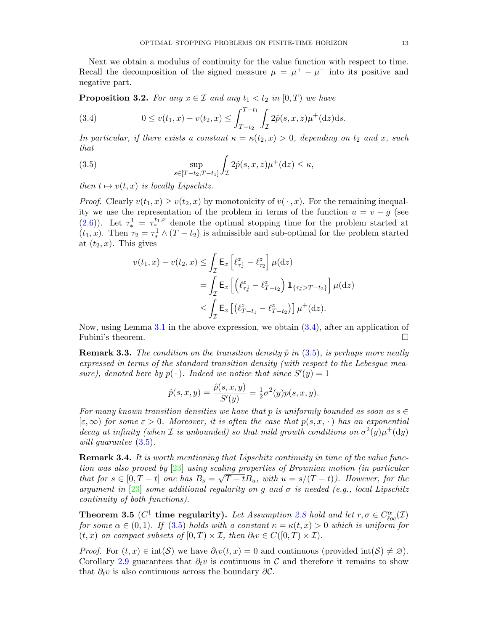Next we obtain a modulus of continuity for the value function with respect to time. Recall the decomposition of the signed measure  $\mu = \mu^+ - \mu^-$  into its positive and negative part.

**Proposition 3.2.** For any  $x \in \mathcal{I}$  and any  $t_1 < t_2$  in  $[0, T)$  we have

<span id="page-13-0"></span>(3.4) 
$$
0 \le v(t_1, x) - v(t_2, x) \le \int_{T-t_2}^{T-t_1} \int_{\mathcal{I}} 2\hat{p}(s, x, z) \mu^+(dz) ds.
$$

In particular, if there exists a constant  $\kappa = \kappa(t_2, x) > 0$ , depending on  $t_2$  and x, such that

<span id="page-13-1"></span>(3.5) 
$$
\sup_{s \in [T-t_2, T-t_1]} \int_{\mathcal{I}} 2\hat{p}(s, x, z) \mu^+(dz) \leq \kappa,
$$

then  $t \mapsto v(t, x)$  is locally Lipschitz.

*Proof.* Clearly  $v(t_1, x) \geq v(t_2, x)$  by monotonicity of  $v(\cdot, x)$ . For the remaining inequality we use the representation of the problem in terms of the function  $u = v - g$  (see [\(2.6\)](#page-4-1)). Let  $\tau_*^1 = \tau_*^{t_1,x}$  denote the optimal stopping time for the problem started at  $(t_1, x)$ . Then  $\tau_2 = \tau_*^1 \wedge (T - t_2)$  is admissible and sub-optimal for the problem started at  $(t_2, x)$ . This gives

$$
v(t_1, x) - v(t_2, x) \le \int_{\mathcal{I}} \mathsf{E}_x \left[ \ell_{\tau_*^1}^z - \ell_{\tau_2}^z \right] \mu(\mathrm{d}z)
$$
  
= 
$$
\int_{\mathcal{I}} \mathsf{E}_x \left[ \left( \ell_{\tau_*^1}^z - \ell_{T-t_2}^z \right) \mathbf{1}_{\{\tau_*^1 > T-t_2\}} \right] \mu(\mathrm{d}z)
$$
  

$$
\le \int_{\mathcal{I}} \mathsf{E}_x \left[ \left( \ell_{T-t_1}^z - \ell_{T-t_2}^z \right) \right] \mu^+(\mathrm{d}z).
$$

Now, using Lemma [3.1](#page-12-3) in the above expression, we obtain [\(3.4\)](#page-13-0), after an application of Fubini's theorem.  $\hfill \square$ 

**Remark 3.3.** The condition on the transition density  $\hat{p}$  in [\(3.5\)](#page-13-1), is perhaps more neatly expressed in terms of the standard transition density (with respect to the Lebesgue measure), denoted here by  $p(\cdot)$ . Indeed we notice that since  $S'(y) = 1$ 

$$
\hat{p}(s, x, y) = \frac{\hat{p}(s, x, y)}{S'(y)} = \frac{1}{2}\sigma^2(y)p(s, x, y).
$$

For many known transition densities we have that p is uniformly bounded as soon as  $s \in \mathbb{R}$  $[\varepsilon,\infty)$  for some  $\varepsilon > 0$ . Moreover, it is often the case that  $p(s,x,\cdot)$  has an exponential decay at infinity (when *I* is unbounded) so that mild growth conditions on  $\sigma^2(y)\mu^+(\text{d}y)$ will guarantee  $(3.5)$ .

**Remark 3.4.** It is worth mentioning that Lipschitz continuity in time of the value function was also proved by  $[23]$  using scaling properties of Brownian motion (in particular that for  $s \in [0, T - t]$  one has  $B_s = \sqrt{T - t}B_u$ , with  $u = s/(T - t)$ ). However, for the argument in [\[23\]](#page-40-15) some additional regularity on g and  $\sigma$  is needed (e.g., local Lipschitz continuity of both functions).

<span id="page-13-2"></span>**Theorem 3.5** ( $C^1$  time regularity). Let Assumption [2.8](#page-8-0) hold and let  $r, \sigma \in C_{loc}^{\alpha}(\mathcal{I})$ for some  $\alpha \in (0,1)$ . If  $(3.5)$  holds with a constant  $\kappa = \kappa(t,x) > 0$  which is uniform for  $(t, x)$  on compact subsets of  $[0, T) \times I$ , then  $\partial_t v \in C([0, T) \times I)$ .

*Proof.* For  $(t, x) \in \text{int}(\mathcal{S})$  we have  $\partial_t v(t, x) = 0$  and continuous (provided  $\text{int}(\mathcal{S}) \neq \emptyset$ ). Corollary [2.9](#page-8-2) guarantees that  $\partial_t v$  is continuous in C and therefore it remains to show that  $\partial_t v$  is also continuous across the boundary  $\partial \mathcal{C}$ .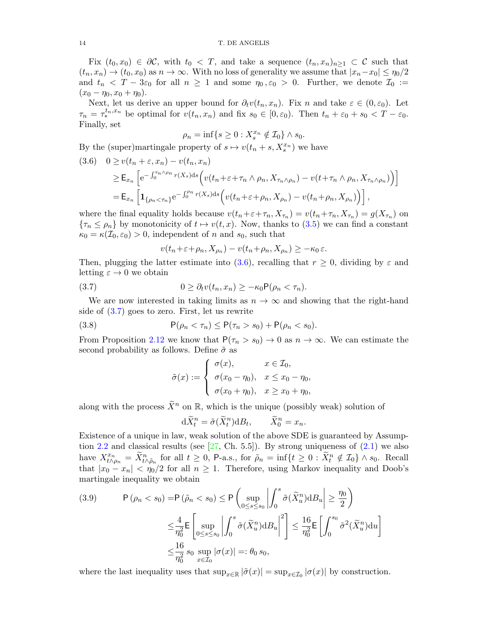Fix  $(t_0, x_0) \in \partial \mathcal{C}$ , with  $t_0 < T$ , and take a sequence  $(t_n, x_n)_{n \geq 1} \subset \mathcal{C}$  such that  $(t_n, x_n) \to (t_0, x_0)$  as  $n \to \infty$ . With no loss of generality we assume that  $|x_n-x_0| \leq \eta_0/2$ and  $t_n < T - 3\varepsilon_0$  for all  $n \ge 1$  and some  $\eta_0, \varepsilon_0 > 0$ . Further, we denote  $\mathcal{I}_0 :=$  $(x_0 - \eta_0, x_0 + \eta_0).$ 

Next, let us derive an upper bound for  $\partial_t v(t_n, x_n)$ . Fix n and take  $\varepsilon \in (0, \varepsilon_0)$ . Let  $\tau_n = \tau_*^{t_n, x_n}$  be optimal for  $v(t_n, x_n)$  and fix  $s_0 \in [0, \varepsilon_0)$ . Then  $t_n + \varepsilon_0 + s_0 < T - \varepsilon_0$ . Finally, set

$$
\rho_n = \inf\{s \ge 0 : X_s^{x_n} \notin \mathcal{I}_0\} \wedge s_0.
$$

By the (super)martingale property of  $s \mapsto v(t_n + s, X_s^{x_n})$  we have

<span id="page-14-0"></span>
$$
(3.6) \quad 0 \ge v(t_n + \varepsilon, x_n) - v(t_n, x_n)
$$
  
\n
$$
\ge \mathsf{E}_{x_n} \left[ e^{-\int_0^{\tau_n \wedge \rho_n} r(X_s) \, ds} \left( v(t_n + \varepsilon + \tau_n \wedge \rho_n, X_{\tau_n \wedge \rho_n}) - v(t + \tau_n \wedge \rho_n, X_{\tau_n \wedge \rho_n}) \right) \right]
$$
  
\n
$$
= \mathsf{E}_{x_n} \left[ \mathbf{1}_{\{\rho_n < \tau_n\}} e^{-\int_0^{\rho_n} r(X_s) \, ds} \left( v(t_n + \varepsilon + \rho_n, X_{\rho_n}) - v(t_n + \rho_n, X_{\rho_n}) \right) \right],
$$

where the final equality holds because  $v(t_n+\varepsilon+\tau_n, X_{\tau_n}) = v(t_n+\tau_n, X_{\tau_n}) = g(X_{\tau_n})$  on  ${\tau_n \leq \rho_n}$  by monotonicity of  $t \mapsto v(t, x)$ . Now, thanks to  $(3.5)$  we can find a constant  $\kappa_0 = \kappa(\mathcal{I}_0, \varepsilon_0) > 0$ , independent of n and  $s_0$ , such that

$$
v(t_n+\varepsilon+\rho_n,X_{\rho_n})-v(t_n+\rho_n,X_{\rho_n})\geq -\kappa_0\varepsilon.
$$

Then, plugging the latter estimate into [\(3.6\)](#page-14-0), recalling that  $r \geq 0$ , dividing by  $\varepsilon$  and letting  $\varepsilon \to 0$  we obtain

<span id="page-14-1"></span>(3.7) 
$$
0 \geq \partial_t v(t_n, x_n) \geq -\kappa_0 \mathsf{P}(\rho_n < \tau_n).
$$

We are now interested in taking limits as  $n \to \infty$  and showing that the right-hand side of [\(3.7\)](#page-14-1) goes to zero. First, let us rewrite

<span id="page-14-2"></span>(3.8) 
$$
P(\rho_n < \tau_n) \le P(\tau_n > s_0) + P(\rho_n < s_0).
$$

From Proposition [2.12](#page-9-3) we know that  $P(\tau_n > s_0) \to 0$  as  $n \to \infty$ . We can estimate the second probability as follows. Define  $\tilde{\sigma}$  as

$$
\tilde{\sigma}(x) := \begin{cases}\n\sigma(x), & x \in \mathcal{I}_0, \\
\sigma(x_0 - \eta_0), & x \le x_0 - \eta_0, \\
\sigma(x_0 + \eta_0), & x \ge x_0 + \eta_0,\n\end{cases}
$$

along with the process  $\widetilde{X}^n$  on R, which is the unique (possibly weak) solution of

$$
d\widetilde{X}_t^n = \widetilde{\sigma}(\widetilde{X}_t^n) dB_t, \qquad \widetilde{X}_0^n = x_n.
$$

Existence of a unique in law, weak solution of the above SDE is guaranteed by Assump-tion [2.2](#page-4-0) and classical results (see  $[27, Ch. 5.5]$  $[27, Ch. 5.5]$ ). By strong uniqueness of  $(2.1)$  we also have  $X^{x_n}_{t \wedge \rho_n} = \tilde{X}^n_{t \wedge \tilde{\rho}_n}$  for all  $t \geq 0$ , P-a.s., for  $\tilde{\rho}_n = \inf\{t \geq 0 : \tilde{X}^n_t \notin \mathcal{I}_0\} \wedge s_0$ . Recall that  $|x_0 - x_n| < \eta_0/2$  for all  $n \ge 1$ . Therefore, using Markov inequality and Doob's martingale inequality we obtain

<span id="page-14-3"></span>(3.9) 
$$
\mathsf{P}(\rho_n < s_0) = \mathsf{P}(\tilde{\rho}_n < s_0) \le \mathsf{P}\left(\sup_{0 \le s \le s_0} \left| \int_0^s \tilde{\sigma}(\tilde{X}_u^n) \mathrm{d}B_u \right| \ge \frac{\eta_0}{2} \right)
$$

$$
\le \frac{4}{\eta_0^2} \mathsf{E}\left[\sup_{0 \le s \le s_0} \left| \int_0^s \tilde{\sigma}(\tilde{X}_u^n) \mathrm{d}B_u \right|^2 \right] \le \frac{16}{\eta_0^2} \mathsf{E}\left[\int_0^{s_0} \tilde{\sigma}^2(\tilde{X}_u^n) \mathrm{d}u \right]
$$

$$
\le \frac{16}{\eta_0^2} s_0 \sup_{x \in \mathcal{I}_0} |\sigma(x)| =: \theta_0 s_0,
$$

where the last inequality uses that  $\sup_{x \in \mathbb{R}} |\tilde{\sigma}(x)| = \sup_{x \in \mathcal{I}_0} |\sigma(x)|$  by construction.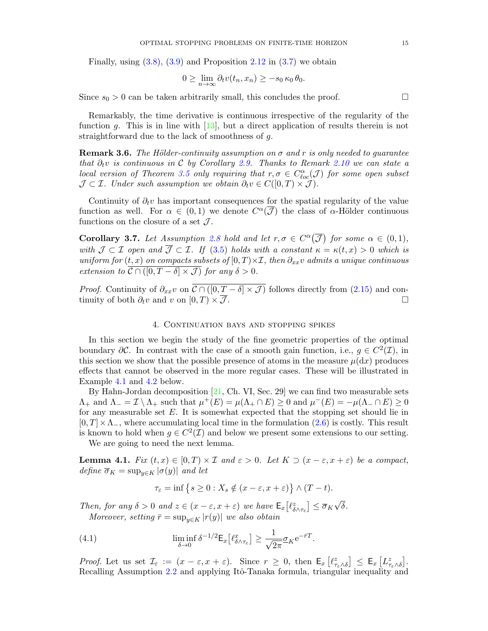Finally, using  $(3.8)$ ,  $(3.9)$  and Proposition [2.12](#page-9-3) in  $(3.7)$  we obtain

$$
0 \geq \lim_{n \to \infty} \partial_t v(t_n, x_n) \geq -s_0 \kappa_0 \theta_0.
$$

Since  $s_0 > 0$  can be taken arbitrarily small, this concludes the proof.

Remarkably, the time derivative is continuous irrespective of the regularity of the function g. This is in line with  $[13]$ , but a direct application of results therein is not straightforward due to the lack of smoothness of g.

<span id="page-15-3"></span>**Remark 3.6.** The Hölder-continuity assumption on  $\sigma$  and r is only needed to quarantee that  $\partial_t v$  is continuous in C by Corollary [2.9.](#page-8-2) Thanks to Remark [2.10](#page-8-3) we can state a local version of Theorem [3.5](#page-13-2) only requiring that  $r, \sigma \in C^{\alpha}_{loc}(\mathcal{J})$  for some open subset  $\mathcal{J} \subset \mathcal{I}$ . Under such assumption we obtain  $\partial_t v \in C([0,T) \times \mathcal{J})$ .

Continuity of  $\partial_t v$  has important consequences for the spatial regularity of the value function as well. For  $\alpha \in (0,1)$  we denote  $C^{\alpha}(\overline{\mathcal{J}})$  the class of  $\alpha$ -Hölder continuous functions on the closure of a set  $\mathcal{J}$ .

<span id="page-15-4"></span>**Corollary 3.7.** Let Assumption [2.8](#page-8-0) hold and let  $r, \sigma \in C^{\alpha}(\overline{\mathcal{J}})$  for some  $\alpha \in (0,1)$ , with  $\mathcal{J} \subset \mathcal{I}$  open and  $\overline{\mathcal{J}} \subset \mathcal{I}$ . If [\(3.5\)](#page-13-1) holds with a constant  $\kappa = \kappa(t, x) > 0$  which is uniform for  $(t, x)$  on compacts subsets of  $[0, T) \times I$ , then  $\partial_{xx}v$  admits a unique continuous extension to  $\overline{\mathcal{C} \cap ([0, T - \delta] \times \mathcal{J})}$  for any  $\delta > 0$ .

*Proof.* Continuity of  $\partial_{xx}v$  on  $\overline{\mathcal{C} \cap ([0, \underline{T} - \delta] \times \mathcal{J})}$  follows directly from [\(2.15\)](#page-8-4) and continuity of both  $\partial_t v$  and v on  $[0, T) \times \overline{\mathcal{J}}$ .

## 4. Continuation bays and stopping spikes

<span id="page-15-0"></span>In this section we begin the study of the fine geometric properties of the optimal boundary  $\partial \mathcal{C}$ . In contrast with the case of a smooth gain function, i.e.,  $g \in C^2(\mathcal{I})$ , in this section we show that the possible presence of atoms in the measure  $\mu(dx)$  produces effects that cannot be observed in the more regular cases. These will be illustrated in Example [4.1](#page-21-0) and [4.2](#page-23-0) below.

By Hahn-Jordan decomposition [\[21,](#page-40-24) Ch. VI, Sec. 29] we can find two measurable sets  $\Lambda_+$  and  $\Lambda_- = \mathcal{I} \setminus \Lambda_+$  such that  $\mu^+(E) = \mu(\Lambda_+ \cap E) \geq 0$  and  $\mu^-(E) = -\mu(\Lambda_- \cap E) \geq 0$ for any measurable set  $E$ . It is somewhat expected that the stopping set should lie in  $[0, T] \times \Lambda_-,$  where accumulating local time in the formulation  $(2.6)$  is costly. This result is known to hold when  $g \in C^2(\mathcal{I})$  and below we present some extensions to our setting.

We are going to need the next lemma.

<span id="page-15-2"></span>**Lemma 4.1.** Fix  $(t, x) \in [0, T) \times \mathcal{I}$  and  $\varepsilon > 0$ . Let  $K \supset (x - \varepsilon, x + \varepsilon)$  be a compact, define  $\overline{\sigma}_K = \sup_{y \in K} |\sigma(y)|$  and let

$$
\tau_{\varepsilon} = \inf \left\{ s \ge 0 : X_s \notin (x - \varepsilon, x + \varepsilon) \right\} \wedge (T - t).
$$

Then, for any  $\delta > 0$  and  $z \in (x - \varepsilon, x + \varepsilon)$  we have  $\mathsf{E}_x[\ell^z_{\delta \wedge \tau_{\varepsilon}}] \leq \overline{\sigma}_K$ √ δ. Moreover, setting  $\bar{r} = \sup_{y \in K} |r(y)|$  we also obtain

<span id="page-15-1"></span>(4.1) 
$$
\liminf_{\delta \to 0} \delta^{-1/2} \mathsf{E}_x \left[ \ell_{\delta \wedge \tau_{\varepsilon}}^x \right] \geq \frac{1}{\sqrt{2\pi}} \underline{\sigma}_K e^{-\bar{r}T}.
$$

Proof. Let us set  $\mathcal{I}_{\varepsilon} := (x - \varepsilon, x + \varepsilon)$ . Since  $r \geq 0$ , then  $\mathsf{E}_x \left[ \ell^z_{\tau_{\varepsilon} \wedge \delta} \right] \leq \mathsf{E}_x \left[ L^z_{\tau_{\varepsilon} \wedge \delta} \right]$ . Recalling Assumption [2.2](#page-4-0) and applying Itô-Tanaka formula, triangular inequality and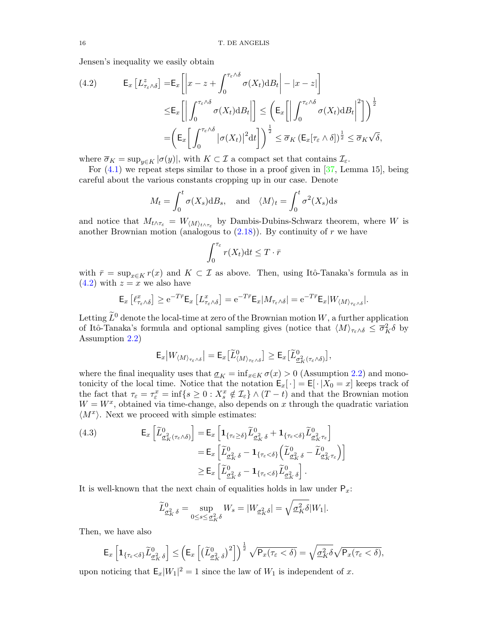Jensen's inequality we easily obtain

<span id="page-16-0"></span>(4.2) 
$$
\mathsf{E}_{x} \left[ L^{z}_{\tau_{\varepsilon} \wedge \delta} \right] = \mathsf{E}_{x} \left[ \left| x - z + \int_{0}^{\tau_{\varepsilon} \wedge \delta} \sigma(X_{t}) \mathrm{d}B_{t} \right| - |x - z| \right] \leq \mathsf{E}_{x} \left[ \left| \int_{0}^{\tau_{\varepsilon} \wedge \delta} \sigma(X_{t}) \mathrm{d}B_{t} \right| \right] \leq \left( \mathsf{E}_{x} \left[ \left| \int_{0}^{\tau_{\varepsilon} \wedge \delta} \sigma(X_{t}) \mathrm{d}B_{t} \right|^{2} \right] \right)^{\frac{1}{2}} \\ = \left( \mathsf{E}_{x} \left[ \int_{0}^{\tau_{\varepsilon} \wedge \delta} \left| \sigma(X_{t}) \right|^{2} \mathrm{d}t \right] \right)^{\frac{1}{2}} \leq \overline{\sigma}_{K} \left( \mathsf{E}_{x} \left[ \tau_{\varepsilon} \wedge \delta \right] \right)^{\frac{1}{2}} \leq \overline{\sigma}_{K} \sqrt{\delta},
$$

where  $\overline{\sigma}_K = \sup_{y \in K} |\sigma(y)|$ , with  $K \subset \mathcal{I}$  a compact set that contains  $\mathcal{I}_{\varepsilon}$ .

For [\(4.1\)](#page-15-1) we repeat steps similar to those in a proof given in [\[37,](#page-41-1) Lemma 15], being careful about the various constants cropping up in our case. Denote

$$
M_t = \int_0^t \sigma(X_s) dB_s
$$
, and  $\langle M \rangle_t = \int_0^t \sigma^2(X_s) ds$ 

and notice that  $M_{t \wedge \tau_{\varepsilon}} = W_{\langle M \rangle_{t \wedge \tau_{\varepsilon}}}$  by Dambis-Dubins-Schwarz theorem, where W is another Brownian motion (analogous to  $(2.18)$ ). By continuity of r we have

$$
\int_0^{\tau_{\varepsilon}} r(X_t) dt \leq T \cdot \bar{r}
$$

with  $\bar{r} = \sup_{x \in K} r(x)$  and  $K \subset \mathcal{I}$  as above. Then, using Itô-Tanaka's formula as in  $(4.2)$  with  $z = x$  we also have

$$
\mathsf{E}_x\left[\ell^x_{\tau_\varepsilon\wedge\delta}\right]\geq \mathrm{e}^{-T\bar{r}}\mathsf{E}_x\left[L^x_{\tau_\varepsilon\wedge\delta}\right]=\mathrm{e}^{-T\bar{r}}\mathsf{E}_x|M_{\tau_\varepsilon\wedge\delta}|=\mathrm{e}^{-T\bar{r}}\mathsf{E}_x|W_{\langle M\rangle_{\tau_\varepsilon\wedge\delta}}|.
$$

Letting  $\tilde{L}^0$  denote the local-time at zero of the Brownian motion W, a further application of Itô-Tanaka's formula and optional sampling gives (notice that  $\langle M \rangle_{\tau_\varepsilon \wedge \delta} \leq \overline{\sigma}_K^2 \delta$  by Assumption [2.2\)](#page-4-0)

$$
\mathsf{E}_x|W_{\langle M\rangle_{\tau_\varepsilon\wedge\delta}}| = \mathsf{E}_x\big[\widetilde{L}^0_{\langle M\rangle_{\tau_\varepsilon\wedge\delta}}\big] \ge \mathsf{E}_x\big[\widetilde{L}^0_{\underline{\sigma}^2_K(\tau_\varepsilon\wedge\delta)}\big],
$$

where the final inequality uses that  $\sigma_K = \inf_{x \in K} \sigma(x) > 0$  (Assumption [2.2\)](#page-4-0) and monotonicity of the local time. Notice that the notation  $\mathsf{E}_x[\cdot] = \mathsf{E}[\cdot|X_0=x]$  keeps track of the fact that  $\tau_{\varepsilon} = \tau_{\varepsilon}^x = \inf\{s \geq 0 : X_s^x \notin \mathcal{I}_{\varepsilon}\}\wedge (T-t)$  and that the Brownian motion  $W = W^x$ , obtained via time-change, also depends on x through the quadratic variation  $\langle M^x \rangle$ . Next we proceed with simple estimates:

<span id="page-16-1"></span>(4.3) 
$$
\mathsf{E}_{x}\left[\widetilde{L}_{\underline{\sigma}_{K}^{2}(\tau_{\varepsilon}\wedge\delta)}^{0}\right] = \mathsf{E}_{x}\left[\mathbf{1}_{\{\tau_{\varepsilon}\geq\delta\}}\widetilde{L}_{\underline{\sigma}_{K}^{2}\delta}^{0} + \mathbf{1}_{\{\tau_{\varepsilon}<\delta\}}\widetilde{L}_{\underline{\sigma}_{K}^{2}\tau_{\varepsilon}}^{0}\right] \n= \mathsf{E}_{x}\left[\widetilde{L}_{\underline{\sigma}_{K}^{2}\delta}^{0} - \mathbf{1}_{\{\tau_{\varepsilon}<\delta\}}\left(\widetilde{L}_{\underline{\sigma}_{K}^{2}\delta}^{0} - \widetilde{L}_{\underline{\sigma}_{K}^{2}\tau_{\varepsilon}}^{0}\right)\right] \n\geq \mathsf{E}_{x}\left[\widetilde{L}_{\underline{\sigma}_{K}^{2}\delta}^{0} - \mathbf{1}_{\{\tau_{\varepsilon}<\delta\}}\widetilde{L}_{\underline{\sigma}_{K}^{2}\delta}^{0}\right].
$$

It is well-known that the next chain of equalities holds in law under  $P_x$ :

$$
\widetilde{L}_{\underline{\sigma}_K^2 \delta}^0 = \sup_{0 \le s \le \underline{\sigma}_K^2 \delta} W_s = |W_{\underline{\sigma}_K^2 \delta}| = \sqrt{\underline{\sigma}_K^2 \delta}|W_1|.
$$

Then, we have also

$$
\mathsf{E}_x\left[\mathbf{1}_{\{\tau_\varepsilon<\delta\}}\widetilde{L}_{\underline{\sigma}_K^2\delta}^0\right]\leq \left(\mathsf{E}_x\left[\left(\widetilde{L}_{\underline{\sigma}_K^2\delta}^0\right)^2\right]\right)^{\frac{1}{2}}\sqrt{\mathsf{P}_x(\tau_\varepsilon<\delta)}=\sqrt{\underline{\sigma}_K^2\delta}\sqrt{\mathsf{P}_x(\tau_\varepsilon<\delta)},
$$

upon noticing that  $\mathsf{E}_x|W_1|^2 = 1$  since the law of  $W_1$  is independent of x.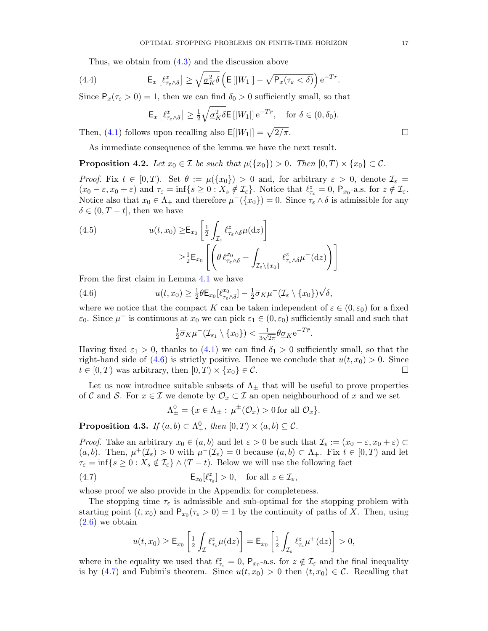Thus, we obtain from [\(4.3\)](#page-16-1) and the discussion above

<span id="page-17-3"></span>(4.4) 
$$
\mathsf{E}_x\left[\ell^x_{\tau_{\varepsilon}\wedge\delta}\right] \geq \sqrt{\underline{\sigma}_K^2\delta}\left(\mathsf{E}\left[|W_1|\right] - \sqrt{\mathsf{P}_x(\tau_{\varepsilon} < \delta)}\right) e^{-T\bar{r}}.
$$

Since  $P_x(\tau_{\epsilon} > 0) = 1$ , then we can find  $\delta_0 > 0$  sufficiently small, so that

$$
\mathsf{E}_x\left[\ell^x_{\tau_\varepsilon\wedge\delta}\right] \ge \frac{1}{2} \sqrt{\underline{\sigma}_K^2 \delta} \mathsf{E}\left[\left|W_1\right|\right] e^{-T\bar{r}}, \quad \text{for } \delta \in (0, \delta_0).
$$

Then, [\(4.1\)](#page-15-1) follows upon recalling also  $E[|W_1|] = \sqrt{2/\pi}$ .

As immediate consequence of the lemma we have the next result.

<span id="page-17-4"></span>**Proposition 4.2.** Let  $x_0 \in \mathcal{I}$  be such that  $\mu({x_0}) > 0$ . Then  $[0, T) \times {x_0} \subset \mathcal{C}$ .

Proof. Fix  $t \in [0, T)$ . Set  $\theta := \mu({x_0}) > 0$  and, for arbitrary  $\varepsilon > 0$ , denote  $\mathcal{I}_{\varepsilon} =$  $(x_0 - \varepsilon, x_0 + \varepsilon)$  and  $\tau_{\varepsilon} = \inf\{s \ge 0 : X_s \notin \mathcal{I}_{\varepsilon}\}\.$  Notice that  $\ell^z_{\tau_{\varepsilon}} = 0$ ,  $P_{x_0}$ -a.s. for  $z \notin \mathcal{I}_{\varepsilon}$ . Notice also that  $x_0 \in \Lambda_+$  and therefore  $\mu^-(\{x_0\}) = 0$ . Since  $\tau_{\varepsilon} \wedge \delta$  is admissible for any  $\delta \in (0, T - t]$ , then we have

(4.5) 
$$
u(t, x_0) \geq \mathsf{E}_{x_0} \left[ \frac{1}{2} \int_{\mathcal{I}_{\varepsilon}} \ell^z_{\tau_{\varepsilon} \wedge \delta} \mu(\mathrm{d} z) \right] \geq \frac{1}{2} \mathsf{E}_{x_0} \left[ \left( \theta \, \ell^{x_0}_{\tau_{\varepsilon} \wedge \delta} - \int_{\mathcal{I}_{\varepsilon} \setminus \{x_0\}} \ell^z_{\tau_{\varepsilon} \wedge \delta} \mu^{-}(\mathrm{d} z) \right) \right]
$$

From the first claim in Lemma [4.1](#page-15-2) we have

<span id="page-17-0"></span>(4.6) 
$$
u(t,x_0) \geq \frac{1}{2} \theta \mathsf{E}_{x_0}[\ell^{x_0}_{\tau_{\varepsilon} \wedge \delta}] - \frac{1}{2} \overline{\sigma}_K \mu^{-}(\mathcal{I}_{\varepsilon} \setminus \{x_0\}) \sqrt{\delta},
$$

where we notice that the compact K can be taken independent of  $\varepsilon \in (0, \varepsilon_0)$  for a fixed  $\varepsilon_0$ . Since  $\mu^-$  is continuous at  $x_0$  we can pick  $\varepsilon_1 \in (0, \varepsilon_0)$  sufficiently small and such that

$$
\frac{1}{2}\overline{\sigma}_K\mu^-(\mathcal{I}_{\varepsilon_1}\setminus\{x_0\}) < \frac{1}{3\sqrt{2\pi}}\theta\underline{\sigma}_K e^{-T\overline{r}}.
$$

Having fixed  $\varepsilon_1 > 0$ , thanks to [\(4.1\)](#page-15-1) we can find  $\delta_1 > 0$  sufficiently small, so that the right-hand side of  $(4.6)$  is strictly positive. Hence we conclude that  $u(t, x_0) > 0$ . Since  $t \in [0, T)$  was arbitrary, then  $[0, T) \times \{x_0\} \in \mathcal{C}$ .

Let us now introduce suitable subsets of  $\Lambda_{\pm}$  that will be useful to prove properties of C and S. For  $x \in \mathcal{I}$  we denote by  $\mathcal{O}_x \subset \mathcal{I}$  an open neighbourhood of x and we set

$$
\Lambda^0_{\pm} = \{ x \in \Lambda_{\pm} : \mu^{\pm}(\mathcal{O}_x) > 0 \text{ for all } \mathcal{O}_x \}.
$$

<span id="page-17-2"></span>**Proposition 4.3.** If  $(a, b) \subset \Lambda^0_+$ , then  $[0, T) \times (a, b) \subseteq \mathcal{C}$ .

*Proof.* Take an arbitrary  $x_0 \in (a, b)$  and let  $\varepsilon > 0$  be such that  $\mathcal{I}_{\varepsilon} := (x_0 - \varepsilon, x_0 + \varepsilon) \subset$  $(a, b)$ . Then,  $\mu^+(\mathcal{I}_{\varepsilon}) > 0$  with  $\mu^-(\mathcal{I}_{\varepsilon}) = 0$  because  $(a, b) \subset \Lambda_+$ . Fix  $t \in [0, T)$  and let  $\tau_{\varepsilon} = \inf \{ s \geq 0 : X_s \notin \mathcal{I}_{\varepsilon} \} \wedge (T - t)$ . Below we will use the following fact

<span id="page-17-1"></span>(4.7) 
$$
\mathsf{E}_{x_0}[\ell^z_{\tau_{\varepsilon}}] > 0, \quad \text{for all } z \in \mathcal{I}_{\varepsilon},
$$

whose proof we also provide in the Appendix for completeness.

The stopping time  $\tau_{\varepsilon}$  is admissible and sub-optimal for the stopping problem with starting point  $(t, x_0)$  and  $P_{x_0}(\tau_\varepsilon > 0) = 1$  by the continuity of paths of X. Then, using  $(2.6)$  we obtain

$$
u(t,x_0) \ge \mathsf{E}_{x_0} \left[ \frac{1}{2} \int_{\mathcal{I}} \ell_{\tau_{\varepsilon}}^z \mu(\mathrm{d}z) \right] = \mathsf{E}_{x_0} \left[ \frac{1}{2} \int_{\mathcal{I}_{\varepsilon}} \ell_{\tau_{\varepsilon}}^z \mu^+(\mathrm{d}z) \right] > 0,
$$

where in the equality we used that  $\ell^z_{\tau_{\varepsilon}} = 0$ ,  $P_{x_0}$ -a.s. for  $z \notin \mathcal{I}_{\varepsilon}$  and the final inequality is by [\(4.7\)](#page-17-1) and Fubini's theorem. Since  $u(t, x_0) > 0$  then  $(t, x_0) \in \mathcal{C}$ . Recalling that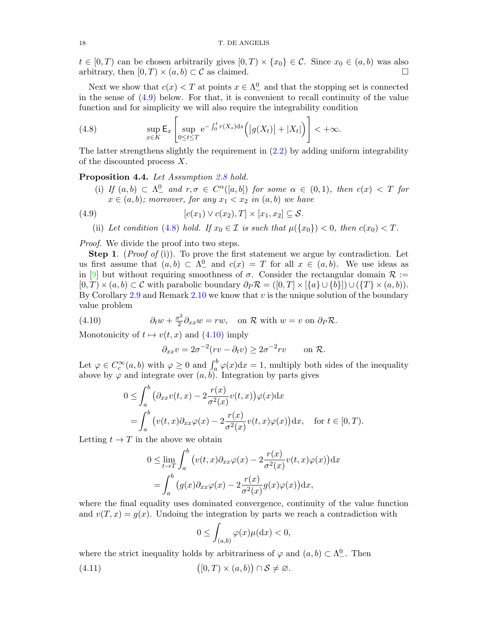$t \in [0, T)$  can be chosen arbitrarily gives  $[0, T) \times \{x_0\} \in \mathcal{C}$ . Since  $x_0 \in (a, b)$  was also arbitrary, then  $[0, T) \times (a, b) \subset \mathcal{C}$  as claimed.

Next we show that  $c(x) < T$  at points  $x \in \Lambda^0$  and that the stopping set is connected in the sense of  $(4.9)$  below. For that, it is convenient to recall continuity of the value function and for simplicity we will also require the integrability condition

<span id="page-18-1"></span>(4.8) 
$$
\sup_{x \in K} \mathsf{E}_x \left[ \sup_{0 \le t \le T} e^{-\int_0^t r(X_s) \, ds} \left( \left| g(X_t) \right| + |X_t| \right) \right] < +\infty.
$$

The latter strengthens slightly the requirement in [\(2.2\)](#page-4-4) by adding uniform integrability of the discounted process X.

<span id="page-18-4"></span>Proposition 4.4. Let Assumption [2.8](#page-8-0) hold.

(i) If  $(a, b) \subset \Lambda^0$  and  $r, \sigma \in C^{\alpha}([a, b])$  for some  $\alpha \in (0, 1)$ , then  $c(x) < T$  for  $x \in (a, b)$ ; moreover, for any  $x_1 < x_2$  in  $(a, b)$  we have

<span id="page-18-0"></span>(4.9) 
$$
[c(x_1) \vee c(x_2), T] \times [x_1, x_2] \subseteq \mathcal{S}.
$$

(ii) Let condition [\(4.8\)](#page-18-1) hold. If  $x_0 \in \mathcal{I}$  is such that  $\mu({x_0}) < 0$ , then  $c(x_0) < T$ .

Proof. We divide the proof into two steps.

**Step 1.** (*Proof of* (i)). To prove the first statement we argue by contradiction. Let us first assume that  $(a, b) \subset \Lambda^0$  and  $c(x) = T$  for all  $x \in (a, b)$ . We use ideas as in [\[9\]](#page-40-0) but without requiring smoothness of  $\sigma$ . Consider the rectangular domain  $\mathcal{R}$  :=  $[0, T) \times (a, b) \subset \mathcal{C}$  with parabolic boundary  $\partial_P \mathcal{R} = ([0, T] \times [\{a\} \cup \{b\}]) \cup (\{T\} \times (a, b)).$ By Corollary [2.9](#page-8-2) and Remark [2.10](#page-8-3) we know that  $v$  is the unique solution of the boundary value problem

<span id="page-18-2"></span>(4.10) 
$$
\partial_t w + \frac{\sigma^2}{2} \partial_{xx} w = rw, \text{ on } \mathcal{R} \text{ with } w = v \text{ on } \partial_P \mathcal{R}.
$$

Monotonicity of  $t \mapsto v(t, x)$  and  $(4.10)$  imply

$$
\partial_{xx}v = 2\sigma^{-2}(rv - \partial_tv) \ge 2\sigma^{-2}rv \quad \text{on } \mathcal{R}.
$$

Let  $\varphi \in C_c^{\infty}(a, b)$  with  $\varphi \ge 0$  and  $\int_a^b \varphi(x) dx = 1$ , multiply both sides of the inequality above by  $\varphi$  and integrate over  $(a, b)$ . Integration by parts gives

$$
0 \leq \int_a^b \left( \partial_{xx} v(t, x) - 2 \frac{r(x)}{\sigma^2(x)} v(t, x) \right) \varphi(x) dx
$$
  
= 
$$
\int_a^b \left( v(t, x) \partial_{xx} \varphi(x) - 2 \frac{r(x)}{\sigma^2(x)} v(t, x) \varphi(x) \right) dx, \text{ for } t \in [0, T).
$$

Letting  $t \to T$  in the above we obtain

$$
0 \le \lim_{t \to T} \int_{a}^{b} \left( v(t, x) \partial_{xx} \varphi(x) - 2 \frac{r(x)}{\sigma^2(x)} v(t, x) \varphi(x) \right) dx
$$

$$
= \int_{a}^{b} \left( g(x) \partial_{xx} \varphi(x) - 2 \frac{r(x)}{\sigma^2(x)} g(x) \varphi(x) \right) dx,
$$

where the final equality uses dominated convergence, continuity of the value function and  $v(T, x) = g(x)$ . Undoing the integration by parts we reach a contradiction with

$$
0 \leq \int_{(a,b)} \varphi(x) \mu(\mathrm{d}x) < 0,
$$

where the strict inequality holds by arbitrariness of  $\varphi$  and  $(a, b) \subset \Lambda^0_-$ . Then

<span id="page-18-3"></span>(4.11)  $([0, T) \times (a, b)) \cap S \neq \emptyset.$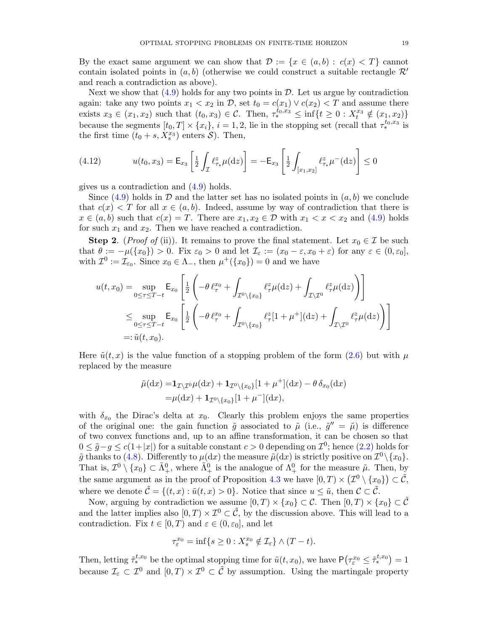By the exact same argument we can show that  $\mathcal{D} := \{x \in (a, b) : c(x) < T\}$  cannot contain isolated points in  $(a, b)$  (otherwise we could construct a suitable rectangle  $\mathcal{R}'$ ) and reach a contradiction as above).

Next we show that  $(4.9)$  holds for any two points in  $\mathcal{D}$ . Let us argue by contradiction again: take any two points  $x_1 < x_2$  in D, set  $t_0 = c(x_1) \vee c(x_2) < T$  and assume there exists  $x_3 \in (x_1, x_2)$  such that  $(t_0, x_3) \in \mathcal{C}$ . Then,  $\tau^{t_0, x_3}_{*} \leq \inf\{t \geq 0 : X_t^{x_3} \notin (x_1, x_2)\}\$ because the segments  $[t_0, T] \times \{x_i\}, i = 1, 2$ , lie in the stopping set (recall that  $\tau_*^{t_0, x_3}$  is the first time  $(t_0 + s, X_s^{x_3})$  enters  $S$ ). Then,

<span id="page-19-0"></span>(4.12) 
$$
u(t_0, x_3) = \mathsf{E}_{x_3} \left[ \frac{1}{2} \int_{\mathcal{I}} \ell_{\tau_*}^z \mu(\mathrm{d}z) \right] = -\mathsf{E}_{x_3} \left[ \frac{1}{2} \int_{[x_1, x_2]} \ell_{\tau_*}^z \mu^-(\mathrm{d}z) \right] \le 0
$$

gives us a contradiction and [\(4.9\)](#page-18-0) holds.

Since  $(4.9)$  holds in  $\mathcal D$  and the latter set has no isolated points in  $(a, b)$  we conclude that  $c(x) < T$  for all  $x \in (a, b)$ . Indeed, assume by way of contradiction that there is  $x \in (a, b)$  such that  $c(x) = T$ . There are  $x_1, x_2 \in \mathcal{D}$  with  $x_1 < x < x_2$  and  $(4.9)$  holds for such  $x_1$  and  $x_2$ . Then we have reached a contradiction.

**Step 2.** (*Proof of* (ii)). It remains to prove the final statement. Let  $x_0 \in \mathcal{I}$  be such that  $\theta := -\mu({x_0}) > 0$ . Fix  $\varepsilon_0 > 0$  and let  $\mathcal{I}_{\varepsilon} := (x_0 - \varepsilon, x_0 + \varepsilon)$  for any  $\varepsilon \in (0, \varepsilon_0]$ , with  $\mathcal{I}^0 := \mathcal{I}_{\varepsilon_0}$ . Since  $x_0 \in \Lambda_-,$  then  $\mu^+(\{x_0\}) = 0$  and we have

$$
u(t, x_0) = \sup_{0 \le \tau \le T-t} \mathsf{E}_{x_0} \left[ \frac{1}{2} \left( -\theta \, \ell_{\tau}^{x_0} + \int_{\mathcal{I}^0 \setminus \{x_0\}} \ell_{\tau}^z \mu(\mathrm{d}z) + \int_{\mathcal{I} \setminus \mathcal{I}^0} \ell_{\tau}^z \mu(\mathrm{d}z) \right) \right]
$$
  
\$\leq \sup\_{0 \le \tau \le T-t} \mathsf{E}\_{x\_0} \left[ \frac{1}{2} \left( -\theta \, \ell\_{\tau}^{x\_0} + \int\_{\mathcal{I}^0 \setminus \{x\_0\}} \ell\_{\tau}^z [1 + \mu^+] (\mathrm{d}z) + \int\_{\mathcal{I} \setminus \mathcal{I}^0} \ell\_{\tau}^z \mu(\mathrm{d}z) \right) \right] \newline =: \tilde{u}(t, x\_0).

Here  $\tilde{u}(t, x)$  is the value function of a stopping problem of the form [\(2.6\)](#page-4-1) but with  $\mu$ replaced by the measure

$$
\tilde{\mu}(\mathrm{d}x) = \mathbf{1}_{\mathcal{I}\setminus\mathcal{I}^0}\mu(\mathrm{d}x) + \mathbf{1}_{\mathcal{I}^0\setminus\{x_0\}}[1 + \mu^+](\mathrm{d}x) - \theta \,\delta_{x_0}(\mathrm{d}x)
$$

$$
= \mu(\mathrm{d}x) + \mathbf{1}_{\mathcal{I}^0\setminus\{x_0\}}[1 + \mu^-](\mathrm{d}x),
$$

with  $\delta_{x_0}$  the Dirac's delta at  $x_0$ . Clearly this problem enjoys the same properties of the original one: the gain function  $\tilde{g}$  associated to  $\tilde{\mu}$  (i.e.,  $\tilde{g}'' = \tilde{\mu}$ ) is difference of two convex functions and, up to an affine transformation, it can be chosen so that  $0 \leq \tilde{g} - g \leq c(1+|x|)$  for a suitable constant  $c > 0$  depending on  $\mathcal{I}^0$ ; hence  $(2.2)$  holds for  $\tilde{g}$  thanks to [\(4.8\)](#page-18-1). Differently to  $\mu(dx)$  the measure  $\tilde{\mu}(dx)$  is strictly positive on  $\mathcal{I}^0 \setminus \{x_0\}$ . That is,  $\mathcal{I}^0 \setminus \{x_0\} \subset \tilde{\Lambda}^0_+$ , where  $\tilde{\Lambda}^0_+$  is the analogue of  $\Lambda^0_+$  for the measure  $\tilde{\mu}$ . Then, by the same argument as in the proof of Proposition [4.3](#page-17-2) we have  $[0, T) \times (\mathcal{I}^0 \setminus \{x_0\}) \subset \tilde{\mathcal{C}},$ where we denote  $\tilde{\mathcal{C}} = \{(t, x) : \tilde{u}(t, x) > 0\}$ . Notice that since  $u \leq \tilde{u}$ , then  $\mathcal{C} \subset \tilde{\mathcal{C}}$ .

Now, arguing by contradiction we assume  $[0, T) \times \{x_0\} \subset \mathcal{C}$ . Then  $[0, T) \times \{x_0\} \subset \tilde{\mathcal{C}}$ and the latter implies also  $[0, T) \times \mathcal{I}^0 \subset \tilde{C}$ , by the discussion above. This will lead to a contradiction. Fix  $t \in [0, T)$  and  $\varepsilon \in (0, \varepsilon_0]$ , and let

$$
\tau_\varepsilon^{x_0}=\inf\{s\geq 0: X^{x_0}_s\notin\mathcal{I}_\varepsilon\}\wedge(T-t).
$$

Then, letting  $\tilde{\tau}_*^{t,x_0}$  be the optimal stopping time for  $\tilde{u}(t,x_0)$ , we have  $\mathsf{P}(\tau_{\varepsilon}^{x_0} \leq \tilde{\tau}_*^{t,x_0}) = 1$ because  $\mathcal{I}_{\varepsilon} \subset \mathcal{I}^0$  and  $[0, T) \times \mathcal{I}^0 \subset \tilde{\mathcal{C}}$  by assumption. Using the martingale property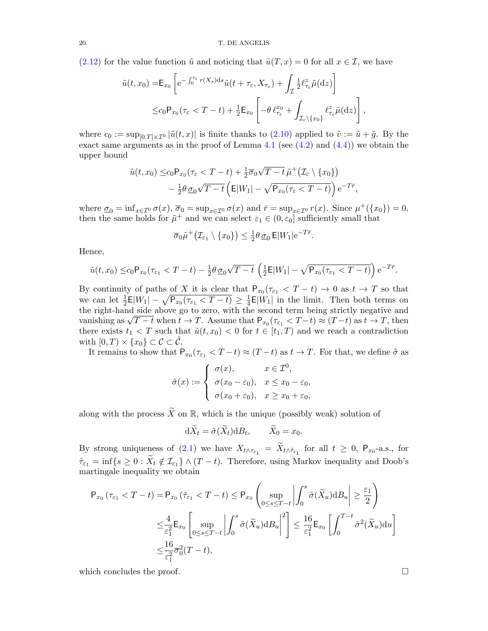[\(2.12\)](#page-6-0) for the value function  $\tilde{u}$  and noticing that  $\tilde{u}(T, x) = 0$  for all  $x \in \mathcal{I}$ , we have

$$
\tilde{u}(t,x_0) = \mathsf{E}_{x_0} \left[ e^{-\int_0^{\tau_{\varepsilon}} r(X_s) ds} \tilde{u}(t + \tau_{\varepsilon}, X_{\tau_{\varepsilon}}) + \int_{\mathcal{I}} \frac{1}{2} \ell_{\tau_{\varepsilon}}^z \tilde{\mu}(dz) \right]
$$
  

$$
\leq c_0 P_{x_0} (\tau_{\varepsilon} < T - t) + \frac{1}{2} \mathsf{E}_{x_0} \left[ -\theta \ell_{\tau_{\varepsilon}}^{x_0} + \int_{\mathcal{I}_{\varepsilon} \backslash \{x_0\}} \ell_{\tau_{\varepsilon}}^z \tilde{\mu}(dz) \right]
$$

,

where  $c_0 := \sup_{[0,T] \times \mathcal{I}^0} |\tilde{u}(t,x)|$  is finite thanks to  $(2.10)$  applied to  $\tilde{v} := \tilde{u} + \tilde{g}$ . By the exact same arguments as in the proof of Lemma [4.1](#page-15-2) (see  $(4.2)$  and  $(4.4)$ ) we obtain the upper bound

$$
\tilde{u}(t,x_0) \leq c_0 P_{x_0}(\tau_{\varepsilon} < T - t) + \frac{1}{2}\overline{\sigma}_0 \sqrt{T - t} \tilde{\mu}^+(\mathcal{I}_{\varepsilon} \setminus \{x_0\})
$$

$$
- \frac{1}{2}\theta \underline{\sigma}_0 \sqrt{T - t} \left( \mathsf{E}|W_1| - \sqrt{P_{x_0}(\tau_{\varepsilon} < T - t)} \right) e^{-T\overline{r}},
$$

where  $\underline{\sigma}_0 = \inf_{x \in \mathcal{I}^0} \sigma(x)$ ,  $\overline{\sigma}_0 = \sup_{x \in \mathcal{I}^0} \sigma(x)$  and  $\overline{r} = \sup_{x \in \mathcal{I}^0} r(x)$ . Since  $\mu^+(\{x_0\}) = 0$ , then the same holds for  $\tilde{\mu}^+$  and we can select  $\varepsilon_1 \in (0, \varepsilon_0]$  sufficiently small that

$$
\overline{\sigma}_0 \tilde{\mu}^+\big(\mathcal{I}_{\varepsilon_1} \setminus \{x_0\}\big) \leq \tfrac{1}{2} \theta \, \underline{\sigma}_0 \, \mathsf{E} |W_1| \mathrm{e}^{-T\overline{r}}.
$$

Hence,

$$
\tilde{u}(t,x_0)\leq c_0\mathsf{P}_{x_0}(\tau_{\varepsilon_1}
$$

By continuity of paths of X it is clear that  $P_{x_0}(\tau_{\epsilon_1} < T - t) \to 0$  as  $t \to T$  so that we can let  $\frac{1}{2}$ **E**| $W_1$ | –  $\sqrt{\mathsf{P}_{x_0}(\tau_{\varepsilon_1} < T - t)} \geq \frac{1}{4}$  $\frac{1}{4}$ **E**|W<sub>1</sub>| in the limit. Then both terms on the right-hand side above go to zero, with the second term being strictly negative and the right-hand side above go to zero, with the second term being strictly negative and vanishing as  $\sqrt{T-t}$  when  $t \to T$ . Assume that  $P_{x_0}(\tau_{\varepsilon_1} < T-t) \approx (T-t)$  as  $t \to T$ , then there exists  $t_1 < T$  such that  $\tilde{u}(t, x_0) < 0$  for  $t \in [t_1, T)$  and we reach a contradiction with  $[0, T) \times \{x_0\} \subset \mathcal{C} \subset \mathcal{C}$ .

It remains to show that  $P_{x_0}(\tau_{\epsilon_1} < T - t) \approx (T - t)$  as  $t \to T$ . For that, we define  $\tilde{\sigma}$  as

$$
\tilde{\sigma}(x) := \begin{cases}\n\sigma(x), & x \in \mathcal{I}^0, \\
\sigma(x_0 - \varepsilon_0), & x \le x_0 - \varepsilon_0, \\
\sigma(x_0 + \varepsilon_0), & x \ge x_0 + \varepsilon_0,\n\end{cases}
$$

along with the process  $\widetilde{X}$  on R, which is the unique (possibly weak) solution of

$$
d\widetilde{X}_t = \widetilde{\sigma}(\widetilde{X}_t) dB_t, \qquad \widetilde{X}_0 = x_0.
$$

By strong uniqueness of [\(2.1\)](#page-3-1) we have  $X_{t \wedge \tau_{\varepsilon_1}} = X_{t \wedge \tilde{\tau}_{\varepsilon_1}}$  for all  $t \geq 0$ ,  $P_{x_0}$ -a.s., for  $\tilde{\tau}_{\varepsilon_1} = \inf\{s \geq 0 : X_t \notin \mathcal{I}_{\varepsilon_1}\} \wedge (T-t)$ . Therefore, using Markov inequality and Doob's martingale inequality we obtain

$$
\begin{split} \mathsf{P}_{x_{0}}\left(\tau_{\varepsilon_{1}}
$$

which concludes the proof.  $\Box$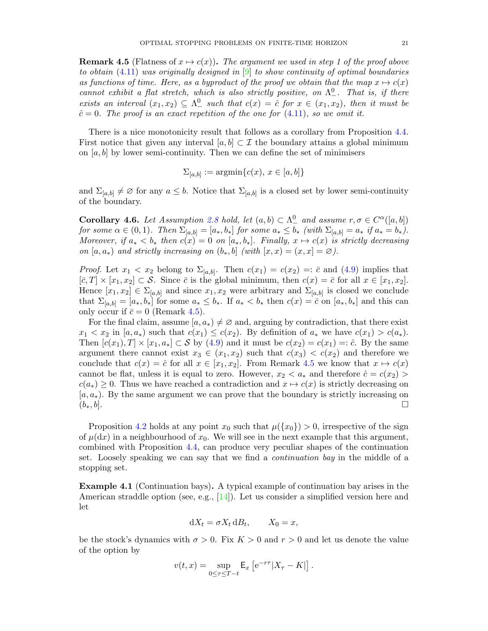<span id="page-21-1"></span>**Remark 4.5** (Flatness of  $x \mapsto c(x)$ ). The argument we used in step 1 of the proof above to obtain  $(4.11)$  was originally designed in  $[9]$  to show continuity of optimal boundaries as functions of time. Here, as a byproduct of the proof we obtain that the map  $x \mapsto c(x)$ cannot exhibit a flat stretch, which is also strictly positive, on  $\Lambda^0_-$ . That is, if there exists an interval  $(x_1, x_2) \subseteq \Lambda^0$  such that  $c(x) = \hat{c}$  for  $x \in (x_1, x_2)$ , then it must be  $\hat{c}=0$ . The proof is an exact repetition of the one for  $(4.11)$ , so we omit it.

There is a nice monotonicity result that follows as a corollary from Proposition [4.4.](#page-18-4) First notice that given any interval  $[a, b] \subset \mathcal{I}$  the boundary attains a global minimum on  $[a, b]$  by lower semi-continuity. Then we can define the set of minimisers

$$
\Sigma_{[a,b]} := \operatorname{argmin} \{c(x), \, x \in [a,b]\}
$$

and  $\Sigma_{[a,b]} \neq \emptyset$  for any  $a \leq b$ . Notice that  $\Sigma_{[a,b]}$  is a closed set by lower semi-continuity of the boundary.

<span id="page-21-2"></span>**Corollary 4.6.** Let Assumption [2.8](#page-8-0) hold, let  $(a, b) \subset \Lambda^0$  and assume  $r, \sigma \in C^{\alpha}([a, b])$ for some  $\alpha \in (0,1)$ . Then  $\Sigma_{[a,b]} = [a_*, b_*]$  for some  $a_* \leq b_*$  (with  $\Sigma_{[a,b]} = a_*$  if  $a_* = b_*$ ). Moreover, if  $a_* < b_*$  then  $c(x) = 0$  on  $[a_*, b_*]$ . Finally,  $x \mapsto c(x)$  is strictly decreasing on  $[a, a_*)$  and strictly increasing on  $(b_*, b]$  (with  $[x, x) = (x, x] = \emptyset$ ).

*Proof.* Let  $x_1 < x_2$  belong to  $\Sigma_{[a,b]}$ . Then  $c(x_1) = c(x_2) =: \bar{c}$  and [\(4.9\)](#page-18-0) implies that  $[\bar{c}, T] \times [x_1, x_2] \subset \mathcal{S}$ . Since  $\bar{c}$  is the global minimum, then  $c(x) = \bar{c}$  for all  $x \in [x_1, x_2]$ . Hence  $[x_1, x_2] \in \Sigma_{[a,b]}$  and since  $x_1, x_2$  were arbitrary and  $\Sigma_{[a,b]}$  is closed we conclude that  $\Sigma_{[a,b]} = [a_*, b_*]$  for some  $a_* \leq b_*$ . If  $a_* < b_*$  then  $c(x) = \overline{c}$  on  $[a_*, b_*]$  and this can only occur if  $\bar{c} = 0$  (Remark [4.5\)](#page-21-1).

For the final claim, assume  $[a, a_*) \neq \emptyset$  and, arguing by contradiction, that there exist  $x_1 < x_2$  in  $[a, a_*)$  such that  $c(x_1) \leq c(x_2)$ . By definition of  $a_*$  we have  $c(x_1) > c(a_*)$ . Then  $[c(x_1), T] \times [x_1, a_*] \subset S$  by [\(4.9\)](#page-18-0) and it must be  $c(x_2) = c(x_1) =: \hat{c}$ . By the same argument there cannot exist  $x_3 \in (x_1, x_2)$  such that  $c(x_3) < c(x_2)$  and therefore we conclude that  $c(x) = \hat{c}$  for all  $x \in [x_1, x_2]$ . From Remark [4.5](#page-21-1) we know that  $x \mapsto c(x)$ cannot be flat, unless it is equal to zero. However,  $x_2 < a_*$  and therefore  $\hat{c} = c(x_2) >$  $c(a_*) \geq 0$ . Thus we have reached a contradiction and  $x \mapsto c(x)$  is strictly decreasing on  $[a, a_*)$ . By the same argument we can prove that the boundary is strictly increasing on  $(b_*,b]$ .

Proposition [4.2](#page-17-4) holds at any point  $x_0$  such that  $\mu({x_0}) > 0$ , irrespective of the sign of  $\mu(dx)$  in a neighbourhood of  $x_0$ . We will see in the next example that this argument, combined with Proposition [4.4,](#page-18-4) can produce very peculiar shapes of the continuation set. Loosely speaking we can say that we find a continuation bay in the middle of a stopping set.

<span id="page-21-0"></span>Example 4.1 (Continuation bays). A typical example of continuation bay arises in the American straddle option (see, e.g., [\[14\]](#page-40-7)). Let us consider a simplified version here and let

$$
dX_t = \sigma X_t dB_t, \qquad X_0 = x,
$$

be the stock's dynamics with  $\sigma > 0$ . Fix  $K > 0$  and  $r > 0$  and let us denote the value of the option by

$$
v(t,x)=\sup_{0\leq \tau\leq T-t}\mathsf{E}_x\left[\mathrm{e}^{-r\tau}|X_{\tau}-K|\right].
$$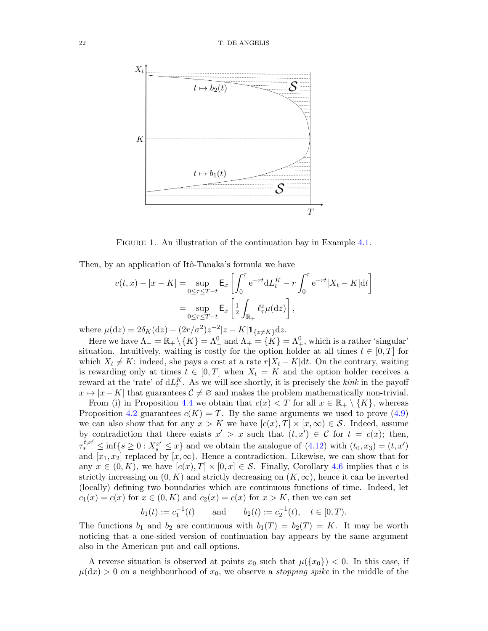

FIGURE 1. An illustration of the continuation bay in Example [4.1.](#page-21-0)

Then, by an application of Itô-Tanaka's formula we have

$$
v(t,x) - |x - K| = \sup_{0 \le \tau \le T - t} \mathsf{E}_x \left[ \int_0^{\tau} e^{-rt} dL_t^K - r \int_0^{\tau} e^{-rt} |X_t - K| dt \right]
$$
  
= 
$$
\sup_{0 \le \tau \le T - t} \mathsf{E}_x \left[ \frac{1}{2} \int_{\mathbb{R}_+} \ell_\tau^z \mu(dz) \right],
$$

where  $\mu(\mathrm{d}z) = 2\delta_K(\mathrm{d}z) - (2r/\sigma^2)z^{-2}|z - K|\mathbf{1}_{\{z \neq K\}}\mathrm{d}z.$ 

Here we have  $\Lambda_- = \mathbb{R}_+ \setminus \{K\} = \Lambda_-^0$  and  $\Lambda_+ = \{K\} = \Lambda_+^0$ , which is a rather 'singular' situation. Intuitively, waiting is costly for the option holder at all times  $t \in [0, T]$  for which  $X_t \neq K$ : indeed, she pays a cost at a rate  $r|X_t - K|dt$ . On the contrary, waiting is rewarding only at times  $t \in [0, T]$  when  $X_t = K$  and the option holder receives a reward at the 'rate' of  $dL_t^K$ . As we will see shortly, it is precisely the *kink* in the payoff  $x \mapsto |x - K|$  that guarantees  $C \neq \emptyset$  and makes the problem mathematically non-trivial.

From (i) in Proposition [4.4](#page-18-4) we obtain that  $c(x) < T$  for all  $x \in \mathbb{R}_+ \setminus \{K\}$ , whereas Proposition [4.2](#page-17-4) guarantees  $c(K) = T$ . By the same arguments we used to prove [\(4.9\)](#page-18-0) we can also show that for any  $x > K$  we have  $[c(x), T] \times [x, \infty) \in S$ . Indeed, assume by contradiction that there exists  $x' > x$  such that  $(t, x') \in \mathcal{C}$  for  $t = c(x)$ ; then,  $\tau^{t,x'}_{*} \le \inf\{s \ge 0 : X^{x'}_{s} \le x\}$  and we obtain the analogue of  $(4.12)$  with  $(t_0, x_3) = (t, x')$ and  $[x_1, x_2]$  replaced by  $[x, \infty)$ . Hence a contradiction. Likewise, we can show that for any  $x \in (0, K)$ , we have  $[c(x), T] \times [0, x] \in \mathcal{S}$ . Finally, Corollary [4.6](#page-21-2) implies that c is strictly increasing on  $(0, K)$  and strictly decreasing on  $(K, \infty)$ , hence it can be inverted (locally) defining two boundaries which are continuous functions of time. Indeed, let  $c_1(x) = c(x)$  for  $x \in (0, K)$  and  $c_2(x) = c(x)$  for  $x > K$ , then we can set

$$
b_1(t) := c_1^{-1}(t)
$$
 and  $b_2(t) := c_2^{-1}(t)$ ,  $t \in [0, T)$ .

The functions  $b_1$  and  $b_2$  are continuous with  $b_1(T) = b_2(T) = K$ . It may be worth noticing that a one-sided version of continuation bay appears by the same argument also in the American put and call options.

A reverse situation is observed at points  $x_0$  such that  $\mu({x_0}) < 0$ . In this case, if  $\mu(dx) > 0$  on a neighbourhood of  $x_0$ , we observe a *stopping spike* in the middle of the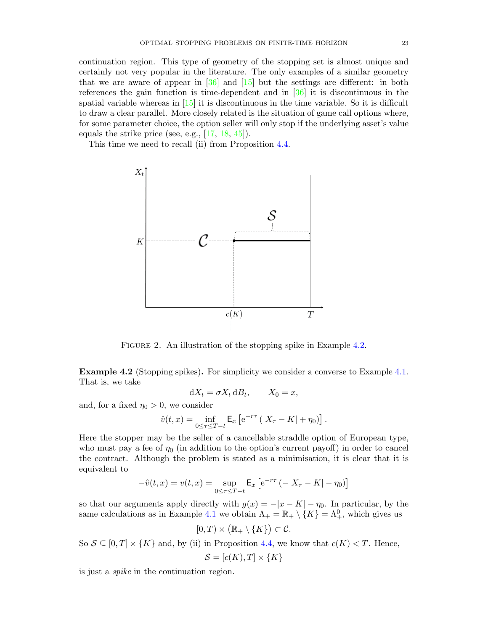continuation region. This type of geometry of the stopping set is almost unique and certainly not very popular in the literature. The only examples of a similar geometry that we are aware of appear in  $\begin{bmatrix} 36 \\ 15 \end{bmatrix}$  and  $\begin{bmatrix} 15 \\ 15 \end{bmatrix}$  but the settings are different: in both references the gain function is time-dependent and in [\[36\]](#page-41-11) it is discontinuous in the spatial variable whereas in [\[15\]](#page-40-25) it is discontinuous in the time variable. So it is difficult to draw a clear parallel. More closely related is the situation of game call options where, for some parameter choice, the option seller will only stop if the underlying asset's value equals the strike price (see, e.g.,  $[17, 18, 45]$  $[17, 18, 45]$  $[17, 18, 45]$  $[17, 18, 45]$  $[17, 18, 45]$ ).

This time we need to recall (ii) from Proposition [4.4.](#page-18-4)



FIGURE 2. An illustration of the stopping spike in Example [4.2.](#page-23-0)

<span id="page-23-0"></span>Example 4.2 (Stopping spikes). For simplicity we consider a converse to Example [4.1.](#page-21-0) That is, we take

$$
dX_t = \sigma X_t dB_t, \qquad X_0 = x,
$$

and, for a fixed  $\eta_0 > 0$ , we consider

$$
\hat{v}(t,x) = \inf_{0 \le \tau \le T-t} \mathsf{E}_x \left[ e^{-r\tau} (|X_{\tau} - K| + \eta_0) \right].
$$

Here the stopper may be the seller of a cancellable straddle option of European type, who must pay a fee of  $\eta_0$  (in addition to the option's current payoff) in order to cancel the contract. Although the problem is stated as a minimisation, it is clear that it is equivalent to

$$
-\hat{v}(t,x) = v(t,x) = \sup_{0 \le \tau \le T-t} \mathsf{E}_x \left[ e^{-r\tau} \left( -|X_{\tau} - K| - \eta_0 \right) \right]
$$

so that our arguments apply directly with  $g(x) = -|x - K| - \eta_0$ . In particular, by the same calculations as in Example [4.1](#page-21-0) we obtain  $\Lambda_+ = \mathbb{R}_+ \setminus \{K\} = \Lambda^0_+$ , which gives us

$$
[0,T)\times \big(\mathbb{R}_+\setminus\{K\}\big)\subset \mathcal{C}.
$$

So  $S \subseteq [0, T] \times \{K\}$  and, by (ii) in Proposition [4.4,](#page-18-4) we know that  $c(K) < T$ . Hence,

$$
\mathcal{S} = [c(K), T] \times \{K\}
$$

is just a spike in the continuation region.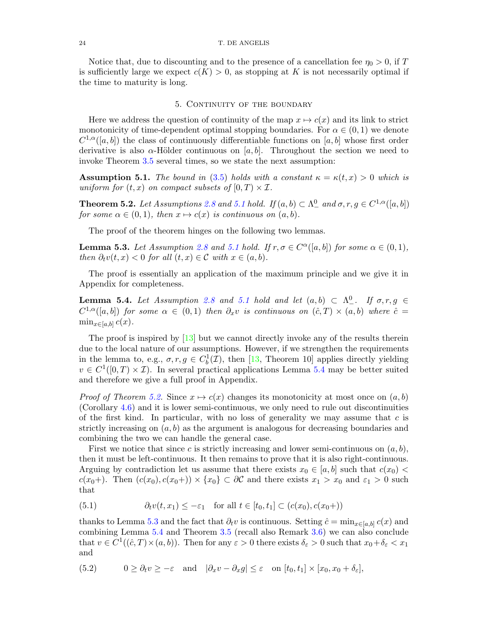Notice that, due to discounting and to the presence of a cancellation fee  $\eta_0 > 0$ , if T is sufficiently large we expect  $c(K) > 0$ , as stopping at K is not necessarily optimal if the time to maturity is long.

# 5. CONTINUITY OF THE BOUNDARY

<span id="page-24-0"></span>Here we address the question of continuity of the map  $x \mapsto c(x)$  and its link to strict monotonicity of time-dependent optimal stopping boundaries. For  $\alpha \in (0,1)$  we denote  $C^{1,\alpha}([a, b])$  the class of continuously differentiable functions on [a, b] whose first order derivative is also  $\alpha$ -Hölder continuous on [a, b]. Throughout the section we need to invoke Theorem [3.5](#page-13-2) several times, so we state the next assumption:

<span id="page-24-2"></span>**Assumption 5.1.** The bound in [\(3.5\)](#page-13-1) holds with a constant  $\kappa = \kappa(t, x) > 0$  which is uniform for  $(t, x)$  on compact subsets of  $[0, T) \times I$ .

<span id="page-24-1"></span>**Theorem 5.2.** Let Assumptions [2.8](#page-8-0) and [5.1](#page-24-2) hold. If  $(a, b) \subset \Lambda^0$  and  $\sigma, r, g \in C^{1,\alpha}([a, b])$ for some  $\alpha \in (0,1)$ , then  $x \mapsto c(x)$  is continuous on  $(a, b)$ .

The proof of the theorem hinges on the following two lemmas.

<span id="page-24-4"></span>**Lemma 5.3.** Let Assumption [2.8](#page-8-0) and [5.1](#page-24-2) hold. If  $r, \sigma \in C^{\alpha}([a, b])$  for some  $\alpha \in (0, 1)$ , then  $\partial_t v(t, x) < 0$  for all  $(t, x) \in \mathcal{C}$  with  $x \in (a, b)$ .

The proof is essentially an application of the maximum principle and we give it in Appendix for completeness.

<span id="page-24-3"></span>**Lemma 5.4.** Let Assumption [2.8](#page-8-0) and [5.1](#page-24-2) hold and let  $(a, b) \subset \Lambda^0_-\text{.}$  If  $\sigma, r, g \in$  $C^{1,\alpha}([a,b])$  for some  $\alpha \in (0,1)$  then  $\partial_x v$  is continuous on  $(\hat{c},T) \times (a,b)$  where  $\hat{c} =$  $\min_{x \in [a,b]} c(x)$ .

The proof is inspired by [\[13\]](#page-40-23) but we cannot directly invoke any of the results therein due to the local nature of our assumptions. However, if we strengthen the requirements in the lemma to, e.g.,  $\sigma, r, g \in C_b^1(\mathcal{I})$ , then [\[13,](#page-40-23) Theorem 10] applies directly yielding  $v \in C^1([0,T) \times \mathcal{I})$ . In several practical applications Lemma [5.4](#page-24-3) may be better suited and therefore we give a full proof in Appendix.

*Proof of Theorem [5.2.](#page-24-1)* Since  $x \mapsto c(x)$  changes its monotonicity at most once on  $(a, b)$ (Corollary [4.6\)](#page-21-2) and it is lower semi-continuous, we only need to rule out discontinuities of the first kind. In particular, with no loss of generality we may assume that  $c$  is strictly increasing on  $(a, b)$  as the argument is analogous for decreasing boundaries and combining the two we can handle the general case.

First we notice that since c is strictly increasing and lower semi-continuous on  $(a, b)$ , then it must be left-continuous. It then remains to prove that it is also right-continuous. Arguing by contradiction let us assume that there exists  $x_0 \in [a, b]$  such that  $c(x_0)$  <  $c(x_0+)$ . Then  $(c(x_0), c(x_0+)) \times \{x_0\} \subset \partial C$  and there exists  $x_1 > x_0$  and  $\varepsilon_1 > 0$  such that

<span id="page-24-6"></span>(5.1) 
$$
\partial_t v(t, x_1) \leq -\varepsilon_1 \quad \text{for all } t \in [t_0, t_1] \subset (c(x_0), c(x_0))
$$

thanks to Lemma [5.3](#page-24-4) and the fact that  $\partial_t v$  is continuous. Setting  $\hat{c} = \min_{x \in [a,b]} c(x)$  and combining Lemma [5.4](#page-24-3) and Theorem [3.5](#page-13-2) (recall also Remark [3.6\)](#page-15-3) we can also conclude that  $v \in C^1((\hat{c}, T) \times (a, b))$ . Then for any  $\varepsilon > 0$  there exists  $\delta_{\varepsilon} > 0$  such that  $x_0 + \delta_{\varepsilon} < x_1$ and

<span id="page-24-5"></span>(5.2) 
$$
0 \geq \partial_t v \geq -\varepsilon \quad \text{and} \quad |\partial_x v - \partial_x g| \leq \varepsilon \quad \text{on } [t_0, t_1] \times [x_0, x_0 + \delta_{\varepsilon}],
$$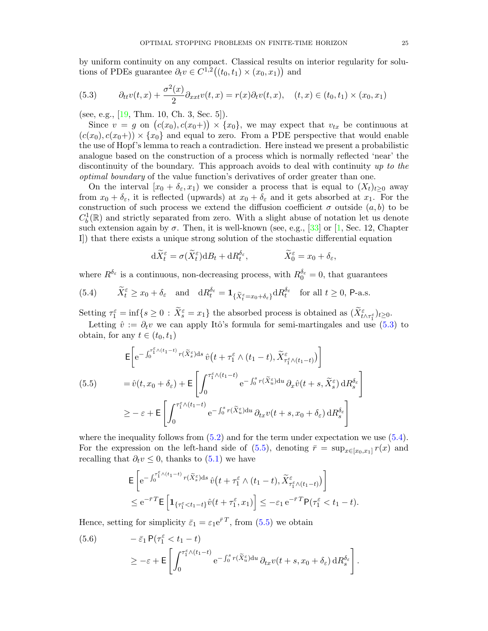by uniform continuity on any compact. Classical results on interior regularity for solutions of PDEs guarantee  $\partial_t v \in C^{1,2}((t_0, t_1) \times (x_0, x_1))$  and

<span id="page-25-0"></span>(5.3) 
$$
\partial_{tt}v(t,x) + \frac{\sigma^2(x)}{2}\partial_{xxt}v(t,x) = r(x)\partial_t v(t,x), \quad (t,x) \in (t_0, t_1) \times (x_0, x_1)
$$

(see, e.g., [\[19,](#page-40-28) Thm. 10, Ch. 3, Sec. 5]).

Since  $v = g$  on  $(c(x_0), c(x_0)) \times \{x_0\}$ , we may expect that  $v_{tx}$  be continuous at  $(c(x_0), c(x_0+)) \times \{x_0\}$  and equal to zero. From a PDE perspective that would enable the use of Hopf's lemma to reach a contradiction. Here instead we present a probabilistic analogue based on the construction of a process which is normally reflected 'near' the discontinuity of the boundary. This approach avoids to deal with continuity up to the optimal boundary of the value function's derivatives of order greater than one.

On the interval  $[x_0 + \delta_{\varepsilon}, x_1]$  we consider a process that is equal to  $(X_t)_{t\geq0}$  away from  $x_0 + \delta_{\varepsilon}$ , it is reflected (upwards) at  $x_0 + \delta_{\varepsilon}$  and it gets absorbed at  $x_1$ . For the construction of such process we extend the diffusion coefficient  $\sigma$  outside  $(a, b)$  to be  $C_b^1(\mathbb{R})$  and strictly separated from zero. With a slight abuse of notation let us denote such extension again by  $\sigma$ . Then, it is well-known (see, e.g., [\[33\]](#page-41-13) or [\[1,](#page-40-29) Sec. 12, Chapter I]) that there exists a unique strong solution of the stochastic differential equation

$$
d\widetilde{X}_t^{\varepsilon} = \sigma(\widetilde{X}_t^{\varepsilon})dB_t + dR_t^{\delta_{\varepsilon}}, \qquad \widetilde{X}_0^{\varepsilon} = x_0 + \delta_{\varepsilon},
$$

where  $R^{\delta_{\varepsilon}}$  is a continuous, non-decreasing process, with  $R_0^{\delta_{\varepsilon}} = 0$ , that guarantees

<span id="page-25-1"></span>(5.4) 
$$
\widetilde{X}_t^{\varepsilon} \ge x_0 + \delta_{\varepsilon}
$$
 and  $dR_t^{\delta_{\varepsilon}} = \mathbf{1}_{\{\widetilde{X}_t^{\varepsilon} = x_0 + \delta_{\varepsilon}\}} dR_t^{\delta_{\varepsilon}}$  for all  $t \ge 0$ , P-a.s.

Setting  $\tau_1^{\varepsilon} = \inf\{s \ge 0 : \tilde{X}_{s}^{\varepsilon} = x_1\}$  the absorbed process is obtained as  $(\tilde{X}_{t \wedge \tau_1^{\varepsilon}}^{\varepsilon})_{t \ge 0}$ . Letting  $\hat{v} := \partial_t v$  we can apply Itô's formula for semi-martingales and use [\(5.3\)](#page-25-0) to

obtain, for any  $t \in (t_0, t_1)$ 

<span id="page-25-2"></span>
$$
\mathsf{E}\left[e^{-\int_0^{\tau_1^{\varepsilon}\wedge(t_1-t)}r(\tilde{X}_s^{\varepsilon})ds}\hat{v}\left(t+\tau_1^{\varepsilon}\wedge(t_1-t),\tilde{X}_{\tau_1^{\varepsilon}\wedge(t_1-t)}^{\varepsilon}\right)\right]
$$
\n
$$
(5.5) \qquad = \hat{v}(t,x_0+\delta_{\varepsilon})+\mathsf{E}\left[\int_0^{\tau_1^{\varepsilon}\wedge(t_1-t)}e^{-\int_0^sr(\tilde{X}_u^{\varepsilon})du}\partial_x\hat{v}(t+s,\tilde{X}_s^{\varepsilon})\,\mathrm{d}R_s^{\delta_{\varepsilon}}\right]
$$
\n
$$
\geq -\varepsilon+\mathsf{E}\left[\int_0^{\tau_1^{\varepsilon}\wedge(t_1-t)}e^{-\int_0^sr(\tilde{X}_u^{\varepsilon})\,\mathrm{d}u}\,\partial_{tx}v(t+s,x_0+\delta_{\varepsilon})\,\mathrm{d}R_s^{\delta_{\varepsilon}}\right]
$$

where the inequality follows from  $(5.2)$  and for the term under expectation we use  $(5.4)$ . For the expression on the left-hand side of  $(5.5)$ , denoting  $\bar{r} = \sup_{x \in [x_0, x_1]} r(x)$  and recalling that  $\partial_t v \leq 0$ , thanks to  $(5.1)$  we have

$$
\mathsf{E}\left[\mathrm{e}^{-\int_0^{\tau_1^{\varepsilon}\wedge(t_1-t)}r(\tilde{X}_s^{\varepsilon})ds}\,\hat{v}\big(t+\tau_1^{\varepsilon}\wedge(t_1-t),\tilde{X}_{\tau_1^{\varepsilon}\wedge(t_1-t)}^{\varepsilon}\big)\right] \leq \mathrm{e}^{-\bar{r}T}\mathsf{E}\left[\mathbf{1}_{\{\tau_1^{\varepsilon}\leq t_1-t\}}\hat{v}(t+\tau_1^{\varepsilon},x_1)\right] \leq -\varepsilon_1\,\mathrm{e}^{-\bar{r}T}\mathsf{P}(\tau_1^{\varepsilon}\leq t_1-t).
$$

Hence, setting for simplicity  $\bar{\varepsilon}_1 = \varepsilon_1 e^{\bar{r}T}$ , from  $(5.5)$  we obtain

<span id="page-25-3"></span>(5.6) 
$$
- \bar{\varepsilon}_1 P(\tau_1^{\varepsilon} < t_1 - t) \newline \geq -\varepsilon + \mathsf{E} \left[ \int_0^{\tau_1^{\varepsilon} \wedge (t_1 - t)} e^{-\int_0^s r(\widetilde{X}_u^{\varepsilon}) \mathrm{d}u} \, \partial_{tx} v(t + s, x_0 + \delta_{\varepsilon}) \, \mathrm{d}R_s^{\delta_{\varepsilon}} \right].
$$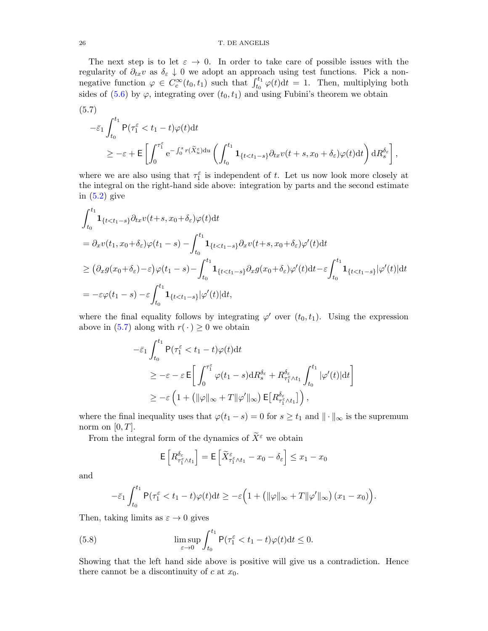#### 26 T. DE ANGELIS

The next step is to let  $\varepsilon \to 0$ . In order to take care of possible issues with the regularity of  $\partial_{tx}v$  as  $\delta_{\varepsilon}\downarrow 0$  we adopt an approach using test functions. Pick a nonnegative function  $\varphi \in C_c^{\infty}(t_0, t_1)$  such that  $\int_{t_0}^{t_1} \varphi(t) dt = 1$ . Then, multiplying both sides of [\(5.6\)](#page-25-3) by  $\varphi$ , integrating over  $(t_0, t_1)$  and using Fubini's theorem we obtain

<span id="page-26-0"></span>(5.7)  
\n
$$
-\bar{\varepsilon}_{1} \int_{t_{0}}^{t_{1}} \mathsf{P}(\tau_{1}^{\varepsilon} < t_{1} - t) \varphi(t) dt
$$
\n
$$
\geq -\varepsilon + \mathsf{E}\left[\int_{0}^{\tau_{1}^{\varepsilon}} \mathrm{e}^{-\int_{0}^{s} r(\tilde{X}_{u}^{\varepsilon}) du} \left(\int_{t_{0}}^{t_{1}} \mathbf{1}_{\{t < t_{1} - s\}} \partial_{tx} v(t + s, x_{0} + \delta_{\varepsilon}) \varphi(t) dt\right) dR_{s}^{\delta_{\varepsilon}}\right],
$$

where we are also using that  $\tau_1^{\varepsilon}$  is independent of t. Let us now look more closely at the integral on the right-hand side above: integration by parts and the second estimate in  $(5.2)$  give

$$
\int_{t_0}^{t_1} \mathbf{1}_{\{t < t_1 - s\}} \partial_{tx} v(t + s, x_0 + \delta_{\varepsilon}) \varphi(t) dt
$$
\n
$$
= \partial_x v(t_1, x_0 + \delta_{\varepsilon}) \varphi(t_1 - s) - \int_{t_0}^{t_1} \mathbf{1}_{\{t < t_1 - s\}} \partial_x v(t + s, x_0 + \delta_{\varepsilon}) \varphi'(t) dt
$$
\n
$$
\geq \left( \partial_x g(x_0 + \delta_{\varepsilon}) - \varepsilon \right) \varphi(t_1 - s) - \int_{t_0}^{t_1} \mathbf{1}_{\{t < t_1 - s\}} \partial_x g(x_0 + \delta_{\varepsilon}) \varphi'(t) dt - \varepsilon \int_{t_0}^{t_1} \mathbf{1}_{\{t < t_1 - s\}} |\varphi'(t)| dt
$$
\n
$$
= -\varepsilon \varphi(t_1 - s) - \varepsilon \int_{t_0}^{t_1} \mathbf{1}_{\{t < t_1 - s\}} |\varphi'(t)| dt,
$$

where the final equality follows by integrating  $\varphi'$  over  $(t_0, t_1)$ . Using the expression above in [\(5.7\)](#page-26-0) along with  $r(\cdot) \ge 0$  we obtain

$$
\begin{split} &-\bar{\varepsilon}_{1}\int_{t_{0}}^{t_{1}}\mathsf{P}(\tau_{1}^{\varepsilon}
$$

where the final inequality uses that  $\varphi(t_1 - s) = 0$  for  $s \ge t_1$  and  $\|\cdot\|_{\infty}$  is the supremum norm on  $[0, T]$ .

From the integral form of the dynamics of  $\widetilde{X}^{\varepsilon}$  we obtain

$$
\mathsf{E}\left[R_{\tau_1^\varepsilon\wedge t_1}^{\delta_\varepsilon}\right]=\mathsf{E}\left[\widetilde{X}_{\tau_1^\varepsilon\wedge t_1}^\varepsilon-x_0-\delta_\varepsilon\right]\leq x_1-x_0
$$

and

$$
-\bar{\varepsilon}_1 \int_{t_0}^{t_1} \mathsf{P}(\tau_1^{\varepsilon} < t_1 - t) \varphi(t) \mathrm{d}t \ge -\varepsilon \Big( 1 + \big( \|\varphi\|_{\infty} + T\|\varphi'\|_{\infty} \big) \big( x_1 - x_0 \big) \Big)
$$

.

Then, taking limits as  $\varepsilon \to 0$  gives

<span id="page-26-1"></span>(5.8) 
$$
\limsup_{\varepsilon \to 0} \int_{t_0}^{t_1} P(\tau_1^{\varepsilon} < t_1 - t) \varphi(t) dt \leq 0.
$$

Showing that the left hand side above is positive will give us a contradiction. Hence there cannot be a discontinuity of  $c$  at  $x_0$ .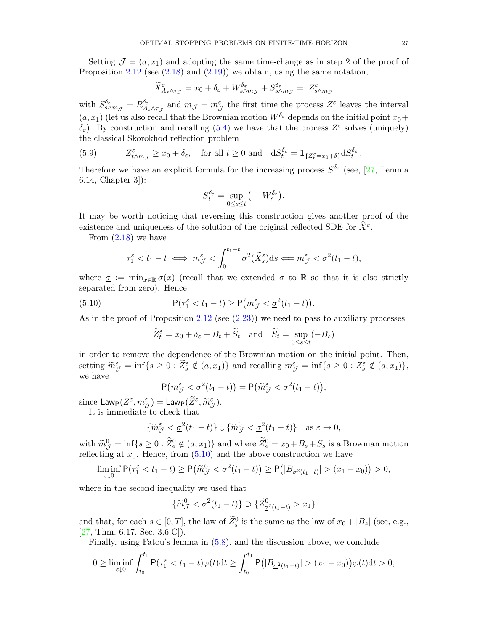Setting  $\mathcal{J} = (a, x_1)$  and adopting the same time-change as in step 2 of the proof of Proposition [2.12](#page-9-3) (see  $(2.18)$  and  $(2.19)$ ) we obtain, using the same notation,

$$
\widetilde{X}^\varepsilon_{A_s\wedge\tau_{\mathcal{J}}}=x_0+\delta_\varepsilon+W^{\delta_\varepsilon}_{s\wedge m_{\mathcal{J}}}+S^{\delta_\varepsilon}_{s\wedge m_{\mathcal{J}}}=:Z^\varepsilon_{s\wedge m_{\mathcal{J}}}
$$

with  $S_{s\wedge m_\mathcal{J}}^{\delta_\varepsilon}=R_{A_s}^{\delta_\varepsilon}$  $\delta_{\varepsilon}$ <br> $A_{s} \wedge \tau_{\mathcal{J}}$  and  $m_{\mathcal{J}} = m_{\mathcal{J}}^{\varepsilon}$  the first time the process  $Z^{\varepsilon}$  leaves the interval  $(a, x_1)$  (let us also recall that the Brownian motion  $W^{\delta_{\varepsilon}}$  depends on the initial point  $x_0+$  $\delta_{\varepsilon}$ ). By construction and recalling [\(5.4\)](#page-25-1) we have that the process  $Z^{\varepsilon}$  solves (uniquely) the classical Skorokhod reflection problem

(5.9) 
$$
Z_{t \wedge m_{\mathcal{J}}}^{\varepsilon} \geq x_0 + \delta_{\varepsilon}, \quad \text{for all } t \geq 0 \text{ and } \quad \mathrm{d}S_{t}^{\delta_{\varepsilon}} = \mathbf{1}_{\{Z_{t}^{\varepsilon} = x_0 + \delta\}} \mathrm{d}S_{t}^{\delta_{\varepsilon}}.
$$

Therefore we have an explicit formula for the increasing process  $S^{\delta_{\varepsilon}}$  (see, [\[27,](#page-40-21) Lemma 6.14, Chapter 3]):

$$
S_t^{\delta_{\varepsilon}} = \sup_{0 \le s \le t} \big(-W_s^{\delta_{\varepsilon}}\big).
$$

It may be worth noticing that reversing this construction gives another proof of the existence and uniqueness of the solution of the original reflected SDE for  $\widetilde{X}^{\varepsilon}$ .

From [\(2.18\)](#page-9-4) we have

$$
\tau_1^{\varepsilon} < t_1 - t \iff m_{\mathcal{J}}^{\varepsilon} < \int_0^{t_1 - t} \sigma^2(\widetilde{X}_s^{\varepsilon}) \, \mathrm{d}s \iff m_{\mathcal{J}}^{\varepsilon} < \underline{\sigma}^2(t_1 - t),
$$

where  $\sigma := \min_{x \in \mathbb{R}} \sigma(x)$  (recall that we extended  $\sigma$  to R so that it is also strictly separated from zero). Hence

<span id="page-27-0"></span>(5.10) 
$$
\mathsf{P}(\tau_1^{\varepsilon} < t_1 - t) \ge \mathsf{P}(m_{\mathcal{J}}^{\varepsilon} < \underline{\sigma}^2(t_1 - t)).
$$

As in the proof of Proposition [2.12](#page-9-3) (see  $(2.23)$ ) we need to pass to auxiliary processes

$$
\widetilde{Z}_t^{\varepsilon} = x_0 + \delta_{\varepsilon} + B_t + \widetilde{S}_t \text{ and } \widetilde{S}_t = \sup_{0 \le s \le t} (-B_s)
$$

in order to remove the dependence of the Brownian motion on the initial point. Then, setting  $\widetilde{m}_{\mathcal{J}}^{\varepsilon} = \inf\{s \geq 0 : \widetilde{Z}_{s}^{\varepsilon} \notin (a, x_{1})\}\$ and recalling  $m_{\mathcal{J}}^{\varepsilon} = \inf\{s \geq 0 : Z_{s}^{\varepsilon} \notin (a, x_{1})\},\}$ we have

$$
\mathsf{P}\big(m_{\mathcal{J}}^{\varepsilon}<\underline{\sigma}^{2}(t_{1}-t)\big)=\mathsf{P}\big(\widetilde{m}_{\mathcal{J}}^{\varepsilon}<\underline{\sigma}^{2}(t_{1}-t)\big),
$$

since  $\mathsf{Law}_{\mathsf{P}}(Z^{\varepsilon}, m_{\mathcal{J}}^{\varepsilon}) = \mathsf{Law}_{\mathsf{P}}(\widetilde{Z}^{\varepsilon}, \widetilde{m}_{\mathcal{J}}^{\varepsilon}).$ <br>It is immodiate to check that

It is immediate to check that

$$
\{\widetilde{m}_{\mathcal{J}}^{\varepsilon} < \underline{\sigma}^2(t_1 - t)\} \downarrow \{\widetilde{m}_{\mathcal{J}}^0 < \underline{\sigma}^2(t_1 - t)\} \quad \text{as } \varepsilon \to 0,
$$

with  $\widetilde{m}_{\mathcal{J}}^0 = \inf\{s \geq 0 : \widetilde{Z}_s^0 \notin (a, x_1)\}\$  and where  $\widetilde{Z}_s^0 = x_0 + B_s + S_s$  is a Brownian motion reflecting at  $x_s$ . Hence, from (5.10) and the above construction we have reflecting at  $x_0$ . Hence, from  $(5.10)$  and the above construction we have

$$
\liminf_{\varepsilon \downarrow 0} \mathsf{P}(\tau_1^{\varepsilon} < t_1 - t) \ge \mathsf{P}(\widetilde{m}_{\mathcal{J}}^0 < \underline{\sigma}^2(t_1 - t)) \ge \mathsf{P}(|B_{\underline{\sigma}^2(t_1 - t)}| > (x_1 - x_0)) > 0,
$$

where in the second inequality we used that

$$
\{\widetilde{m}_{\mathcal{J}}^0 < \underline{\sigma}^2(t_1 - t)\} \supset \{\widetilde{Z}_{\underline{\sigma}^2(t_1 - t)}^0 > x_1\}
$$

and that, for each  $s \in [0, T]$ , the law of  $\widetilde{Z}_s^0$  is the same as the law of  $x_0 + |B_s|$  (see, e.g., [\[27,](#page-40-21) Thm. 6.17, Sec. 3.6.C]).

Finally, using Fatou's lemma in [\(5.8\)](#page-26-1), and the discussion above, we conclude

$$
0 \geq \liminf_{\varepsilon \downarrow 0} \int_{t_0}^{t_1} \mathsf{P}(\tau_1^{\varepsilon} < t_1 - t) \varphi(t) \mathrm{d}t \geq \int_{t_0}^{t_1} \mathsf{P}\big( |B_{\underline{\sigma}^2(t_1 - t)}| > (x_1 - x_0) \big) \varphi(t) \mathrm{d}t > 0,
$$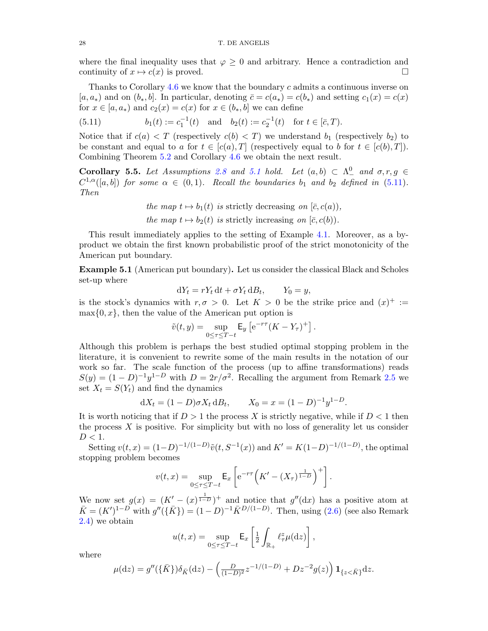where the final inequality uses that  $\varphi \geq 0$  and arbitrary. Hence a contradiction and continuity of  $x \mapsto c(x)$  is proved.

Thanks to Corollary  $4.6$  we know that the boundary c admits a continuous inverse on  $[a, a_*)$  and on  $(b_*, b]$ . In particular, denoting  $\bar{c} = c(a_*) = c(b_*)$  and setting  $c_1(x) = c(x)$ for  $x \in [a, a_*)$  and  $c_2(x) = c(x)$  for  $x \in (b_*, b]$  we can define

<span id="page-28-2"></span>(5.11) 
$$
b_1(t) := c_1^{-1}(t)
$$
 and  $b_2(t) := c_2^{-1}(t)$  for  $t \in [\bar{c}, T)$ .

Notice that if  $c(a) < T$  (respectively  $c(b) < T$ ) we understand  $b_1$  (respectively  $b_2$ ) to be constant and equal to a for  $t \in [c(a), T]$  (respectively equal to b for  $t \in [c(b), T]$ ). Combining Theorem [5.2](#page-24-1) and Corollary [4.6](#page-21-2) we obtain the next result.

<span id="page-28-0"></span>**Corollary 5.5.** Let Assumptions [2.8](#page-8-0) and [5.1](#page-24-2) hold. Let  $(a, b) \subset \Lambda^0$  and  $\sigma, r, g \in$  $C^{1,\alpha}([a,b])$  for some  $\alpha \in (0,1)$ . Recall the boundaries  $b_1$  and  $b_2$  defined in [\(5.11\)](#page-28-2). Then

the map  $t \mapsto b_1(t)$  is strictly decreasing on  $[\bar{c}, c(a))$ ,

the map  $t \mapsto b_2(t)$  is strictly increasing on  $[\bar{c}, c(b)]$ .

This result immediately applies to the setting of Example [4.1.](#page-21-0) Moreover, as a byproduct we obtain the first known probabilistic proof of the strict monotonicity of the American put boundary.

<span id="page-28-1"></span>Example 5.1 (American put boundary). Let us consider the classical Black and Scholes set-up where

$$
dY_t = rY_t dt + \sigma Y_t dB_t, \qquad Y_0 = y,
$$

is the stock's dynamics with  $r, \sigma > 0$ . Let  $K > 0$  be the strike price and  $(x)^+ :=$  $\max\{0, x\}$ , then the value of the American put option is

$$
\tilde{v}(t,y) = \sup_{0 \le \tau \le T-t} \mathsf{E}_y \left[ e^{-r\tau} (K - Y_\tau)^+ \right].
$$

Although this problem is perhaps the best studied optimal stopping problem in the literature, it is convenient to rewrite some of the main results in the notation of our work so far. The scale function of the process (up to affine transformations) reads  $S(y) = (1-D)^{-1}y^{1-D}$  with  $D = 2r/\sigma^2$ . Recalling the argument from Remark [2.5](#page-5-2) we set  $X_t = S(Y_t)$  and find the dynamics

$$
dX_t = (1 - D)\sigma X_t dB_t, \qquad X_0 = x = (1 - D)^{-1}y^{1 - D}.
$$

It is worth noticing that if  $D > 1$  the process X is strictly negative, while if  $D < 1$  then the process  $X$  is positive. For simplicity but with no loss of generality let us consider  $D < 1$ .

Setting  $v(t, x) = (1-D)^{-1/(1-D)} \tilde{v}(t, S^{-1}(x))$  and  $K' = K(1-D)^{-1/(1-D)}$ , the optimal stopping problem becomes

$$
v(t,x) = \sup_{0 \le \tau \le T-t} \mathsf{E}_x \left[ e^{-r\tau} \left( K' - (X_\tau)^{\frac{1}{1-D}} \right)^+ \right].
$$

We now set  $g(x) = (K' - (x)^{\frac{1}{1-D}})^+$  and notice that  $g''(dx)$  has a positive atom at  $\bar{K} = (K')^{1-D}$  with  $g''(\{\bar{K}\}) = (1-D)^{-1}\bar{K}^{D/(1-D)}$ . Then, using [\(2.6\)](#page-4-1) (see also Remark [2.4\)](#page-5-3) we obtain

$$
u(t,x) = \sup_{0 \le \tau \le T-t} \mathsf{E}_x \left[ \frac{1}{2} \int_{\mathbb{R}_+} \ell_\tau^z \mu(\mathrm{d}z) \right],
$$

where

$$
\mu(\mathrm{d}z) = g''(\{\bar{K}\})\delta_{\bar{K}}(\mathrm{d}z) - \left(\frac{D}{(1-D)^2}z^{-1/(1-D)} + Dz^{-2}g(z)\right)\mathbf{1}_{\{z<\bar{K}\}}\mathrm{d}z.
$$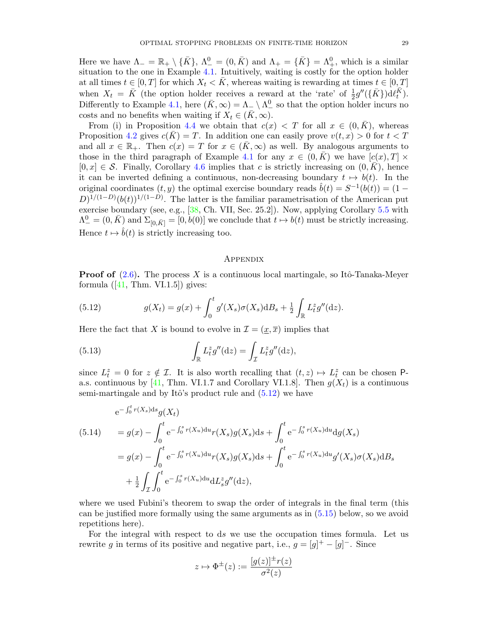Here we have  $\Lambda_- = \mathbb{R}_+ \setminus {\bar{K}}$ ,  $\Lambda_-^0 = (0, \bar{K})$  and  $\Lambda_+ = {\bar{K}} = \Lambda_+^0$ , which is a similar situation to the one in Example [4.1.](#page-21-0) Intuitively, waiting is costly for the option holder at all times  $t \in [0, T]$  for which  $X_t < K$ , whereas waiting is rewarding at times  $t \in [0, T]$ when  $X_t = \overline{K}$  (the option holder receives a reward at the 'rate' of  $\frac{1}{2}g''(\{\overline{K}\})d\ell_{t}^{\overline{K}})$ . Differently to Example [4.1,](#page-21-0) here  $(K, \infty) = \Lambda_{-} \setminus \Lambda_{-}^{0}$  so that the option holder incurs no costs and no benefits when waiting if  $X_t \in (\bar{K}, \infty)$ .

From (i) in Proposition [4.4](#page-18-4) we obtain that  $c(x) < T$  for all  $x \in (0, \overline{K})$ , whereas Proposition [4.2](#page-17-4) gives  $c(\overline{K}) = T$ . In addition one can easily prove  $v(t, x) > 0$  for  $t < T$ and all  $x \in \mathbb{R}_+$ . Then  $c(x) = T$  for  $x \in (\bar{K}, \infty)$  as well. By analogous arguments to those in the third paragraph of Example [4.1](#page-21-0) for any  $x \in (0, K)$  we have  $[c(x), T] \times$  $[0, x] \in \mathcal{S}$ . Finally, Corollary [4.6](#page-21-2) implies that c is strictly increasing on  $(0, \overline{K})$ , hence it can be inverted defining a continuous, non-decreasing boundary  $t \mapsto b(t)$ . In the original coordinates  $(t, y)$  the optimal exercise boundary reads  $\hat{b}(t) = S^{-1}(b(t)) = (1 D^{1/(1-D)}(b(t))^{1/(1-D)}$ . The latter is the familiar parametrisation of the American put exercise boundary (see, e.g., [\[38,](#page-41-0) Ch. VII, Sec. 25.2]). Now, applying Corollary [5.5](#page-28-0) with  $\Lambda^0_- = (0, \bar{K})$  and  $\Sigma_{[0,\bar{K}]} = [0, b(0)]$  we conclude that  $t \mapsto b(t)$  must be strictly increasing. Hence  $t \mapsto \hat{b}(t)$  is strictly increasing too.

# **APPENDIX**

**Proof of**  $(2.6)$ . The process X is a continuous local martingale, so Itô-Tanaka-Meyer formula  $([41, Thm. VI.1.5])$  $([41, Thm. VI.1.5])$  $([41, Thm. VI.1.5])$  gives:

<span id="page-29-0"></span>(5.12) 
$$
g(X_t) = g(x) + \int_0^t g'(X_s) \sigma(X_s) dB_s + \frac{1}{2} \int_{\mathbb{R}} L_t^z g''(\mathrm{d}z).
$$

Here the fact that X is bound to evolve in  $\mathcal{I} = (\underline{x}, \overline{x})$  implies that

(5.13) 
$$
\int_{\mathbb{R}} L_t^z g''(\mathrm{d}z) = \int_{\mathcal{I}} L_t^z g''(\mathrm{d}z),
$$

since  $L_t^z = 0$  for  $z \notin \mathcal{I}$ . It is also worth recalling that  $(t, z) \mapsto L_t^z$  can be chosen P-a.s. continuous by [\[41,](#page-41-6) Thm. VI.1.7 and Corollary VI.1.8]. Then  $q(X_t)$  is a continuous semi-martingale and by Itô's product rule and  $(5.12)$  we have

<span id="page-29-1"></span>(5.14) 
$$
e^{-\int_0^t r(X_s)ds} g(X_t)
$$
  
\n
$$
= g(x) - \int_0^t e^{-\int_0^s r(X_u)du} r(X_s)g(X_s)ds + \int_0^t e^{-\int_0^s r(X_u)du} dg(X_s)
$$
  
\n
$$
= g(x) - \int_0^t e^{-\int_0^s r(X_u)du} r(X_s)g(X_s)ds + \int_0^t e^{-\int_0^s r(X_u)du} g'(X_s)\sigma(X_s)dB_s
$$
  
\n
$$
+ \frac{1}{2} \int_{\mathcal{I}} \int_0^t e^{-\int_0^s r(X_u)du} dL_s^z g''(dz),
$$

where we used Fubini's theorem to swap the order of integrals in the final term (this can be justified more formally using the same arguments as in [\(5.15\)](#page-30-0) below, so we avoid repetitions here).

For the integral with respect to ds we use the occupation times formula. Let us rewrite g in terms of its positive and negative part, i.e.,  $g = [g]^+ - [g]^-$ . Since

$$
z \mapsto \Phi^{\pm}(z) := \frac{[g(z)]^{\pm}r(z)}{\sigma^2(z)}
$$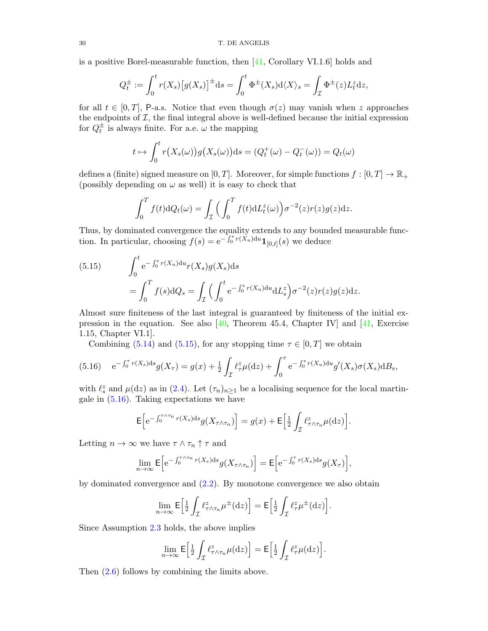is a positive Borel-measurable function, then [\[41,](#page-41-6) Corollary VI.1.6] holds and

$$
Q_t^{\pm} := \int_0^t r(X_s) \big[ g(X_s) \big]^{\pm} \mathrm{d} s = \int_0^t \Phi^{\pm}(X_s) \mathrm{d} \langle X \rangle_s = \int_{\mathcal{I}} \Phi^{\pm}(z) L_t^z \mathrm{d} z,
$$

for all  $t \in [0, T]$ , P-a.s. Notice that even though  $\sigma(z)$  may vanish when z approaches the endpoints of  $I$ , the final integral above is well-defined because the initial expression for  $Q_t^{\pm}$  is always finite. For a.e.  $\omega$  the mapping

$$
t \mapsto \int_0^t r(X_s(\omega))g(X_s(\omega))\mathrm{d} s = (Q_t^+(\omega) - Q_t^-(\omega)) = Q_t(\omega)
$$

defines a (finite) signed measure on  $[0, T]$ . Moreover, for simple functions  $f : [0, T] \to \mathbb{R}_+$ (possibly depending on  $\omega$  as well) it is easy to check that

$$
\int_0^T f(t) \mathrm{d}Q_t(\omega) = \int_{\mathcal{I}} \Big( \int_0^T f(t) \mathrm{d}L_t^z(\omega) \Big) \sigma^{-2}(z) r(z) g(z) \mathrm{d}z.
$$

Thus, by dominated convergence the equality extends to any bounded measurable function. In particular, choosing  $f(s) = e^{-\int_0^s r(\check{X}_u) du} \mathbf{1}_{[0,t]}(s)$  we deduce

<span id="page-30-0"></span>(5.15) 
$$
\int_0^t e^{-\int_0^s r(X_u) du} r(X_s) g(X_s) ds
$$

$$
= \int_0^T f(s) dQ_s = \int_{\mathcal{I}} \left( \int_0^t e^{-\int_0^s r(X_u) du} dL_s^z \right) \sigma^{-2}(z) r(z) g(z) dz.
$$

Almost sure finiteness of the last integral is guaranteed by finiteness of the initial expression in the equation. See also [ $40$ , Theorem 45.4, Chapter IV] and [ $41$ , Exercise 1.15, Chapter VI.1].

Combining [\(5.14\)](#page-29-1) and [\(5.15\)](#page-30-0), for any stopping time  $\tau \in [0, T]$  we obtain

<span id="page-30-1"></span>
$$
(5.16) \quad e^{-\int_0^{\tau} r(X_s)ds} g(X_{\tau}) = g(x) + \frac{1}{2} \int_{\mathcal{I}} \ell_{\tau}^z \mu(\mathrm{d}z) + \int_0^{\tau} e^{-\int_0^s r(X_u) \mathrm{d}u} g'(X_s) \sigma(X_s) \mathrm{d}B_s,
$$

with  $\ell_s^z$  and  $\mu(\mathrm{d}z)$  as in [\(2.4\)](#page-4-6). Let  $(\tau_n)_{n\geq 1}$  be a localising sequence for the local martingale in  $(5.16)$ . Taking expectations we have

$$
\mathsf{E}\Big[e^{-\int_0^{\tau\wedge\tau_n}r(X_s)\mathrm{d} s}g(X_{\tau\wedge\tau_n})\Big]=g(x)+\mathsf{E}\Big[\frac{1}{2}\int_{\mathcal{I}}\ell^z_{\tau\wedge\tau_n}\mu(\mathrm{d} z)\Big].
$$

Letting  $n \to \infty$  we have  $\tau \wedge \tau_n \uparrow \tau$  and

$$
\lim_{n \to \infty} \mathsf{E} \Big[ e^{-\int_0^{\tau \wedge \tau_n} r(X_s) \mathrm{d} s} g(X_{\tau \wedge \tau_n}) \Big] = \mathsf{E} \Big[ e^{-\int_0^{\tau} r(X_s) \mathrm{d} s} g(X_{\tau}) \Big],
$$

by dominated convergence and [\(2.2\)](#page-4-4). By monotone convergence we also obtain

$$
\lim_{n\to\infty} \mathsf{E}\Big[\tfrac{1}{2}\int_{\mathcal{I}} \ell^z_{\tau\wedge\tau_n}\mu^{\pm}(\mathrm{d}z)\Big] = \mathsf{E}\Big[\tfrac{1}{2}\int_{\mathcal{I}} \ell^z_{\tau}\mu^{\pm}(\mathrm{d}z)\Big].
$$

Since Assumption [2.3](#page-4-2) holds, the above implies

$$
\lim_{n\to\infty} \mathsf{E}\Big[\tfrac{1}{2}\int_{\mathcal{I}} \ell^z_{\tau\wedge\tau_n}\mu(\mathrm{d}z)\Big] = \mathsf{E}\Big[\tfrac{1}{2}\int_{\mathcal{I}} \ell^z_{\tau}\mu(\mathrm{d}z)\Big].
$$

Then [\(2.6\)](#page-4-1) follows by combining the limits above.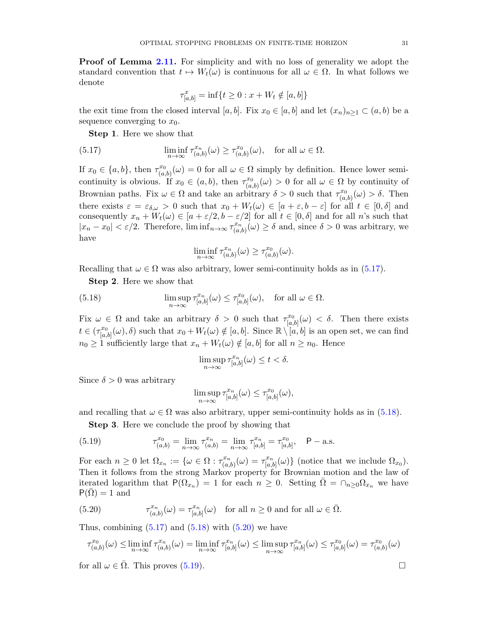Proof of Lemma [2.11.](#page-8-1) For simplicity and with no loss of generality we adopt the standard convention that  $t \mapsto W_t(\omega)$  is continuous for all  $\omega \in \Omega$ . In what follows we denote

<span id="page-31-0"></span>
$$
\tau_{[a,b]}^x = \inf\{t \ge 0 : x + W_t \notin [a,b]\}
$$

the exit time from the closed interval [a, b]. Fix  $x_0 \in [a, b]$  and let  $(x_n)_{n \geq 1} \subset (a, b)$  be a sequence converging to  $x_0$ .

Step 1. Here we show that

(5.17) 
$$
\liminf_{n \to \infty} \tau_{(a,b)}^{x_n}(\omega) \ge \tau_{(a,b)}^{x_0}(\omega), \text{ for all } \omega \in \Omega.
$$

If  $x_0 \in \{a, b\}$ , then  $\tau_{(a)}^{x_0}$  $(x_0, x_0)$   $(\omega) = 0$  for all  $\omega \in \Omega$  simply by definition. Hence lower semicontinuity is obvious. If  $x_0 \in (a, b)$ , then  $\tau_{(a)}^{x_0}$  $(x_0^{x_0}(\omega) > 0$  for all  $\omega \in \Omega$  by continuity of Brownian paths. Fix  $\omega \in \Omega$  and take an arbitrary  $\delta > 0$  such that  $\tau_{\alpha}^{x_0}$  $\chi_{(a,b)}^{x_0}(\omega) > \delta$ . Then there exists  $\varepsilon = \varepsilon_{\delta,\omega} > 0$  such that  $x_0 + W_t(\omega) \in [a + \varepsilon, b - \varepsilon]$  for all  $t \in [0, \delta]$  and consequently  $x_n + W_t(\omega) \in [a + \varepsilon/2, b - \varepsilon/2]$  for all  $t \in [0, \delta]$  and for all n's such that  $|x_n - x_0| < \varepsilon/2$ . Therefore,  $\liminf_{n \to \infty} \tau_{\alpha}^{x_n}$  $\lambda_{(a,b)}^{x_n}(\omega) \ge \delta$  and, since  $\delta > 0$  was arbitrary, we have

<span id="page-31-1"></span>
$$
\liminf_{n \to \infty} \tau_{(a,b)}^{x_n}(\omega) \ge \tau_{(a,b)}^{x_0}(\omega).
$$

Recalling that  $\omega \in \Omega$  was also arbitrary, lower semi-continuity holds as in [\(5.17\)](#page-31-0).

Step 2. Here we show that

(5.18) 
$$
\limsup_{n \to \infty} \tau_{[a,b]}^{x_n}(\omega) \leq \tau_{[a,b]}^{x_0}(\omega), \text{ for all } \omega \in \Omega.
$$

Fix  $\omega \in \Omega$  and take an arbitrary  $\delta > 0$  such that  $\tau_{lq}^{x_0}$  $\int_{[a,b]}^{x_0} (\omega) < \delta$ . Then there exists  $t \in (\tau_{\text{L}_a}^{x_0})$  $[a,b]_{[a,b]}(\omega),\delta)$  such that  $x_0+W_t(\omega)\notin [a,b]$ . Since  $\mathbb{R}\setminus [a,b]$  is an open set, we can find  $n_0 \geq 1$  sufficiently large that  $x_n + W_t(\omega) \notin [a, b]$  for all  $n \geq n_0$ . Hence

$$
\limsup_{n\to\infty}\tau^{x_n}_{[a,b]}(\omega)\leq t<\delta.
$$

Since  $\delta > 0$  was arbitrary

<span id="page-31-3"></span>
$$
\limsup_{n\to\infty}\tau^{x_n}_{[a,b]}(\omega)\leq \tau^{x_0}_{[a,b]}(\omega),
$$

and recalling that  $\omega \in \Omega$  was also arbitrary, upper semi-continuity holds as in [\(5.18\)](#page-31-1).

Step 3. Here we conclude the proof by showing that

(5.19) 
$$
\tau_{(a,b)}^{x_0} = \lim_{n \to \infty} \tau_{(a,b)}^{x_n} = \lim_{n \to \infty} \tau_{[a,b]}^{x_n} = \tau_{[a,b]}^{x_0}, \quad \mathsf{P}-\text{a.s.}
$$

For each  $n \geq 0$  let  $\Omega_{x_n} := \{ \omega \in \Omega : \tau_{(a)}^{x_n} \}$  $(\alpha^{x_n}_{(a,b)}(\omega) = \tau^{x_n}_{[a,b]}$  $\{a,b\}^{x_n}(\omega)\}\$  (notice that we include  $\Omega_{x_0}$ ). Then it follows from the strong Markov property for Brownian motion and the law of iterated logarithm that  $P(\Omega_{x_n}) = 1$  for each  $n \geq 0$ . Setting  $\overline{\Omega} = \cap_{n \geq 0} \Omega_{x_n}$  we have  $P(\Omega) = 1$  and

<span id="page-31-2"></span>(5.20) 
$$
\tau_{(a,b)}^{x_n}(\omega) = \tau_{[a,b]}^{x_n}(\omega) \text{ for all } n \ge 0 \text{ and for all } \omega \in \overline{\Omega}.
$$

Thus, combining  $(5.17)$  and  $(5.18)$  with  $(5.20)$  we have

$$
\tau^{x_0}_{(a,b)}(\omega) \le \liminf_{n \to \infty} \tau^{x_n}_{(a,b)}(\omega) = \liminf_{n \to \infty} \tau^{x_n}_{[a,b]}(\omega) \le \limsup_{n \to \infty} \tau^{x_n}_{[a,b]}(\omega) \le \tau^{x_0}_{[a,b]}(\omega) = \tau^{x_0}_{(a,b)}(\omega)
$$

for all  $\omega \in \overline{\Omega}$ . This proves ([5.19\)](#page-31-3).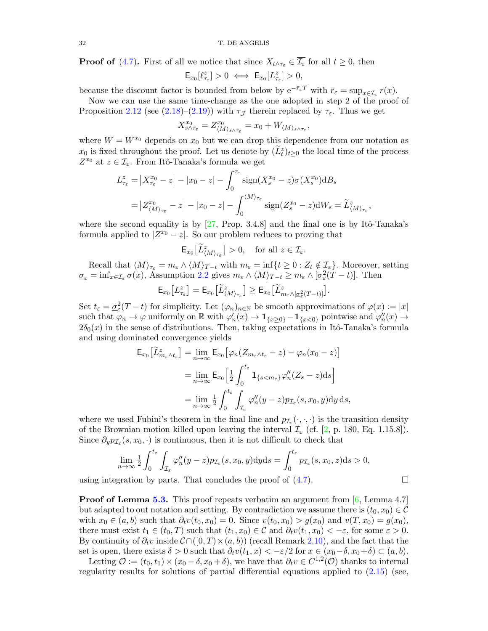**Proof of** [\(4.7\)](#page-17-1). First of all we notice that since  $X_{t \wedge \tau_{\varepsilon}} \in \overline{\mathcal{I}_{\varepsilon}}$  for all  $t \geq 0$ , then

$$
\mathsf{E}_{x_0}[\ell_{\tau_\varepsilon}^z]>0\ \Longleftrightarrow\ \mathsf{E}_{x_0}[L_{\tau_\varepsilon}^z]>0,
$$

because the discount factor is bounded from below by  $e^{-\bar{r}_{\varepsilon}T}$  with  $\bar{r}_{\varepsilon} = \sup_{x \in \mathcal{I}_{\varepsilon}} r(x)$ .

Now we can use the same time-change as the one adopted in step 2 of the proof of Proposition [2.12](#page-9-3) (see [\(2.18\)](#page-9-4)–[\(2.19\)](#page-10-1)) with  $\tau_{\mathcal{J}}$  therein replaced by  $\tau_{\varepsilon}$ . Thus we get

$$
X^{x_0}_{s \wedge \tau_{\varepsilon}} = Z^{x_0}_{\langle M \rangle_{s \wedge \tau_{\varepsilon}}} = x_0 + W_{\langle M \rangle_{s \wedge \tau_{\varepsilon}}},
$$

where  $W = W^{x_0}$  depends on  $x_0$  but we can drop this dependence from our notation as  $x_0$  is fixed throughout the proof. Let us denote by  $(\tilde{L}_t^z)_{t\geq 0}$  the local time of the process  $Z^{x_0}$  at  $z \in \mathcal{I}_{\varepsilon}$ . From Itô-Tanaka's formula we get

$$
L_{\tau_{\varepsilon}}^{z} = |X_{\tau_{\varepsilon}}^{x_0} - z| - |x_0 - z| - \int_0^{\tau_{\varepsilon}} \operatorname{sign}(X_s^{x_0} - z) \sigma(X_s^{x_0}) \mathrm{d}B_s
$$
  
=  $|Z_{\langle M \rangle_{\tau_{\varepsilon}}}^{x_0} - z| - |x_0 - z| - \int_0^{\langle M \rangle_{\tau_{\varepsilon}}} \operatorname{sign}(Z_s^{x_0} - z) \mathrm{d}W_s = \widetilde{L}_{\langle M \rangle_{\tau_{\varepsilon}}}^{z},$ 

where the second equality is by  $[27,$  Prop. 3.4.8] and the final one is by Itô-Tanaka's formula applied to  $|Z^{x_0} - z|$ . So our problem reduces to proving that

$$
\mathsf{E}_{x_0}\big[\widetilde{L}_{\langle M\rangle_{\tau_{\varepsilon}}}^z\big]>0,\quad\text{for all }z\in\mathcal{I}_{\varepsilon}.
$$

Recall that  $\langle M \rangle_{\tau_{\varepsilon}} = m_{\varepsilon} \wedge \langle M \rangle_{T-t}$  with  $m_{\varepsilon} = \inf\{t \geq 0 : Z_t \notin \mathcal{I}_{\varepsilon}\}\.$  Moreover, setting  $\underline{\sigma}_{\varepsilon} = \inf_{x \in \mathcal{I}_{\varepsilon}} \sigma(x)$ , Assumption [2.2](#page-4-0) gives  $m_{\varepsilon} \wedge \langle M \rangle_{T-t} \ge m_{\varepsilon} \wedge [\underline{\sigma}_{\varepsilon}^2(T-t)]$ . Then

$$
\mathsf{E}_{x_0}\big[L_{\tau_{\varepsilon}}^z\big] = \mathsf{E}_{x_0}\big[\widetilde{L}_{\langle M\rangle_{\tau_{\varepsilon}}^z}^z\big] \ge \mathsf{E}_{x_0}\big[\widetilde{L}_{m_{\varepsilon}\wedge[\underline{\sigma}_{\varepsilon}^2(T-t)]}^z\big].
$$

Set  $t_{\varepsilon} = \underline{\sigma}_{\varepsilon}^2(T - t)$  for simplicity. Let  $(\varphi_n)_{n \in \mathbb{N}}$  be smooth approximations of  $\varphi(x) := |x|$ such that  $\varphi_n \to \varphi$  uniformly on R with  $\varphi'_n(x) \to 1_{\{x \geq 0\}} - 1_{\{x < 0\}}$  pointwise and  $\varphi''_n(x) \to$  $2\delta_0(x)$  in the sense of distributions. Then, taking expectations in Itô-Tanaka's formula and using dominated convergence yields

$$
\mathsf{E}_{x_0} \big[ \widetilde{L}_{m_\varepsilon \wedge t_\varepsilon}^z \big] = \lim_{n \to \infty} \mathsf{E}_{x_0} \big[ \varphi_n (Z_{m_\varepsilon \wedge t_\varepsilon} - z) - \varphi_n (x_0 - z) \big]
$$
  
\n
$$
= \lim_{n \to \infty} \mathsf{E}_{x_0} \Big[ \frac{1}{2} \int_0^{t_\varepsilon} \mathbf{1}_{\{s < m_\varepsilon\}} \varphi_n'' (Z_s - z) \mathrm{d}s \Big]
$$
  
\n
$$
= \lim_{n \to \infty} \frac{1}{2} \int_0^{t_\varepsilon} \int_{\mathcal{I}_\varepsilon} \varphi_n'' (y - z) p_{\mathcal{I}_\varepsilon}(s, x_0, y) \mathrm{d}y \mathrm{d}s,
$$

where we used Fubini's theorem in the final line and  $p_{\mathcal{I}_{\varepsilon}}(\cdot,\cdot,\cdot)$  is the transition density of the Brownian motion killed upon leaving the interval  $\mathcal{I}_{\varepsilon}$  (cf. [\[2,](#page-40-19) p. 180, Eq. 1.15.8]). Since  $\partial_y p_{\mathcal{I}_\varepsilon}(s, x_0, \cdot)$  is continuous, then it is not difficult to check that

$$
\lim_{n \to \infty} \frac{1}{2} \int_0^{t_{\varepsilon}} \int_{\mathcal{I}_{\varepsilon}} \varphi_n''(y - z) p_{\mathcal{I}_{\varepsilon}}(s, x_0, y) dy ds = \int_0^{t_{\varepsilon}} p_{\mathcal{I}_{\varepsilon}}(s, x_0, z) ds > 0,
$$

using integration by parts. That concludes the proof of [\(4.7\)](#page-17-1).

**Proof of Lemma [5.3.](#page-24-4)** This proof repeats verbatim an argument from  $[6, \text{Lemma 4.7}]$  $[6, \text{Lemma 4.7}]$ but adapted to out notation and setting. By contradiction we assume there is  $(t_0, x_0) \in \mathcal{C}$ with  $x_0 \in (a, b)$  such that  $\partial_t v(t_0, x_0) = 0$ . Since  $v(t_0, x_0) > g(x_0)$  and  $v(T, x_0) = g(x_0)$ , there must exist  $t_1 \in (t_0, T)$  such that  $(t_1, x_0) \in \mathcal{C}$  and  $\partial_t v(t_1, x_0) < -\varepsilon$ , for some  $\varepsilon > 0$ . By continuity of  $\partial_t v$  inside  $\mathcal{C} \cap ([0, T) \times (a, b))$  (recall Remark [2.10\)](#page-8-3), and the fact that the set is open, there exists  $\delta > 0$  such that  $\partial_t v(t_1, x) < -\varepsilon/2$  for  $x \in (x_0 - \delta, x_0 + \delta) \subset (a, b)$ .

Letting  $\mathcal{O} := (t_0, t_1) \times (x_0 - \delta, x_0 + \delta)$ , we have that  $\partial_t v \in C^{1,2}(\mathcal{O})$  thanks to internal regularity results for solutions of partial differential equations applied to [\(2.15\)](#page-8-4) (see,

$$
\Box
$$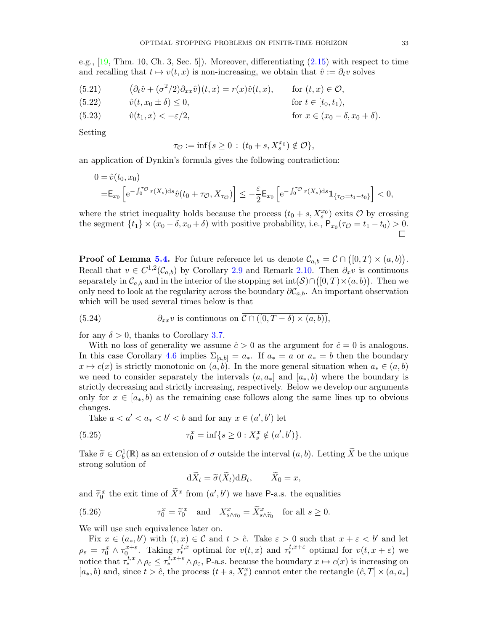e.g., [\[19,](#page-40-28) Thm. 10, Ch. 3, Sec. 5]). Moreover, differentiating [\(2.15\)](#page-8-4) with respect to time and recalling that  $t \mapsto v(t, x)$  is non-increasing, we obtain that  $\hat{v} := \partial_t v$  solves

(5.21) 
$$
(\partial_t \hat{v} + (\sigma^2/2)\partial_{xx}\hat{v})(t, x) = r(x)\hat{v}(t, x), \quad \text{for } (t, x) \in \mathcal{O},
$$
  
\n(5.22) 
$$
\hat{v}(t, x_0 \pm \delta) \le 0, \quad \text{for } t \in [t_0, t_1),
$$
  
\n(5.23) 
$$
\hat{v}(t_1, x) < -\varepsilon/2, \quad \text{for } x \in (x_0 - \delta, x_0 + \delta).
$$

Setting

$$
\tau_{\mathcal{O}} := \inf\{s \ge 0 \,:\, (t_0 + s, X_s^{x_0}) \notin \mathcal{O}\},\
$$

an application of Dynkin's formula gives the following contradiction:

$$
\begin{aligned} 0 &= \hat{v}(t_0, x_0) \\ &= \mathsf{E}_{x_0} \left[ \mathrm{e}^{-\int_0^{\tau_{\mathcal{O}}} r(X_s) \mathrm{d}s} \hat{v}(t_0 + \tau_{\mathcal{O}}, X_{\tau_{\mathcal{O}}}) \right] \le -\frac{\varepsilon}{2} \mathsf{E}_{x_0} \left[ \mathrm{e}^{-\int_0^{\tau_{\mathcal{O}}} r(X_s) \mathrm{d}s} \mathbf{1}_{\{\tau_{\mathcal{O}} = t_1 - t_0\}} \right] < 0, \end{aligned}
$$

where the strict inequality holds because the process  $(t_0 + s, X_s^{x_0})$  exits  $\mathcal O$  by crossing the segment  $\{t_1\} \times (x_0 - \delta, x_0 + \delta)$  with positive probability, i.e.,  $P_{x_0}(\tau_{\mathcal{O}} = t_1 - t_0) > 0$ .  $\Box$ 

**Proof of Lemma [5.4.](#page-24-3)** For future reference let us denote  $\mathcal{C}_{a,b} = \mathcal{C} \cap ([0,T) \times (a,b))$ . Recall that  $v \in C^{1,2}(\mathcal{C}_{a,b})$  by Corollary [2.9](#page-8-2) and Remark [2.10.](#page-8-3) Then  $\partial_x v$  is continuous separately in  $\mathcal{C}_{a,b}$  and in the interior of the stopping set  $\text{int}(\mathcal{S}) \cap ([0,T) \times (a,b))$ . Then we only need to look at the regularity across the boundary  $\partial \mathcal{C}_{a,b}$ . An important observation which will be used several times below is that

<span id="page-33-0"></span>(5.24) 
$$
\partial_{xx}v \text{ is continuous on } C \cap ([0, T - \delta) \times (a, b)),
$$

for any  $\delta > 0$ , thanks to Corollary [3.7.](#page-15-4)

With no loss of generality we assume  $\hat{c} > 0$  as the argument for  $\hat{c} = 0$  is analogous. In this case Corollary [4.6](#page-21-2) implies  $\Sigma_{[a,b]} = a_*$ . If  $a_* = a$  or  $a_* = b$  then the boundary  $x \mapsto c(x)$  is strictly monotonic on  $(a, b)$ . In the more general situation when  $a_* \in (a, b)$ we need to consider separately the intervals  $(a, a_*]$  and  $[a_*, b)$  where the boundary is strictly decreasing and strictly increasing, respectively. Below we develop our arguments only for  $x \in [a_*, b)$  as the remaining case follows along the same lines up to obvious changes.

Take  $a < a' < a_* < b' < b$  and for any  $x \in (a', b')$  let

<span id="page-33-2"></span>(5.25) 
$$
\tau_0^x = \inf\{s \ge 0 : X_s^x \notin (a', b')\}.
$$

Take  $\widetilde{\sigma} \in C_b^1(\mathbb{R})$  as an extension of  $\sigma$  outside the interval  $(a, b)$ . Letting  $\widetilde{X}$  be the unique strong solution of

$$
d\widetilde{X}_t = \widetilde{\sigma}(\widetilde{X}_t) dB_t, \qquad \widetilde{X}_0 = x,
$$

and  $\tilde{\tau}_0^x$  the exit time of  $\tilde{X}^x$  from  $(a', b')$  we have P-a.s. the equalities

<span id="page-33-1"></span>(5.26) 
$$
\tau_0^x = \widetilde{\tau}_0^x \quad \text{and} \quad X_{s \wedge \tau_0}^x = \widetilde{X}_{s \wedge \widetilde{\tau}_0}^x \quad \text{for all } s \ge 0.
$$

We will use such equivalence later on.

Fix  $x \in (a_*, b')$  with  $(t, x) \in \mathcal{C}$  and  $t > \hat{c}$ . Take  $\varepsilon > 0$  such that  $x + \varepsilon < b'$  and let  $\rho_{\varepsilon} = \tau_0^x \wedge \tau_0^{x+\varepsilon}$ . Taking  $\tau_*^{t,x}$  optimal for  $v(t,x)$  and  $\tau_*^{t,x+\varepsilon}$  optimal for  $v(t,x+\varepsilon)$  we notice that  $\tilde{\tau}_{*}^{t,x} \wedge \rho_{\varepsilon} \leq \tau_{*}^{t,x+\varepsilon} \wedge \rho_{\varepsilon}$ , P-a.s. because the boundary  $x \mapsto c(x)$  is increasing on  $[a_*,b)$  and, since  $t > \hat{c}$ , the process  $(t + s, X_s^x)$  cannot enter the rectangle  $(\hat{c}, T] \times (a, a_*)$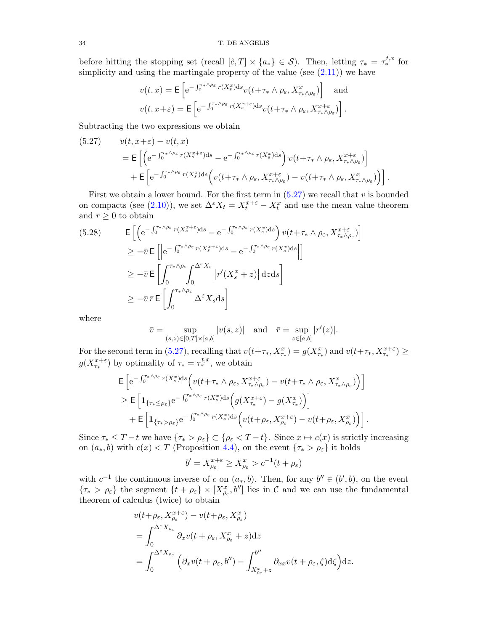before hitting the stopping set (recall  $[\hat{c},T] \times \{a_*\} \in \mathcal{S}$ ). Then, letting  $\tau_* = \tau_*^{t,x}$  for simplicity and using the martingale property of the value (see  $(2.11)$ ) we have

$$
v(t,x) = \mathsf{E}\left[e^{-\int_0^{\tau_* \wedge \rho_{\varepsilon}} r(X_s^x) ds} v(t + \tau_* \wedge \rho_{\varepsilon}, X_{\tau_* \wedge \rho_{\varepsilon}}^x)\right] \text{ and}
$$
  

$$
v(t,x+\varepsilon) = \mathsf{E}\left[e^{-\int_0^{\tau_* \wedge \rho_{\varepsilon}} r(X_s^{x+\varepsilon}) ds} v(t + \tau_* \wedge \rho_{\varepsilon}, X_{\tau_* \wedge \rho_{\varepsilon}}^{x+\varepsilon})\right].
$$

Subtracting the two expressions we obtain

<span id="page-34-0"></span>(5.27) 
$$
v(t, x+\varepsilon) - v(t, x) = \mathbb{E}\left[\left(e^{-\int_0^{\tau_* \wedge \rho_{\varepsilon}} r(X_s^{x+\varepsilon}) ds} - e^{-\int_0^{\tau_* \wedge \rho_{\varepsilon}} r(X_s^x) ds}\right) v(t+\tau_* \wedge \rho_{\varepsilon}, X_{\tau_* \wedge \rho_{\varepsilon}}^{x+\varepsilon})\right] + \mathbb{E}\left[e^{-\int_0^{\tau_* \wedge \rho_{\varepsilon}} r(X_s^x) ds} \left(v(t+\tau_* \wedge \rho_{\varepsilon}, X_{\tau_* \wedge \rho_{\varepsilon}}^{x+\varepsilon}) - v(t+\tau_* \wedge \rho_{\varepsilon}, X_{\tau_* \wedge \rho_{\varepsilon}}^x)\right)\right].
$$

First we obtain a lower bound. For the first term in  $(5.27)$  we recall that v is bounded on compacts (see [\(2.10\)](#page-6-1)), we set  $\Delta^{\varepsilon} X_t = X_t^{x+\varepsilon} - X_t^x$  and use the mean value theorem and  $r \geq 0$  to obtain

<span id="page-34-1"></span>E he − R <sup>τ</sup>∗∧ρε 0 r(X x+ε <sup>s</sup> )d<sup>s</sup> − e − R <sup>τ</sup>∗∧ρε 0 r(X<sup>x</sup> s )ds v(t+τ<sup>∗</sup> ∧ ρε, Xx+<sup>ε</sup> τ∗∧ρ<sup>ε</sup> ) i (5.28) ≥ −v¯E h e − R <sup>τ</sup>∗∧ρε 0 r(X x+ε <sup>s</sup> )d<sup>s</sup> − e − R <sup>τ</sup>∗∧ρε 0 r(X<sup>x</sup> s )ds i ≥ −v¯E Z <sup>τ</sup>∗∧ρ<sup>ε</sup> 0 Z <sup>∆</sup>εX<sup>s</sup> 0 r 0 (X<sup>x</sup> <sup>s</sup> + z) <sup>d</sup>zd<sup>s</sup> ≥ −v¯ r¯E Z <sup>τ</sup>∗∧ρ<sup>ε</sup> 0 ∆εXsds 

where

$$
\bar{v} = \sup_{(s,z) \in [0,T] \times [a,b]} |v(s,z)| \quad \text{and} \quad \bar{r} = \sup_{z \in [a,b]} |r'(z)|.
$$

For the second term in [\(5.27\)](#page-34-0), recalling that  $v(t+\tau_*, X^x_{\tau_*}) = g(X^x_{\tau_*})$  and  $v(t+\tau_*, X^{x+\varepsilon}_{\tau_*}) \ge$  $g(X_{\tau_*}^{x+\varepsilon})$  by optimality of  $\tau_* = \tau_*^{t,x}$ , we obtain

$$
\begin{split} & \mathsf{E}\left[\mathrm{e}^{-\int_0^{\tau_*\wedge\rho_{\varepsilon}}r(X_s^x)\mathrm{d}s}\Big(v(t+\tau_*\wedge\rho_{\varepsilon},X_{\tau_*\wedge\rho_{\varepsilon}}^{x+\varepsilon})-v(t+\tau_*\wedge\rho_{\varepsilon},X_{\tau_*\wedge\rho_{\varepsilon}}^x)\Big)\right] \\ &\geq \mathsf{E}\left[\mathbf{1}_{\{\tau_*\leq\rho_{\varepsilon}\}}\mathrm{e}^{-\int_0^{\tau_*\wedge\rho_{\varepsilon}}r(X_s^x)\mathrm{d}s}\Big(g(X_{\tau_*}^{x+\varepsilon})-g(X_{\tau_*}^x)\Big)\right] \\ & +\mathsf{E}\left[\mathbf{1}_{\{\tau_*>\rho_{\varepsilon}\}}\mathrm{e}^{-\int_0^{\tau_*\wedge\rho_{\varepsilon}}r(X_s^x)\mathrm{d}s}\Big(v(t+\rho_{\varepsilon},X_{\rho_{\varepsilon}}^{x+\varepsilon})-v(t+\rho_{\varepsilon},X_{\rho_{\varepsilon}}^x)\Big)\right]. \end{split}
$$

Since  $\tau_* \leq T - t$  we have  $\{\tau_* > \rho_{\varepsilon}\} \subset \{\rho_{\varepsilon} < T - t\}$ . Since  $x \mapsto c(x)$  is strictly increasing on  $(a_*, b)$  with  $c(x) < T$  (Proposition [4.4\)](#page-18-4), on the event  $\{\tau_* > \rho_{\varepsilon}\}\)$  it holds

$$
b' = X_{\rho_{\varepsilon}}^{x+\varepsilon} \ge X_{\rho_{\varepsilon}}^x > c^{-1}(t+\rho_{\varepsilon})
$$

with  $c^{-1}$  the continuous inverse of c on  $(a_*,b)$ . Then, for any  $b'' \in (b',b)$ , on the event  $\{\tau_* > \rho_{\varepsilon}\}\)$  the segment  $\{t + \rho_{\varepsilon}\}\times [X_{\rho_{\varepsilon}}^x, b'']$  lies in C and we can use the fundamental theorem of calculus (twice) to obtain

$$
v(t+\rho_{\varepsilon}, X_{\rho_{\varepsilon}}^{x+\varepsilon}) - v(t+\rho_{\varepsilon}, X_{\rho_{\varepsilon}}^{x})
$$
  
= 
$$
\int_{0}^{\Delta^{\varepsilon}X_{\rho_{\varepsilon}}} \partial_{x}v(t+\rho_{\varepsilon}, X_{\rho_{\varepsilon}}^{x} + z)dz
$$
  
= 
$$
\int_{0}^{\Delta^{\varepsilon}X_{\rho_{\varepsilon}}} \left(\partial_{x}v(t+\rho_{\varepsilon}, b'') - \int_{X_{\rho_{\varepsilon}}^{x} + z}^{b''}\partial_{xx}v(t+\rho_{\varepsilon}, \zeta)d\zeta\right)dz.
$$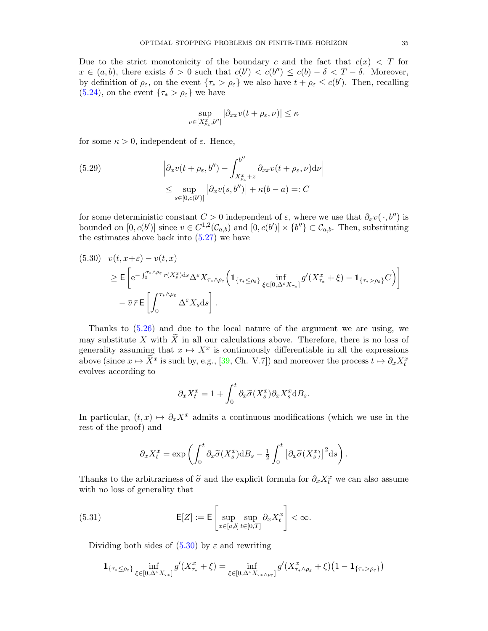Due to the strict monotonicity of the boundary c and the fact that  $c(x) < T$  for  $x \in (a, b)$ , there exists  $\delta > 0$  such that  $c(b') < c(b'') \leq c(b) - \delta < T - \delta$ . Moreover, by definition of  $\rho_{\varepsilon}$ , on the event  $\{\tau_* > \rho_{\varepsilon}\}\$  we also have  $t + \rho_{\varepsilon} \leq c(b')$ . Then, recalling  $(5.24)$ , on the event  $\{\tau_* > \rho_{\varepsilon}\}\)$  we have

$$
\sup_{\nu \in [X^x_{\rho_{\varepsilon}}, b'']} |\partial_{xx} v(t + \rho_{\varepsilon}, \nu)| \le \kappa
$$

for some  $\kappa > 0$ , independent of  $\varepsilon$ . Hence,

<span id="page-35-2"></span>(5.29) 
$$
\left| \partial_x v(t + \rho_{\varepsilon}, b'') - \int_{X_{\rho_{\varepsilon}}^x + z}^{b''} \partial_{xx} v(t + \rho_{\varepsilon}, \nu) d\nu \right|
$$

$$
\leq \sup_{s \in [0, c(b')]}\left| \partial_x v(s, b'') \right| + \kappa(b - a) =: C
$$

for some deterministic constant  $C > 0$  independent of  $\varepsilon$ , where we use that  $\partial_x v(\cdot, b'')$  is bounded on  $[0, c(b')]$  since  $v \in C^{1,2}(\mathcal{C}_{a,b})$  and  $[0, c(b')] \times \{b''\} \subset \mathcal{C}_{a,b}$ . Then, substituting the estimates above back into  $(5.27)$  we have

<span id="page-35-0"></span>
$$
(5.30) \quad v(t, x+\varepsilon) - v(t, x)
$$
\n
$$
\geq \mathsf{E}\left[\mathrm{e}^{-\int_0^{\tau_* \wedge \rho_{\varepsilon}} r(X_s^x) \mathrm{d}s} \Delta^{\varepsilon} X_{\tau_* \wedge \rho_{\varepsilon}} \left(\mathbf{1}_{\{\tau_* \leq \rho_{\varepsilon}\}} \inf_{\xi \in [0, \Delta^{\varepsilon} X_{\tau_*}]} g'(X_{\tau_*}^x + \xi) - \mathbf{1}_{\{\tau_* > \rho_{\varepsilon}\}} C\right)\right]
$$
\n
$$
-\overline{v} \,\overline{r} \,\mathsf{E}\left[\int_0^{\tau_* \wedge \rho_{\varepsilon}} \Delta^{\varepsilon} X_s \mathrm{d}s\right].
$$

Thanks to [\(5.26\)](#page-33-1) and due to the local nature of the argument we are using, we may substitute X with  $\widetilde{X}$  in all our calculations above. Therefore, there is no loss of generality assuming that  $x \mapsto X^x$  is continuously differentiable in all the expressions above (since  $x \mapsto \tilde{X}^x$  is such by, e.g., [\[39,](#page-41-14) Ch. V.7]) and moreover the process  $t \mapsto \partial_x X_t^x$ evolves according to

$$
\partial_x X_t^x = 1 + \int_0^t \partial_x \widetilde{\sigma}(X_s^x) \partial_x X_s^x \mathrm{d}B_s.
$$

In particular,  $(t, x) \mapsto \partial_x X^x$  admits a continuous modifications (which we use in the rest of the proof) and

$$
\partial_x X_t^x = \exp\left(\int_0^t \partial_x \widetilde{\sigma}(X_s^x) dB_s - \frac{1}{2} \int_0^t \left[\partial_x \widetilde{\sigma}(X_s^x)\right]^2 ds\right).
$$

Thanks to the arbitrariness of  $\tilde{\sigma}$  and the explicit formula for  $\partial_x X_t^x$  we can also assume<br>with no loss of generality that with no loss of generality that

<span id="page-35-1"></span>(5.31) 
$$
\mathsf{E}[Z] := \mathsf{E}\left[\sup_{x \in [a,b]} \sup_{t \in [0,T]} \partial_x X_t^x\right] < \infty.
$$

Dividing both sides of  $(5.30)$  by  $\varepsilon$  and rewriting

$$
\mathbf{1}_{\{\tau_* \leq \rho_\varepsilon\}} \inf_{\xi \in [0,\Delta^\varepsilon X_{\tau_*}]} g'(X_{\tau_*}^x + \xi) = \inf_{\xi \in [0,\Delta^\varepsilon X_{\tau_* \wedge \rho_\varepsilon}]} g'(X_{\tau_* \wedge \rho_\varepsilon}^x + \xi) \left(1 - \mathbf{1}_{\{\tau_* > \rho_\varepsilon\}}\right)
$$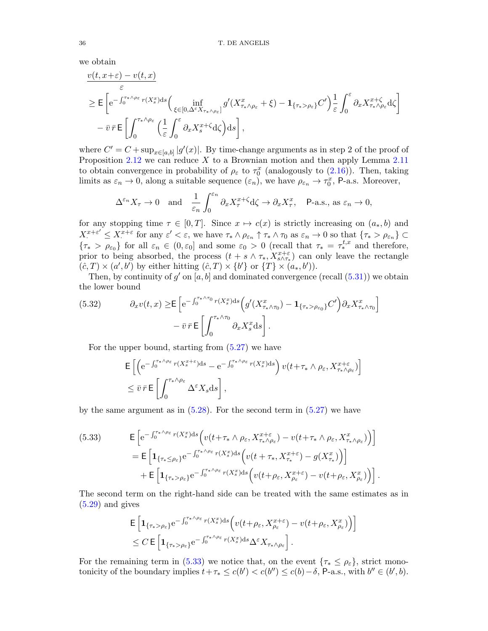we obtain

$$
\frac{v(t, x+\varepsilon) - v(t, x)}{\varepsilon}
$$
\n
$$
\geq \mathsf{E}\left[e^{-\int_0^{\tau_* \wedge \rho_{\varepsilon}} r(X_s^x)ds} \Big( \inf_{\xi \in [0, \Delta^{\varepsilon} X_{\tau_* \wedge \rho_{\varepsilon}}]} g'(X_{\tau_* \wedge \rho_{\varepsilon}}^x + \xi) - \mathbf{1}_{\{\tau_* > \rho_{\varepsilon}\}} C'\right] \frac{1}{\varepsilon} \int_0^{\varepsilon} \partial_x X_{\tau_* \wedge \rho_{\varepsilon}}^{x+\zeta} d\zeta
$$
\n
$$
- \bar{v} \,\bar{r} \,\mathsf{E}\left[\int_0^{\tau_* \wedge \rho_{\varepsilon}} \Big(\frac{1}{\varepsilon} \int_0^{\varepsilon} \partial_x X_s^{x+\zeta} d\zeta\Big) ds\right],
$$

where  $C' = C + \sup_{x \in [a,b]} |g'(x)|$ . By time-change arguments as in step 2 of the proof of Proposition  $2.12$  we can reduce X to a Brownian motion and then apply Lemma  $2.11$ to obtain convergence in probability of  $\rho_{\varepsilon}$  to  $\tau_0^x$  (analogously to [\(2.16\)](#page-9-2)). Then, taking limits as  $\varepsilon_n \to 0$ , along a suitable sequence  $(\varepsilon_n)$ , we have  $\rho_{\varepsilon_n} \to \tau_0^x$ , P-a.s. Moreover,

$$
\Delta^{\varepsilon_n} X_\tau \to 0 \quad \text{and} \quad \frac{1}{\varepsilon_n} \int_0^{\varepsilon_n} \partial_x X_\tau^{x+\zeta} d\zeta \to \partial_x X_\tau^x, \quad \text{P-a.s., as } \varepsilon_n \to 0,
$$

for any stopping time  $\tau \in [0, T]$ . Since  $x \mapsto c(x)$  is strictly increasing on  $(a_*, b)$  and  $X^{x+\varepsilon'} \leq X^{x+\varepsilon}$  for any  $\varepsilon' < \varepsilon$ , we have  $\tau_* \wedge \rho_{\varepsilon_n} \uparrow \tau_* \wedge \tau_0$  as  $\varepsilon_n \to 0$  so that  $\{\tau_* > \rho_{\varepsilon_n}\} \subset$  ${\tau_* > \rho_{\varepsilon_0}}$  for all  $\varepsilon_n \in (0, \varepsilon_0]$  and some  $\varepsilon_0 > 0$  (recall that  $\tau_* = \tau_*^{t,x}$  and therefore, prior to being absorbed, the process  $(t + s \wedge \tau_*, X^{x+\varepsilon}_{s \wedge \tau_*})$  can only leave the rectangle  $(\hat{c}, T) \times (a', b')$  by either hitting  $(\hat{c}, T) \times \{b'\}$  or  $\{T\} \times (a_*, b')$ .

Then, by continuity of  $g'$  on [a, b] and dominated convergence (recall  $(5.31)$ ) we obtain the lower bound

<span id="page-36-1"></span>(5.32) 
$$
\partial_x v(t,x) \geq \mathsf{E} \left[ e^{-\int_0^{\tau_* \wedge \tau_0} r(X_s^x) ds} \left( g'(X_{\tau_* \wedge \tau_0}^x) - \mathbf{1}_{\{\tau_* > \rho_{\varepsilon_0}\}} C' \right) \partial_x X_{\tau_* \wedge \tau_0}^x \right] - \overline{v} \, \overline{r} \, \mathsf{E} \left[ \int_0^{\tau_* \wedge \tau_0} \partial_x X_s^x ds \right].
$$

For the upper bound, starting from [\(5.27\)](#page-34-0) we have

$$
\begin{split} & \mathsf{E}\left[\left(\mathrm{e}^{-\int_0^{\tau_* \wedge \rho_{\varepsilon}} r(X_s^{x+\varepsilon}) \mathrm{d} s} - \mathrm{e}^{-\int_0^{\tau_* \wedge \rho_{\varepsilon}} r(X_s^x) \mathrm{d} s}\right) v\left(t + \tau_* \wedge \rho_{\varepsilon}, X_{\tau_* \wedge \rho_{\varepsilon}}^{x+\varepsilon}\right)\right] \\ &\leq \bar{v} \,\bar{r} \,\mathsf{E}\left[\int_0^{\tau_* \wedge \rho_{\varepsilon}} \Delta^{\varepsilon} X_s \mathrm{d} s\right], \end{split}
$$

by the same argument as in  $(5.28)$ . For the second term in  $(5.27)$  we have

<span id="page-36-0"></span>(5.33) 
$$
\mathsf{E}\left[e^{-\int_0^{\tau_* \wedge \rho_{\varepsilon}} r(X_s^x)ds} \Big( v(t+\tau_* \wedge \rho_{\varepsilon}, X_{\tau_* \wedge \rho_{\varepsilon}}^{x+\varepsilon}) - v(t+\tau_* \wedge \rho_{\varepsilon}, X_{\tau_* \wedge \rho_{\varepsilon}}^x) \Big) \right] \n= \mathsf{E}\left[\mathbf{1}_{\{\tau_* \leq \rho_{\varepsilon}\}} e^{-\int_0^{\tau_* \wedge \rho_{\varepsilon}} r(X_s^x)ds} \Big( v(t+\tau_*, X_{\tau_*}^{x+\varepsilon}) - g(X_{\tau_*}^x) \Big) \right] \n+ \mathsf{E}\left[\mathbf{1}_{\{\tau_* > \rho_{\varepsilon}\}} e^{-\int_0^{\tau_* \wedge \rho_{\varepsilon}} r(X_s^x)ds} \Big( v(t+\rho_{\varepsilon}, X_{\rho_{\varepsilon}}^{x+\varepsilon}) - v(t+\rho_{\varepsilon}, X_{\rho_{\varepsilon}}^x) \Big) \right].
$$

The second term on the right-hand side can be treated with the same estimates as in  $(5.29)$  and gives

$$
\mathsf{E}\left[\mathbf{1}_{\{\tau_* > \rho_\varepsilon\}}\mathrm{e}^{-\int_0^{\tau_* \wedge \rho_\varepsilon} r(X_s^x) \mathrm{d}s} \Big(v(t+\rho_\varepsilon, X_{\rho_\varepsilon}^{x+\varepsilon}) - v(t+\rho_\varepsilon, X_{\rho_\varepsilon}^x)\Big)\right] \leq C \,\mathsf{E}\left[\mathbf{1}_{\{\tau_* > \rho_\varepsilon\}}\mathrm{e}^{-\int_0^{\tau_* \wedge \rho_\varepsilon} r(X_s^x) \mathrm{d}s} \Delta^\varepsilon X_{\tau_* \wedge \rho_\varepsilon}\right].
$$

For the remaining term in [\(5.33\)](#page-36-0) we notice that, on the event  $\{\tau_* \leq \rho_{\varepsilon}\}\,$  strict monotonicity of the boundary implies  $t + \tau_* \leq c(b') < c(b'') \leq c(b) - \delta$ , P-a.s., with  $b'' \in (b', b)$ .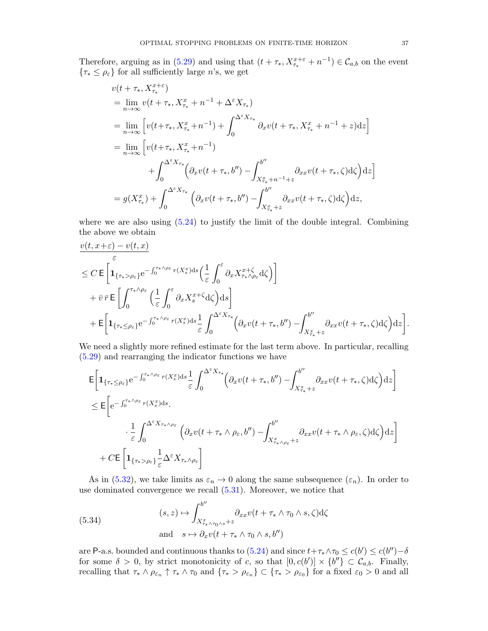Therefore, arguing as in [\(5.29\)](#page-35-2) and using that  $(t + \tau_*, X_{\tau_*}^{x+\varepsilon} + n^{-1}) \in C_{a,b}$  on the event  $\{\tau_* \leq \rho_{\varepsilon}\}\$ for all sufficiently large n's, we get

$$
v(t + \tau_*, X_{\tau_*}^{x+\epsilon})
$$
  
\n
$$
= \lim_{n \to \infty} v(t + \tau_*, X_{\tau_*}^x + n^{-1} + \Delta^{\epsilon} X_{\tau_*})
$$
  
\n
$$
= \lim_{n \to \infty} \left[ v(t + \tau_*, X_{\tau_*}^x + n^{-1}) + \int_0^{\Delta^{\epsilon} X_{\tau_*}} \partial_x v(t + \tau_*, X_{\tau_*}^x + n^{-1} + z) dz \right]
$$
  
\n
$$
= \lim_{n \to \infty} \left[ v(t + \tau_*, X_{\tau_*}^x + n^{-1}) + \int_0^{\Delta^{\epsilon} X_{\tau_*}} (\partial_x v(t + \tau_*, b'') - \int_{X_{\tau_*}^x + n^{-1} + z}^{b''} \partial_x v(t + \tau_*, \zeta) d\zeta) dz \right]
$$
  
\n
$$
= g(X_{\tau_*}^x) + \int_0^{\Delta^{\epsilon} X_{\tau_*}} (\partial_x v(t + \tau_*, b'') - \int_{X_{\tau_*}^x + z}^{b''} \partial_x v(t + \tau_*, \zeta) d\zeta) dz,
$$

where we are also using  $(5.24)$  to justify the limit of the double integral. Combining the above we obtain

$$
\frac{v(t, x+\varepsilon) - v(t, x)}{\varepsilon}
$$
\n
$$
\leq C \mathbf{E} \left[ \mathbf{1}_{\{\tau_* > \rho_{\varepsilon}\}} e^{-\int_0^{\tau_* \wedge \rho_{\varepsilon}} r(X_s^x) ds} \left( \frac{1}{\varepsilon} \int_0^{\varepsilon} \partial_x X_{\tau_* \wedge \rho_{\varepsilon}}^{x+\zeta} d\zeta \right) \right]
$$
\n
$$
+ \bar{v} \,\bar{r} \mathbf{E} \left[ \int_0^{\tau_* \wedge \rho_{\varepsilon}} \left( \frac{1}{\varepsilon} \int_0^{\varepsilon} \partial_x X_s^{x+\zeta} d\zeta \right) ds \right]
$$
\n
$$
+ \mathbf{E} \left[ \mathbf{1}_{\{\tau_* \leq \rho_{\varepsilon}\}} e^{-\int_0^{\tau_* \wedge \rho_{\varepsilon}} r(X_s^x) ds} \frac{1}{\varepsilon} \int_0^{\Delta^{\varepsilon} X_{\tau_*}} \left( \partial_x v(t + \tau_*, b'') - \int_{X_{\tau_*}^x + z}^{b''} \partial_{xx} v(t + \tau_*, \zeta) d\zeta \right) dz \right].
$$

We need a slightly more refined estimate for the last term above. In particular, recalling [\(5.29\)](#page-35-2) and rearranging the indicator functions we have

$$
\mathsf{E}\bigg[\mathbf{1}_{\{\tau_* \leq \rho_\varepsilon\}}\mathrm{e}^{-\int_0^{\tau_* \wedge \rho_\varepsilon} r(X_s^x)ds} \frac{1}{\varepsilon} \int_0^{\Delta^\varepsilon X_{\tau_*}} \Big(\partial_x v(t+\tau_*, b'') - \int_{X_{\tau_*}^x + z}^{b''} \partial_{xx} v(t+\tau_*, \zeta) \mathrm{d}\zeta\Big) \mathrm{d}z\bigg] \leq \mathsf{E}\bigg[\mathrm{e}^{-\int_0^{\tau_* \wedge \rho_\varepsilon} r(X_s^x)ds} \cdot \frac{1}{\varepsilon} \int_0^{\Delta^\varepsilon X_{\tau_* \wedge \rho_\varepsilon}} \Big(\partial_x v(t+\tau_* \wedge \rho_\varepsilon, b'') - \int_{X_{\tau_* \wedge \rho_\varepsilon}^x + z}^{b''} \partial_{xx} v(t+\tau_* \wedge \rho_\varepsilon, \zeta) \mathrm{d}\zeta\Big) \mathrm{d}z\bigg] + C \mathsf{E}\bigg[\mathbf{1}_{\{\tau_* > \rho_\varepsilon\}} \frac{1}{\varepsilon} \Delta^\varepsilon X_{\tau_* \wedge \rho_\varepsilon}\bigg]
$$

As in [\(5.32\)](#page-36-1), we take limits as  $\varepsilon_n \to 0$  along the same subsequence  $(\varepsilon_n)$ . In order to use dominated convergence we recall  $(5.31)$ . Moreover, we notice that

<span id="page-37-0"></span>(5.34) 
$$
(s, z) \mapsto \int_{X_{\tau_* \wedge \tau_0 \wedge s}^x + z}^{b''} \partial_{xx} v(t + \tau_* \wedge \tau_0 \wedge s, \zeta) d\zeta
$$
  
and 
$$
s \mapsto \partial_x v(t + \tau_* \wedge \tau_0 \wedge s, b'')
$$

are P-a.s. bounded and continuous thanks to [\(5.24\)](#page-33-0) and since  $t+\tau_* \wedge \tau_0 \le c(b') \le c(b'')-\delta$ for some  $\delta > 0$ , by strict monotonicity of c, so that  $[0, c(b')] \times \{b''\} \subset C_{a,b}$ . Finally, recalling that  $\tau_* \wedge \rho_{\varepsilon_n} \uparrow \tau_* \wedge \tau_0$  and  $\{\tau_* > \rho_{\varepsilon_n}\} \subset {\tau_* > \rho_{\varepsilon_0}}$  for a fixed  $\varepsilon_0 > 0$  and all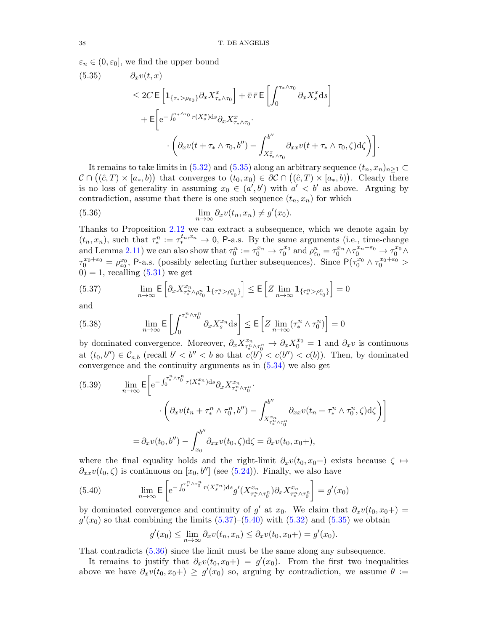<span id="page-38-0"></span> $\varepsilon_n \in (0, \varepsilon_0]$ , we find the upper bound

(5.35) 
$$
\partial_x v(t, x) \leq 2C \mathbf{E} \left[ \mathbf{1}_{\{\tau_* > \rho_{\varepsilon_0}\}} \partial_x X_{\tau_* \wedge \tau_0}^x \right] + \bar{v} \,\bar{r} \mathbf{E} \left[ \int_0^{\tau_* \wedge \tau_0} \partial_x X_s^x \mathrm{d}s \right] + \mathbf{E} \left[ e^{-\int_0^{\tau_* \wedge \tau_0} r(X_s^x) \mathrm{d}s} \partial_x X_{\tau_* \wedge \tau_0}^x \cdot \left( \partial_x v(t + \tau_* \wedge \tau_0, b'') - \int_{X_{\tau_* \wedge \tau_0}^x}^{b''} \partial_{xx} v(t + \tau_* \wedge \tau_0, \zeta) \mathrm{d}\zeta \right) \right].
$$

It remains to take limits in [\(5.32\)](#page-36-1) and [\(5.35\)](#page-38-0) along an arbitrary sequence  $(t_n, x_n)_{n>1}$  $\mathcal{C} \cap ((\hat{c}, T) \times [a_*, b])$  that converges to  $(t_0, x_0) \in \partial \mathcal{C} \cap ((\hat{c}, T) \times [a_*, b])$ . Clearly there is no loss of generality in assuming  $x_0 \in (a', b')$  with  $a' < b'$  as above. Arguing by contradiction, assume that there is one such sequence  $(t_n, x_n)$  for which

<span id="page-38-3"></span>(5.36) 
$$
\lim_{n \to \infty} \partial_x v(t_n, x_n) \neq g'(x_0).
$$

Thanks to Proposition [2.12](#page-9-3) we can extract a subsequence, which we denote again by  $(t_n, x_n)$ , such that  $\tau_*^n := \tau_*^{t_n, x_n} \to 0$ , P-a.s. By the same arguments (i.e., time-change and Lemma [2.11\)](#page-8-1) we can also show that  $\tau_0^n := \tau_0^{x_n} \to \tau_0^{x_0}$  and  $\rho_{\varepsilon_0}^n = \tau_0^{x_n} \wedge \tau_0^{x_n + \varepsilon_0} \to \tau_0^{x_0} \wedge$  $\tau_0^{x_0+\varepsilon_0} = \rho_{\varepsilon_0}^{x_0}$ , P-a.s. (possibly selecting further subsequences). Since  $P(\tau_0^{x_0} \wedge \tau_0^{x_0+\varepsilon_0} >$  $0$ ) = 1, recalling  $(5.31)$  we get

<span id="page-38-1"></span>(5.37) 
$$
\lim_{n \to \infty} \mathsf{E} \left[ \partial_x X^{x_n}_{\tau^n_* \wedge \rho^n_{\varepsilon_0}} \mathbf{1}_{\{\tau^n_* > \rho^n_{\varepsilon_0}\}} \right] \leq \mathsf{E} \left[ Z \lim_{n \to \infty} \mathbf{1}_{\{\tau^n_* > \rho^n_{\varepsilon_0}\}} \right] = 0
$$

and

(5.38) 
$$
\lim_{n \to \infty} \mathsf{E}\left[\int_0^{\tau^n_* \wedge \tau^n_0} \partial_x X^{x_n}_s \mathrm{d}s\right] \leq \mathsf{E}\left[Z \lim_{n \to \infty} (\tau^n_* \wedge \tau^n_0)\right] = 0
$$

by dominated convergence. Moreover,  $\partial_x X^{x_n}_{\tau^n_* \wedge \tau^n_0} \to \partial_x X^{x_0}_0 = 1$  and  $\partial_x v$  is continuous at  $(t_0, b'') \in \mathcal{C}_{a,b}$  (recall  $b' < b'' < b$  so that  $c(b') < c(b'') < c(b)$ ). Then, by dominated convergence and the continuity arguments as in [\(5.34\)](#page-37-0) we also get

(5.39) 
$$
\lim_{n \to \infty} \mathsf{E} \bigg[ e^{-\int_0^{\tau_k^n \wedge \tau_0^n} r(X_s^{x_n}) ds} \partial_x X_{\tau_k^n \wedge \tau_0^n}^{x_n} \cdot \bigg. \bigg. \bigg. \bigg( \partial_x v(t_n + \tau_k^n \wedge \tau_0^n, b'') - \int_{X_{\tau_k^n \wedge \tau_0^n}^{x_n}}^{b''} \partial_{xx} v(t_n + \tau_k^n \wedge \tau_0^n, \zeta) d\zeta \bigg) \bigg] \bigg] \\ = \partial_x v(t_0, b'') - \int_{x_0}^{b''} \partial_{xx} v(t_0, \zeta) d\zeta = \partial_x v(t_0, x_0 +),
$$

where the final equality holds and the right-limit  $\partial_x v(t_0, x_0+)$  exists because  $\zeta \mapsto$  $\partial_{xx}v(t_0,\zeta)$  is continuous on  $[x_0,b'']$  (see [\(5.24\)](#page-33-0)). Finally, we also have

<span id="page-38-2"></span>(5.40) 
$$
\lim_{n \to \infty} \mathsf{E} \left[ e^{-\int_0^{\tau^n_* \wedge \tau^n_0} r(X^{x_n}_s) ds} g'(X^{x_n}_{\tau^n_* \wedge \tau^n_0}) \partial_x X^{x_n}_{\tau^n_* \wedge \tau^n_0} \right] = g'(x_0)
$$

by dominated convergence and continuity of  $g'$  at  $x_0$ . We claim that  $\partial_x v(t_0, x_0+) =$  $g'(x_0)$  so that combining the limits  $(5.37)$ – $(5.40)$  with  $(5.32)$  and  $(5.35)$  we obtain

$$
g'(x_0) \le \lim_{n \to \infty} \partial_x v(t_n, x_n) \le \partial_x v(t_0, x_0+) = g'(x_0).
$$

That contradicts [\(5.36\)](#page-38-3) since the limit must be the same along any subsequence.

It remains to justify that  $\partial_x v(t_0, x_0+) = g'(x_0)$ . From the first two inequalities above we have  $\partial_x v(t_0, x_0+) \geq g'(x_0)$  so, arguing by contradiction, we assume  $\theta :=$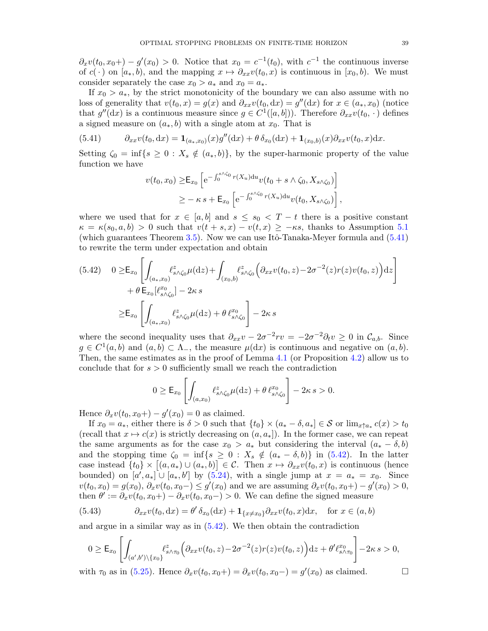$\partial_x v(t_0, x_0+) - g'(x_0) > 0$ . Notice that  $x_0 = c^{-1}(t_0)$ , with  $c^{-1}$  the continuous inverse of  $c(\cdot)$  on  $[a_*, b)$ , and the mapping  $x \mapsto \partial_{xx}v(t_0, x)$  is continuous in  $[x_0, b)$ . We must consider separately the case  $x_0 > a_*$  and  $x_0 = a_*$ .

If  $x_0 > a_*$ , by the strict monotonicity of the boundary we can also assume with no loss of generality that  $v(t_0, x) = g(x)$  and  $\partial_{xx}v(t_0, dx) = g''(dx)$  for  $x \in (a_*, x_0)$  (notice that  $g''(\mathrm{d}x)$  is a continuous measure since  $g \in C^1([a, b])$ . Therefore  $\partial_{xx}v(t_0, \cdot)$  defines a signed measure on  $(a_*, b)$  with a single atom at  $x_0$ . That is

<span id="page-39-0"></span>(5.41) 
$$
\partial_{xx}v(t_0, dx) = \mathbf{1}_{(a_*,x_0)}(x)g''(dx) + \theta \delta_{x_0}(dx) + \mathbf{1}_{(x_0,b)}(x)\partial_{xx}v(t_0, x)dx.
$$

Setting  $\zeta_0 = \inf\{s \geq 0 : X_s \notin (a_*, b)\}\$ , by the super-harmonic property of the value function we have

$$
v(t_0, x_0) \geq E_{x_0} \left[ e^{-\int_0^{s \wedge \zeta_0} r(X_u) du} v(t_0 + s \wedge \zeta_0, X_{s \wedge \zeta_0}) \right]
$$
  
 
$$
\geq -\kappa s + E_{x_0} \left[ e^{-\int_0^{s \wedge \zeta_0} r(X_u) du} v(t_0, X_{s \wedge \zeta_0}) \right],
$$

where we used that for  $x \in [a, b]$  and  $s \leq s_0 < T - t$  there is a positive constant  $\kappa = \kappa(s_0, a, b) > 0$  such that  $v(t + s, x) - v(t, x) \geq -\kappa s$ , thanks to Assumption [5.1](#page-24-2) (which guarantees Theorem [3.5\)](#page-13-2). Now we can use Itô-Tanaka-Meyer formula and  $(5.41)$ to rewrite the term under expectation and obtain

<span id="page-39-1"></span>
$$
(5.42) \quad 0 \geq \mathsf{E}_{x_0} \left[ \int_{(a_*,x_0)} \ell^z_{s \wedge \zeta_0} \mu(\mathrm{d}z) + \int_{(x_0,b)} \ell^z_{s \wedge \zeta_0} \left( \partial_{xx} v(t_0,z) - 2\sigma^{-2}(z) r(z) v(t_0,z) \right) \mathrm{d}z \right] + \theta \mathsf{E}_{x_0} [\ell^{x_0}_{s \wedge \zeta_0}] - 2\kappa s \geq \mathsf{E}_{x_0} \left[ \int_{(a_*,x_0)} \ell^z_{s \wedge \zeta_0} \mu(\mathrm{d}z) + \theta \ell^{x_0}_{s \wedge \zeta_0} \right] - 2\kappa s
$$

where the second inequality uses that  $\partial_{xx}v - 2\sigma^{-2}rv = -2\sigma^{-2}\partial_t v \geq 0$  in  $\mathcal{C}_{a,b}$ . Since  $g \in C^1(a, b)$  and  $(a, b) \subset \Lambda_-,$  the measure  $\mu(dx)$  is continuous and negative on  $(a, b)$ . Then, the same estimates as in the proof of Lemma [4.1](#page-15-2) (or Proposition [4.2\)](#page-17-4) allow us to conclude that for  $s > 0$  sufficiently small we reach the contradiction

$$
0 \ge \mathsf{E}_{x_0}\left[\int_{(a,x_0)} \ell_{s \wedge \zeta_0}^z \mu(\mathrm{d}z) + \theta \,\ell_{s \wedge \zeta_0}^{x_0}\right] - 2\kappa \, s > 0.
$$

Hence  $\partial_x v(t_0, x_0+) - g'(x_0) = 0$  as claimed.

If  $x_0 = a_*$ , either there is  $\delta > 0$  such that  $\{t_0\} \times (a_* - \delta, a_*] \in \mathcal{S}$  or  $\lim_{x \uparrow a_*} c(x) > t_0$ (recall that  $x \mapsto c(x)$  is strictly decreasing on  $(a, a_{*})$ ). In the former case, we can repeat the same arguments as for the case  $x_0 > a_*$  but considering the interval  $(a_* - \delta, b)$ and the stopping time  $\zeta_0 = \inf\{s \geq 0 : X_s \notin (a_* - \delta, b)\}\$ in [\(5.42\)](#page-39-1). In the latter case instead  $\{t_0\} \times [(a, a_*) \cup (a_*, b)] \in \mathcal{C}$ . Then  $x \mapsto \partial_{xx}v(t_0, x)$  is continuous (hence bounded) on  $[a', a_*] \cup [a_*, b']$  by  $(5.24)$ , with a single jump at  $x = a_* = x_0$ . Since  $v(t_0, x_0) = g(x_0), \, \partial_x v(t_0, x_0) \leq g'(x_0)$  and we are assuming  $\partial_x v(t_0, x_0) - g'(x_0) > 0$ , then  $\theta' := \partial_x v(t_0, x_0+) - \partial_x v(t_0, x_0-) > 0$ . We can define the signed measure

(5.43) 
$$
\partial_{xx}v(t_0, dx) = \theta' \delta_{x_0}(dx) + \mathbf{1}_{\{x \neq x_0\}} \partial_{xx}v(t_0, x)dx, \text{ for } x \in (a, b)
$$

and argue in a similar way as in [\(5.42\)](#page-39-1). We then obtain the contradiction

$$
0 \geq \mathsf{E}_{x_0}\left[\int_{(a',b')\setminus\{x_0\}} \ell^z_{s\wedge\tau_0}\Big(\partial_{xx}v(t_0,z)-2\sigma^{-2}(z)r(z)v(t_0,z)\Big)dz + \theta'\ell^{x_0}_{s\wedge\tau_0}\right] - 2\kappa s > 0,
$$

with  $\tau_0$  as in [\(5.25\)](#page-33-2). Hence  $\partial_x v(t_0, x_0+) = \partial_x v(t_0, x_0-) = g'(x_0)$  as claimed.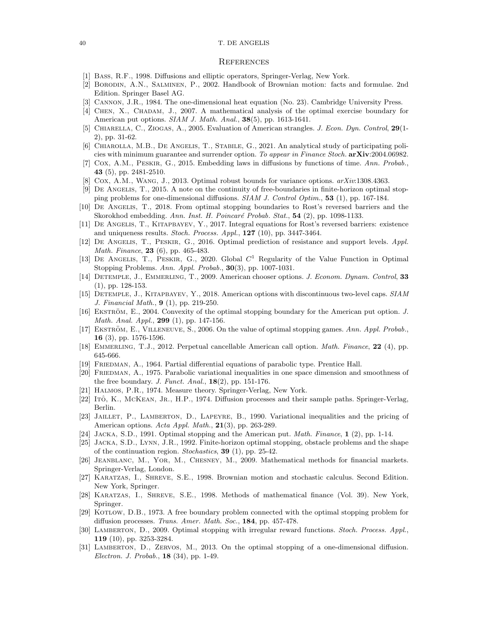#### 40 T. DE ANGELIS

#### **REFERENCES**

- <span id="page-40-29"></span>[1] Bass, R.F., 1998. Diffusions and elliptic operators, Springer-Verlag, New York.
- <span id="page-40-19"></span>[2] Borodin, A.N., Salminen, P., 2002. Handbook of Brownian motion: facts and formulae. 2nd Edition. Springer Basel AG.
- <span id="page-40-1"></span>[3] Cannon, J.R., 1984. The one-dimensional heat equation (No. 23). Cambridge University Press.
- <span id="page-40-3"></span>[4] Chen, X., Chadam, J., 2007. A mathematical analysis of the optimal exercise boundary for American put options. *SIAM J. Math. Anal.*, **38**(5), pp. 1613-1641.
- <span id="page-40-6"></span>[5] Chiarella, C., Ziogas, A., 2005. Evaluation of American strangles. J. Econ. Dyn. Control, 29(1- 2), pp. 31-62.
- <span id="page-40-8"></span>[6] CHIAROLLA, M.B., DE ANGELIS, T., STABILE, G., 2021. An analytical study of participating policies with minimum guarantee and surrender option. To appear in Finance Stoch.  $arXiv:2004.06982$ .
- <span id="page-40-14"></span>[7] Cox, A.M., Peskir, G., 2015. Embedding laws in diffusions by functions of time. Ann. Probab., 43 (5), pp. 2481-2510.
- <span id="page-40-13"></span>[8] COX, A.M., WANG, J., 2013. Optimal robust bounds for variance options.  $arXiv:1308.4363$ .
- <span id="page-40-0"></span>[9] De Angelis, T., 2015. A note on the continuity of free-boundaries in finite-horizon optimal stopping problems for one-dimensional diffusions. SIAM J. Control Optim., 53 (1), pp. 167-184.
- <span id="page-40-11"></span>[10] De Angelis, T., 2018. From optimal stopping boundaries to Rost's reversed barriers and the Skorokhod embedding. Ann. Inst. H. Poincaré Probab. Stat., 54 (2), pp. 1098-1133.
- <span id="page-40-12"></span>[11] De Angelis, T., Kitapbayev, Y., 2017. Integral equations for Rost's reversed barriers: existence and uniqueness results. Stoch. Process. Appl., 127 (10), pp. 3447-3464.
- <span id="page-40-9"></span>[12] De Angelis, T., Peskir, G., 2016. Optimal prediction of resistance and support levels. Appl. Math. Finance, **23** (6), pp. 465-483.
- <span id="page-40-23"></span>[13] DE ANGELIS, T., PESKIR, G., 2020. Global  $C^1$  Regularity of the Value Function in Optimal Stopping Problems. Ann. Appl. Probab., 30(3), pp. 1007-1031.
- <span id="page-40-7"></span>[14] DETEMPLE, J., EMMERLING, T., 2009. American chooser options. J. Econom. Dynam. Control, 33 (1), pp. 128-153.
- <span id="page-40-25"></span>[15] Detemple, J., Kitapbayev, Y., 2018. American options with discontinuous two-level caps. SIAM J. Financial Math., 9 (1), pp. 219-250.
- <span id="page-40-4"></span>[16] EKSTRÖM, E., 2004. Convexity of the optimal stopping boundary for the American put option. J. Math. Anal. Appl., **299** (1), pp. 147-156.
- <span id="page-40-26"></span>[17] EKSTRÖM, E., VILLENEUVE, S., 2006. On the value of optimal stopping games. Ann. Appl. Probab., 16 (3), pp. 1576-1596.
- <span id="page-40-27"></span>[18] EMMERLING, T.J., 2012. Perpetual cancellable American call option. *Math. Finance*, 22 (4), pp. 645-666.
- <span id="page-40-28"></span>[19] Friedman, A., 1964. Partial differential equations of parabolic type. Prentice Hall.
- <span id="page-40-2"></span>[20] Friedman, A., 1975. Parabolic variational inequalities in one space dimension and smoothness of the free boundary. J. Funct. Anal.,  $18(2)$ , pp. 151-176.
- <span id="page-40-24"></span>[21] HALMOS, P.R., 1974. Measure theory. Springer-Verlag, New York.
- <span id="page-40-20"></span>[22] Itô, K., McKEAN, JR., H.P., 1974. Diffusion processes and their sample paths. Springer-Verlag, Berlin.
- <span id="page-40-15"></span>[23] JAILLET, P., LAMBERTON, D., LAPEYRE, B., 1990. Variational inequalities and the pricing of American options. Acta Appl. Math., 21(3), pp. 263-289.
- <span id="page-40-5"></span>[24] Jacka, S.D., 1991. Optimal stopping and the American put. Math. Finance, 1 (2), pp. 1-14.
- <span id="page-40-16"></span>[25] Jacka, S.D., Lynn, J.R., 1992. Finite-horizon optimal stopping, obstacle problems and the shape of the continuation region. Stochastics, 39 (1), pp. 25-42.
- [26] Jeanblanc, M., Yor, M., Chesney, M., 2009. Mathematical methods for financial markets. Springer-Verlag, London.
- <span id="page-40-21"></span>[27] Karatzas, I., Shreve, S.E., 1998. Brownian motion and stochastic calculus. Second Edition. New York, Springer.
- <span id="page-40-22"></span>[28] Karatzas, I., Shreve, S.E., 1998. Methods of mathematical finance (Vol. 39). New York, Springer.
- <span id="page-40-10"></span>[29] KOTLOW, D.B., 1973. A free boundary problem connected with the optimal stopping problem for diffusion processes. Trans. Amer. Math. Soc., 184, pp. 457-478.
- <span id="page-40-18"></span>[30] LAMBERTON, D., 2009. Optimal stopping with irregular reward functions. Stoch. Process. Appl., 119 (10), pp. 3253-3284.
- <span id="page-40-17"></span>[31] LAMBERTON, D., ZERVOS, M., 2013. On the optimal stopping of a one-dimensional diffusion. Electron. J. Probab., 18 (34), pp. 1-49.